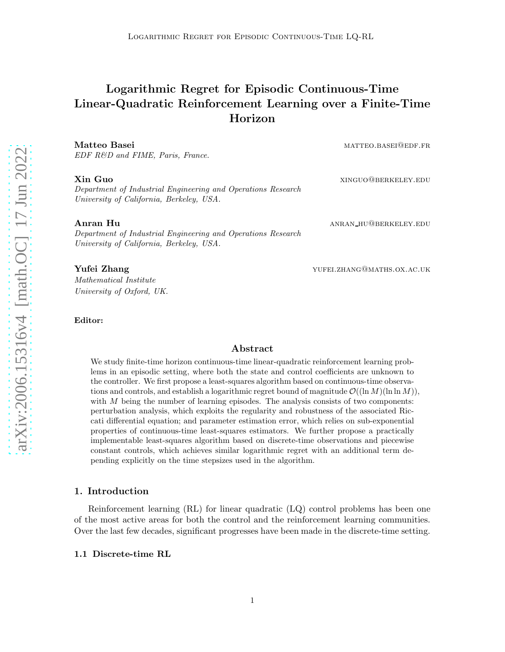# Logarithmic Regret for Episodic Continuous-Time Linear-Quadratic Reinforcement Learning over a Finite-Time Horizon

Matteo Basei matteo.basei@edf.fr EDF R&D and FIME, Paris, France.

Department of Industrial Engineering and Operations Research University of California, Berkeley, USA.

Department of Industrial Engineering and Operations Research University of California, Berkeley, USA.

Mathematical Institute University of Oxford, UK.

Editor:

# Abstract

We study finite-time horizon continuous-time linear-quadratic reinforcement learning problems in an episodic setting, where both the state and control coefficients are unknown to the controller. We first propose a least-squares algorithm based on continuous-time observations and controls, and establish a logarithmic regret bound of magnitude  $\mathcal{O}((\ln M)(\ln \ln M))$ . with M being the number of learning episodes. The analysis consists of two components: perturbation analysis, which exploits the regularity and robustness of the associated Riccati differential equation; and parameter estimation error, which relies on sub-exponential properties of continuous-time least-squares estimators. We further propose a practically implementable least-squares algorithm based on discrete-time observations and piecewise constant controls, which achieves similar logarithmic regret with an additional term depending explicitly on the time stepsizes used in the algorithm.

# 1. Introduction

Reinforcement learning (RL) for linear quadratic (LQ) control problems has been one of the most active areas for both the control and the reinforcement learning communities. Over the last few decades, significant progresses have been made in the discrete-time setting.

# <span id="page-0-0"></span>1.1 Discrete-time RL

**Xin Guo** xinguo@berkeley.edu

Anran Hu anran hu@berkeley.edu

**Yufei Zhang Xang and Sangley School and School School And School And School And School And School And School And School And School And School And School And School And School And School And School And School And School An**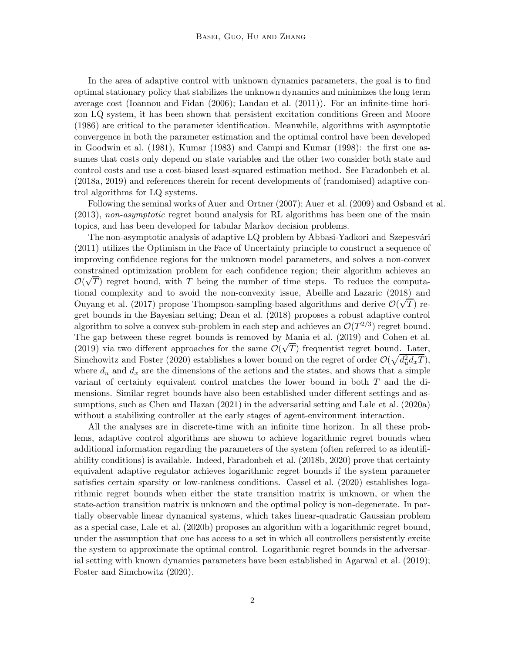In the area of adaptive control with unknown dynamics parameters, the goal is to find optimal stationary policy that stabilizes the unknown dynamics and minimizes the long term average cost [\(Ioannou and Fidan \(2006](#page-31-0)); [Landau et al. \(2011](#page-32-0))). For an infinite-time horizon LQ system, it has been shown that persistent excitation conditions [Green and Moore](#page-31-1) [\(1986](#page-31-1)) are critical to the parameter identification. Meanwhile, algorithms with asymptotic convergence in both the parameter estimation and the optimal control have been developed in [Goodwin et al. \(1981\)](#page-31-2), [Kumar \(1983](#page-31-3)) and [Campi and Kumar \(1998](#page-30-0)): the first one assumes that costs only depend on state variables and the other two consider both state and control costs and use a cost-biased least-squared estimation method. See [Faradonbeh et al.](#page-31-4) [\(2018a](#page-31-4), [2019](#page-31-5)) and references therein for recent developments of (randomised) adaptive control algorithms for LQ systems.

Following the seminal works of [Auer and Ortner \(2007](#page-30-1)); [Auer et al. \(2009\)](#page-30-2) and [Osband et al.](#page-32-1) [\(2013](#page-32-1)), non-asymptotic regret bound analysis for RL algorithms has been one of the main topics, and has been developed for tabular Markov decision problems.

The non-asymptotic analysis of adaptive LQ problem by Abbasi-Yadkori and Szepesvári [\(2011](#page-30-3)) utilizes the Optimism in the Face of Uncertainty principle to construct a sequence of improving confidence regions for the unknown model parameters, and solves a non-convex constrained optimization problem for each confidence region; their algorithm achieves an  $\mathcal{O}(\sqrt{T})$  regret bound, with T being the number of time steps. To reduce the computational complexity and to avoid the non-convexity issue, [Abeille and Lazaric \(2018\)](#page-30-4) and [Ouyang et al. \(2017](#page-32-2)) propose Thompson-sampling-based algorithms and derive  $\mathcal{O}(\sqrt{T})$  regret bounds in the Bayesian setting; [Dean et al. \(2018\)](#page-31-6) proposes a robust adaptive control algorithm to solve a convex sub-problem in each step and achieves an  $\mathcal{O}(T^{2/3})$  regret bound. The gap between these regret bounds is removed by [Mania et al.](#page-32-3) [\(2019\)](#page-32-3) and [Cohen et al.](#page-30-5) [\(2019](#page-30-5)) via two different approaches for the same  $\mathcal{O}(\sqrt{T})$  frequentist regret bound. Later, [Simchowitz and Foster \(2020](#page-32-4)) establishes a lower bound on the regret of order  $\mathcal{O}(\sqrt{d_u^2 d_x T})$ , where  $d_u$  and  $d_x$  are the dimensions of the actions and the states, and shows that a simple variant of certainty equivalent control matches the lower bound in both T and the dimensions. Similar regret bounds have also been established under different settings and assumptions, such as [Chen and Hazan \(2021](#page-30-6)) in the adversarial setting and [Lale et al. \(2020a](#page-32-5)) without a stabilizing controller at the early stages of agent-environment interaction.

All the analyses are in discrete-time with an infinite time horizon. In all these problems, adaptive control algorithms are shown to achieve logarithmic regret bounds when additional information regarding the parameters of the system (often referred to as identifiability conditions) is available. Indeed, [Faradonbeh et al. \(2018b,](#page-31-7) [2020](#page-31-8)) prove that certainty equivalent adaptive regulator achieves logarithmic regret bounds if the system parameter satisfies certain sparsity or low-rankness conditions. [Cassel et al. \(2020](#page-30-7)) establishes logarithmic regret bounds when either the state transition matrix is unknown, or when the state-action transition matrix is unknown and the optimal policy is non-degenerate. In partially observable linear dynamical systems, which takes linear-quadratic Gaussian problem as a special case, [Lale et al. \(2020b](#page-32-6)) proposes an algorithm with a logarithmic regret bound, under the assumption that one has access to a set in which all controllers persistently excite the system to approximate the optimal control. Logarithmic regret bounds in the adversarial setting with known dynamics parameters have been established in [Agarwal et al. \(2019](#page-30-8)); [Foster and Simchowitz \(2020\)](#page-31-9).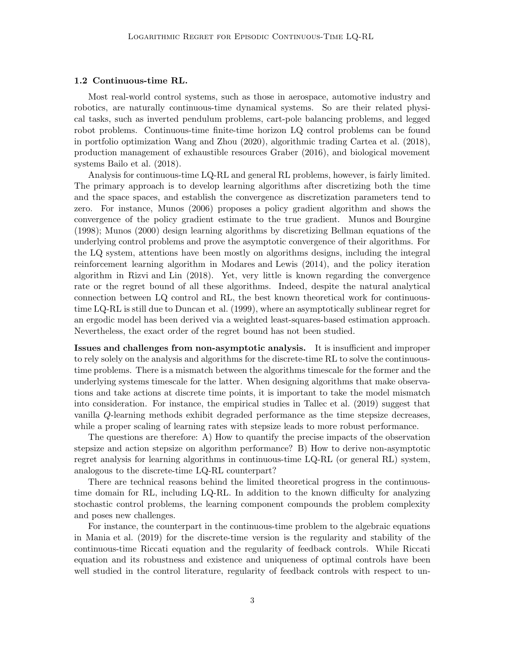# 1.2 Continuous-time RL.

Most real-world control systems, such as those in aerospace, automotive industry and robotics, are naturally continuous-time dynamical systems. So are their related physical tasks, such as inverted pendulum problems, cart-pole balancing problems, and legged robot problems. Continuous-time finite-time horizon LQ control problems can be found in portfolio optimization [Wang and Zhou \(2020](#page-33-0)), algorithmic trading [Cartea et al. \(2018](#page-30-9)), production management of exhaustible resources [Graber \(2016](#page-31-10)), and biological movement systems [Bailo et al. \(2018\)](#page-30-10).

Analysis for continuous-time LQ-RL and general RL problems, however, is fairly limited. The primary approach is to develop learning algorithms after discretizing both the time and the space spaces, and establish the convergence as discretization parameters tend to zero. For instance, [Munos \(2006](#page-32-7)) proposes a policy gradient algorithm and shows the convergence of the policy gradient estimate to the true gradient. [Munos and Bourgine](#page-32-8) [\(1998](#page-32-8)); [Munos \(2000](#page-32-9)) design learning algorithms by discretizing Bellman equations of the underlying control problems and prove the asymptotic convergence of their algorithms. For the LQ system, attentions have been mostly on algorithms designs, including the integral reinforcement learning algorithm in [Modares and Lewis \(2014](#page-32-10)), and the policy iteration algorithm in [Rizvi and Lin \(2018](#page-32-11)). Yet, very little is known regarding the convergence rate or the regret bound of all these algorithms. Indeed, despite the natural analytical connection between LQ control and RL, the best known theoretical work for continuoustime LQ-RL is still due to [Duncan et al. \(1999](#page-31-11)), where an asymptotically sublinear regret for an ergodic model has been derived via a weighted least-squares-based estimation approach. Nevertheless, the exact order of the regret bound has not been studied.

Issues and challenges from non-asymptotic analysis. It is insufficient and improper to rely solely on the analysis and algorithms for the discrete-time RL to solve the continuoustime problems. There is a mismatch between the algorithms timescale for the former and the underlying systems timescale for the latter. When designing algorithms that make observations and take actions at discrete time points, it is important to take the model mismatch into consideration. For instance, the empirical studies in [Tallec et al. \(2019\)](#page-32-12) suggest that vanilla Q-learning methods exhibit degraded performance as the time stepsize decreases, while a proper scaling of learning rates with stepsize leads to more robust performance.

The questions are therefore: A) How to quantify the precise impacts of the observation stepsize and action stepsize on algorithm performance? B) How to derive non-asymptotic regret analysis for learning algorithms in continuous-time LQ-RL (or general RL) system, analogous to the discrete-time LQ-RL counterpart?

There are technical reasons behind the limited theoretical progress in the continuoustime domain for RL, including LQ-RL. In addition to the known difficulty for analyzing stochastic control problems, the learning component compounds the problem complexity and poses new challenges.

For instance, the counterpart in the continuous-time problem to the algebraic equations in [Mania et al. \(2019](#page-32-3)) for the discrete-time version is the regularity and stability of the continuous-time Riccati equation and the regularity of feedback controls. While Riccati equation and its robustness and existence and uniqueness of optimal controls have been well studied in the control literature, regularity of feedback controls with respect to un-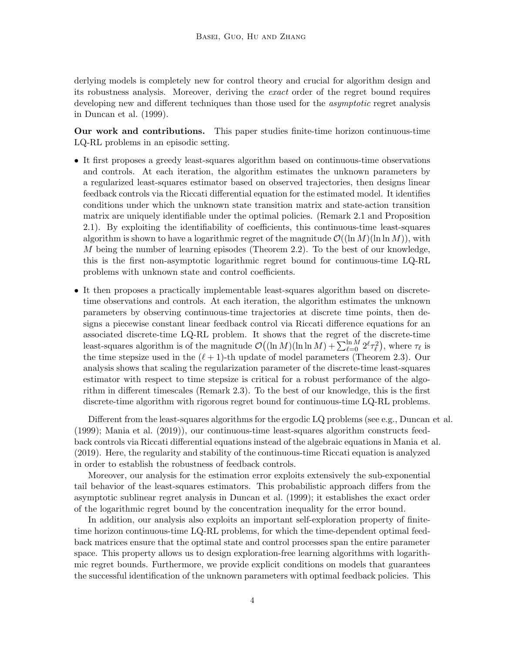derlying models is completely new for control theory and crucial for algorithm design and its robustness analysis. Moreover, deriving the exact order of the regret bound requires developing new and different techniques than those used for the *asymptotic* regret analysis in [Duncan et al. \(1999](#page-31-11)).

Our work and contributions. This paper studies finite-time horizon continuous-time LQ-RL problems in an episodic setting.

- It first proposes a greedy least-squares algorithm based on continuous-time observations and controls. At each iteration, the algorithm estimates the unknown parameters by a regularized least-squares estimator based on observed trajectories, then designs linear feedback controls via the Riccati differential equation for the estimated model. It identifies conditions under which the unknown state transition matrix and state-action transition matrix are uniquely identifiable under the optimal policies. (Remark [2.1](#page-7-0) and Proposition [2.1\)](#page-8-0). By exploiting the identifiability of coefficients, this continuous-time least-squares algorithm is shown to have a logarithmic regret of the magnitude  $\mathcal{O}((\ln M)(\ln \ln M))$ , with M being the number of learning episodes (Theorem [2.2\)](#page-8-1). To the best of our knowledge, this is the first non-asymptotic logarithmic regret bound for continuous-time LQ-RL problems with unknown state and control coefficients.
- It then proposes a practically implementable least-squares algorithm based on discretetime observations and controls. At each iteration, the algorithm estimates the unknown parameters by observing continuous-time trajectories at discrete time points, then designs a piecewise constant linear feedback control via Riccati difference equations for an associated discrete-time LQ-RL problem. It shows that the regret of the discrete-time least-squares algorithm is of the magnitude  $\mathcal{O}((\ln M)(\ln \ln M) + \sum_{\ell=0}^{\ln M} 2^{\ell} \tau_{\ell}^2)$ , where  $\tau_{\ell}$  is the time stepsize used in the  $(\ell + 1)$ -th update of model parameters (Theorem [2.3\)](#page-12-0). Our analysis shows that scaling the regularization parameter of the discrete-time least-squares estimator with respect to time stepsize is critical for a robust performance of the algorithm in different timescales (Remark [2.3\)](#page-11-0). To the best of our knowledge, this is the first discrete-time algorithm with rigorous regret bound for continuous-time LQ-RL problems.

Different from the least-squares algorithms for the ergodic LQ problems (see e.g., [Duncan et al.](#page-31-11) [\(1999](#page-31-11)); [Mania et al. \(2019](#page-32-3))), our continuous-time least-squares algorithm constructs feedback controls via Riccati differential equations instead of the algebraic equations in [Mania et al.](#page-32-3) [\(2019](#page-32-3)). Here, the regularity and stability of the continuous-time Riccati equation is analyzed in order to establish the robustness of feedback controls.

Moreover, our analysis for the estimation error exploits extensively the sub-exponential tail behavior of the least-squares estimators. This probabilistic approach differs from the asymptotic sublinear regret analysis in [Duncan et al. \(1999](#page-31-11)); it establishes the exact order of the logarithmic regret bound by the concentration inequality for the error bound.

In addition, our analysis also exploits an important self-exploration property of finitetime horizon continuous-time LQ-RL problems, for which the time-dependent optimal feedback matrices ensure that the optimal state and control processes span the entire parameter space. This property allows us to design exploration-free learning algorithms with logarithmic regret bounds. Furthermore, we provide explicit conditions on models that guarantees the successful identification of the unknown parameters with optimal feedback policies. This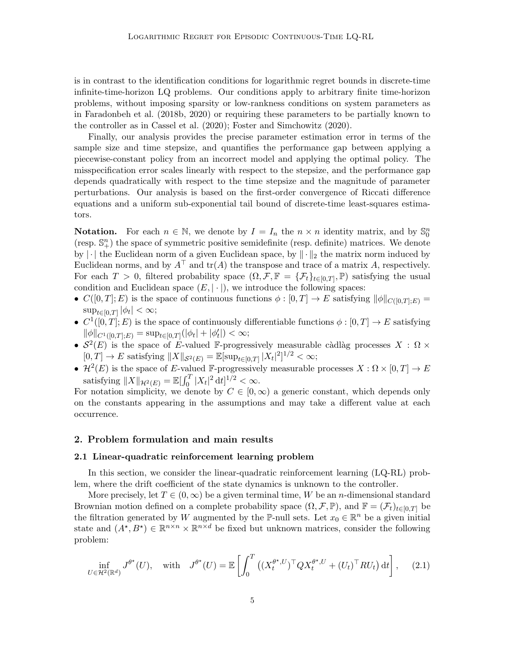is in contrast to the identification conditions for logarithmic regret bounds in discrete-time infinite-time-horizon LQ problems. Our conditions apply to arbitrary finite time-horizon problems, without imposing sparsity or low-rankness conditions on system parameters as in [Faradonbeh et al. \(2018b,](#page-31-7) [2020](#page-31-8)) or requiring these parameters to be partially known to the controller as in [Cassel et al. \(2020](#page-30-7)); [Foster and Simchowitz \(2020\)](#page-31-9).

Finally, our analysis provides the precise parameter estimation error in terms of the sample size and time stepsize, and quantifies the performance gap between applying a piecewise-constant policy from an incorrect model and applying the optimal policy. The misspecification error scales linearly with respect to the stepsize, and the performance gap depends quadratically with respect to the time stepsize and the magnitude of parameter perturbations. Our analysis is based on the first-order convergence of Riccati difference equations and a uniform sub-exponential tail bound of discrete-time least-squares estimators.

**Notation.** For each  $n \in \mathbb{N}$ , we denote by  $I = I_n$  the  $n \times n$  identity matrix, and by  $\mathbb{S}_0^n$ (resp.  $\mathbb{S}_{+}^{n}$ ) the space of symmetric positive semidefinite (resp. definite) matrices. We denote by  $\lVert \cdot \rVert$  the Euclidean norm of a given Euclidean space, by  $\lVert \cdot \rVert_2$  the matrix norm induced by Euclidean norms, and by  $A^{\top}$  and  $tr(A)$  the transpose and trace of a matrix A, respectively. For each  $T > 0$ , filtered probability space  $(\Omega, \mathcal{F}, \mathbb{F} = {\{\mathcal{F}_t\}_{t \in [0,T]}, \mathbb{P})}$  satisfying the usual condition and Euclidean space  $(E, |\cdot|)$ , we introduce the following spaces:

- $C([0,T]; E)$  is the space of continuous functions  $\phi : [0,T] \to E$  satisfying  $\|\phi\|_{C([0,T]; E)} =$  $\sup_{t\in[0,T]}|\phi_t|<\infty;$
- $C^1([0,T];E)$  is the space of continuously differentiable functions  $\phi:[0,T] \to E$  satisfying  $\|\phi\|_{C^1([0,T];E)} = \sup_{t \in [0,T]} (|\phi_t| + |\phi_t'|) < \infty;$
- $S^2(E)$  is the space of E-valued F-progressively measurable càdlàg processes  $X : \Omega \times$  $[0, T] \to E$  satisfying  $||X||_{\mathcal{S}^2(E)} = \mathbb{E}[\sup_{t \in [0, T]} |X_t|^2]^{1/2} < \infty;$
- $\mathcal{H}^2(E)$  is the space of E-valued F-progressively measurable processes  $X : \Omega \times [0, T] \to E$ satisfying  $||X||_{\mathcal{H}^2(E)} = \mathbb{E}[\int_0^T |X_t|^2 dt]^{1/2} < \infty.$

For notation simplicity, we denote by  $C \in [0,\infty)$  a generic constant, which depends only on the constants appearing in the assumptions and may take a different value at each occurrence.

# 2. Problem formulation and main results

## 2.1 Linear-quadratic reinforcement learning problem

In this section, we consider the linear-quadratic reinforcement learning (LQ-RL) problem, where the drift coefficient of the state dynamics is unknown to the controller.

More precisely, let  $T \in (0,\infty)$  be a given terminal time, W be an *n*-dimensional standard Brownian motion defined on a complete probability space  $(\Omega, \mathcal{F}, \mathbb{P})$ , and  $\mathbb{F} = (\mathcal{F}_t)_{t \in [0,T]}$  be the filtration generated by W augmented by the P-null sets. Let  $x_0 \in \mathbb{R}^n$  be a given initial state and  $(A^*, B^*) \in \mathbb{R}^{n \times n} \times \mathbb{R}^{n \times d}$  be fixed but unknown matrices, consider the following problem:

<span id="page-4-0"></span>
$$
\inf_{U \in \mathcal{H}^2(\mathbb{R}^d)} J^{\theta^*}(U), \quad \text{with} \quad J^{\theta^*}(U) = \mathbb{E} \left[ \int_0^T \left( (X_t^{\theta^*,U})^\top Q X_t^{\theta^*,U} + (U_t)^\top R U_t \right) dt \right], \quad (2.1)
$$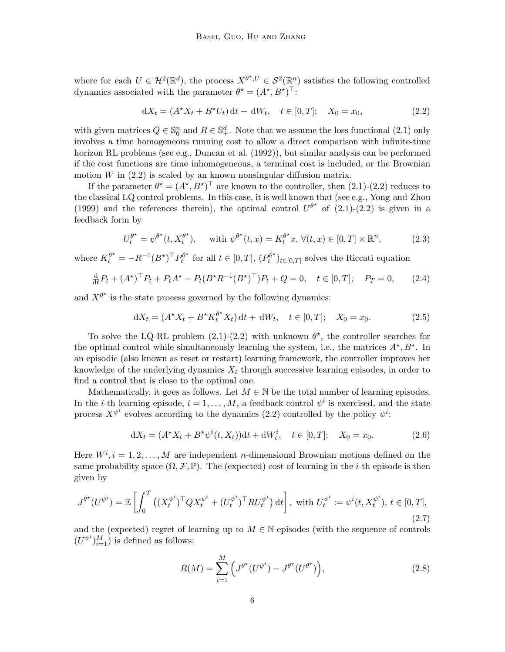where for each  $U \in \mathcal{H}^2(\mathbb{R}^d)$ , the process  $X^{\theta^*, U} \in \mathcal{S}^2(\mathbb{R}^n)$  satisfies the following controlled dynamics associated with the parameter  $\theta^* = (A^*, B^*)^\top$ :

<span id="page-5-0"></span>
$$
dX_t = (A^*X_t + B^*U_t) dt + dW_t, \quad t \in [0, T]; \quad X_0 = x_0,
$$
\n(2.2)

with given matrices  $Q \in \mathbb{S}_0^n$  and  $R \in \mathbb{S}_+^d$ . Note that we assume the loss functional  $(2.1)$  only involves a time homogeneous running cost to allow a direct comparison with infinite-time horizon RL problems (see e.g., [Duncan et al. \(1992](#page-31-12))), but similar analysis can be performed if the cost functions are time inhomogeneous, a terminal cost is included, or the Brownian motion  $W$  in  $(2.2)$  is scaled by an known nonsingular diffusion matrix.

If the parameter  $\theta^* = (A^*, B^*)^\top$  are known to the controller, then  $(2.1)-(2.2)$  $(2.1)-(2.2)$  reduces to the classical LQ control problems. In this case, it is well known that (see e.g., [Yong and Zhou](#page-33-1) [\(1999](#page-33-1)) and the references therein), the optimal control  $U^{\theta^*}$  of [\(2.1\)](#page-4-0)-[\(2.2\)](#page-5-0) is given in a feedback form by

<span id="page-5-4"></span>
$$
U_t^{\theta^*} = \psi^{\theta^*}(t, X_t^{\theta^*}), \quad \text{ with } \psi^{\theta^*}(t, x) = K_t^{\theta^*}x, \forall (t, x) \in [0, T] \times \mathbb{R}^n,
$$
 (2.3)

where  $K_t^{\theta^*} = -R^{-1}(B^*)^{\top} P_t^{\theta^*}$  $p_t^{\theta^{\star}}$  for all  $t \in [0, T]$ ,  $(P_t^{\theta^{\star}})$  $(t^{(t)})_{t\in[0,T]}$  solves the Riccati equation

$$
\frac{d}{dt}P_t + (A^{\star})^{\top} P_t + P_t A^{\star} - P_t (B^{\star} R^{-1} (B^{\star})^{\top}) P_t + Q = 0, \quad t \in [0, T]; \quad P_T = 0,
$$
 (2.4)

and  $X^{\theta^*}$  is the state process governed by the following dynamics:

<span id="page-5-5"></span><span id="page-5-1"></span>
$$
dX_t = (A^*X_t + B^*K_t^{\theta^*}X_t) dt + dW_t, \quad t \in [0, T]; \quad X_0 = x_0.
$$
 (2.5)

To solve the LQ-RL problem  $(2.1)-(2.2)$  $(2.1)-(2.2)$  with unknown  $\theta^*$ , the controller searches for the optimal control while simultaneously learning the system, i.e., the matrices  $A^{\star}, B^{\star}$ . In an episodic (also known as reset or restart) learning framework, the controller improves her knowledge of the underlying dynamics  $X_t$  through successive learning episodes, in order to find a control that is close to the optimal one.

Mathematically, it goes as follows. Let  $M \in \mathbb{N}$  be the total number of learning episodes. In the *i*-th learning episode,  $i = 1, ..., M$ , a feedback control  $\psi^i$  is exercised, and the state process  $X^{\psi^i}$  evolves according to the dynamics [\(2.2\)](#page-5-0) controlled by the policy  $\psi^i$ :

$$
dX_t = (A^*X_t + B^*\psi^i(t, X_t))dt + dW_t^i, \quad t \in [0, T]; \quad X_0 = x_0.
$$
 (2.6)

Here  $W^i, i = 1, 2, \ldots, M$  are independent *n*-dimensional Brownian motions defined on the same probability space  $(\Omega, \mathcal{F}, \mathbb{P})$ . The (expected) cost of learning in the *i*-th episode is then given by

$$
J^{\theta^*}(U^{\psi^i}) = \mathbb{E}\left[\int_0^T \left( (X_t^{\psi^i})^\top Q X_t^{\psi^i} + (U_t^{\psi^i})^\top R U_t^{\psi^i}\right) dt\right], \text{ with } U_t^{\psi^i} := \psi^i(t, X_t^{\psi^i}), \ t \in [0, T],
$$
\n(2.7)

and the (expected) regret of learning up to  $M \in \mathbb{N}$  episodes (with the sequence of controls  $(U^{\psi^i})_{i=1}^M$ ) is defined as follows:

<span id="page-5-3"></span><span id="page-5-2"></span>
$$
R(M) = \sum_{i=1}^{M} \left( J^{\theta^{\star}} (U^{\psi^i}) - J^{\theta^{\star}} (U^{\theta^{\star}}) \right), \tag{2.8}
$$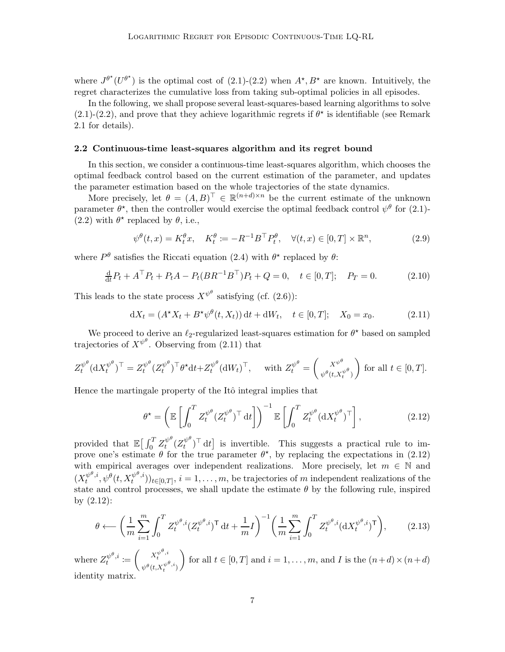where  $J^{\theta^*}(U^{\theta^*})$  is the optimal cost of  $(2.1)-(2.2)$  $(2.1)-(2.2)$  when  $A^*, B^*$  are known. Intuitively, the regret characterizes the cumulative loss from taking sub-optimal policies in all episodes.

In the following, we shall propose several least-squares-based learning algorithms to solve  $(2.1)-(2.2)$  $(2.1)-(2.2)$  $(2.1)-(2.2)$ , and prove that they achieve logarithmic regrets if  $\theta^*$  is identifiable (see Remark [2.1](#page-7-0) for details).

## <span id="page-6-5"></span>2.2 Continuous-time least-squares algorithm and its regret bound

In this section, we consider a continuous-time least-squares algorithm, which chooses the optimal feedback control based on the current estimation of the parameter, and updates the parameter estimation based on the whole trajectories of the state dynamics.

More precisely, let  $\theta = (A, B)^{\top} \in \mathbb{R}^{(n+d)\times n}$  be the current estimate of the unknown parameter  $\theta^*$ , then the controller would exercise the optimal feedback control  $\psi^{\theta}$  for [\(2.1\)](#page-4-0)-[\(2.2\)](#page-5-0) with  $\theta^*$  replaced by  $\theta$ , i.e.,

<span id="page-6-4"></span><span id="page-6-3"></span>
$$
\psi^{\theta}(t,x) = K_t^{\theta}x, \quad K_t^{\theta} := -R^{-1}B^{\top}P_t^{\theta}, \quad \forall (t,x) \in [0,T] \times \mathbb{R}^n,
$$
\n(2.9)

where  $P^{\theta}$  satisfies the Riccati equation [\(2.4\)](#page-5-1) with  $\theta^*$  replaced by  $\theta$ :

$$
\frac{d}{dt}P_t + A^{\top}P_t + P_t A - P_t (BR^{-1}B^{\top})P_t + Q = 0, \quad t \in [0, T]; \quad P_T = 0.
$$
 (2.10)

This leads to the state process  $X^{\psi^{\theta}}$  satisfying (cf. [\(2.6\)](#page-5-2)):

<span id="page-6-0"></span>
$$
dX_t = (A^*X_t + B^*\psi^{\theta}(t, X_t)) dt + dW_t, \quad t \in [0, T]; \quad X_0 = x_0.
$$
 (2.11)

We proceed to derive an  $\ell_2$ -regularized least-squares estimation for  $\theta^*$  based on sampled trajectories of  $X^{\psi^{\theta}}$ . Observing from [\(2.11\)](#page-6-0) that

$$
Z_t^{\psi^\theta}(\mathrm{d}X_t^{\psi^\theta})^\top = Z_t^{\psi^\theta} (Z_t^{\psi^\theta})^\top \theta^\star \mathrm{d}t + Z_t^{\psi^\theta} (\mathrm{d}W_t)^\top, \quad \text{ with } Z_t^{\psi^\theta} = \begin{pmatrix} x^{\psi^\theta} \\ \psi^\theta(t, x_t^{\psi^\theta}) \end{pmatrix} \text{ for all } t \in [0, T].
$$

Hence the martingale property of the Itô integral implies that

<span id="page-6-1"></span>
$$
\theta^{\star} = \left(\mathbb{E}\left[\int_0^T Z_t^{\psi^{\theta}} (Z_t^{\psi^{\theta}})^{\top} dt\right]\right)^{-1} \mathbb{E}\left[\int_0^T Z_t^{\psi^{\theta}} (dX_t^{\psi^{\theta}})^{\top}\right],\tag{2.12}
$$

provided that  $\mathbb{E}\big[\int_0^T Z_t^{\psi^\theta}$  $\int_t^{\psi^\theta} (Z_t^{\psi^\theta})$  $\{u^{\psi}\}\uparrow dt$  is invertible. This suggests a practical rule to improve one's estimate  $\theta$  for the true parameter  $\theta^*$ , by replacing the expectations in [\(2.12\)](#page-6-1) with empirical averages over independent realizations. More precisely, let  $m \in \mathbb{N}$  and  $(X_t^{\psi^\theta,i}$  $t^{\psi^{\theta},i},\psi^{\theta}(t,X_t^{\psi^{\theta},i})$  $(t^{(p^*,i)})_{t\in[0,T]}, i=1,\ldots,m$ , be trajectories of m independent realizations of the state and control processes, we shall update the estimate  $\theta$  by the following rule, inspired by [\(2.12\)](#page-6-1):

<span id="page-6-2"></span>
$$
\theta \longleftarrow \left(\frac{1}{m} \sum_{i=1}^{m} \int_{0}^{T} Z_{t}^{\psi^{\theta}, i} (Z_{t}^{\psi^{\theta}, i})^{\mathsf{T}} \, \mathrm{d}t + \frac{1}{m} I\right)^{-1} \left(\frac{1}{m} \sum_{i=1}^{m} \int_{0}^{T} Z_{t}^{\psi^{\theta}, i} (\mathrm{d} X_{t}^{\psi^{\theta}, i})^{\mathsf{T}}\right),\tag{2.13}
$$

where  $Z_t^{\psi^{\theta},i}$  $\psi^{\theta},i \coloneqq \left(\begin{array}{c} X_t^{\psi^{\theta},i}\ \mathcal{L}^{\psi^{\psi}} \end{array}\right)$  $\psi^{\theta}(t, X_t^{\psi^{\theta}, i})$ for all  $t \in [0, T]$  and  $i = 1, \ldots, m$ , and I is the  $(n+d) \times (n+d)$ identity matrix.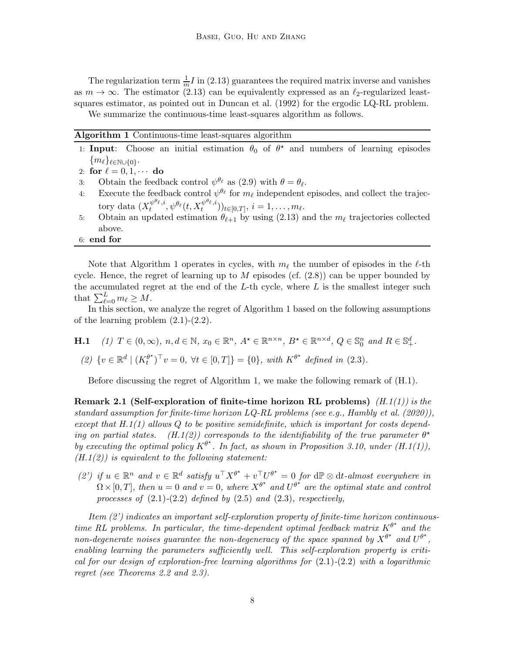The regularization term  $\frac{1}{m}I$  in [\(2.13\)](#page-6-2) guarantees the required matrix inverse and vanishes as  $m \to \infty$ . The estimator [\(2.13\)](#page-6-2) can be equivalently expressed as an  $\ell_2$ -regularized leastsquares estimator, as pointed out in [Duncan et al. \(1992](#page-31-12)) for the ergodic LQ-RL problem. We summarize the continuous-time least-squares algorithm as follows.

<span id="page-7-1"></span>Algorithm 1 Continuous-time least-squares algorithm

|    | 1: <b>Input:</b> Choose an initial estimation $\theta_0$ of $\theta^*$ and numbers of learning episodes                           |
|----|-----------------------------------------------------------------------------------------------------------------------------------|
|    | $\{m_\ell\}_{\ell \in \mathbb{N}\cup\{0\}}$ .                                                                                     |
|    | 2: for $\ell = 0, 1, \cdots$ do                                                                                                   |
|    | 3: Obtain the feedback control $\psi^{\theta_{\ell}}$ as (2.9) with $\theta = \theta_{\ell}$ .                                    |
| 4: | Execute the feedback control $\psi^{\theta_{\ell}}$ for $m_{\ell}$ independent episodes, and collect the trajec-                  |
|    | tory data $(X_t^{\psi^{\theta_{\ell}},i},\psi^{\theta_{\ell}}(t,X_t^{\psi^{\theta_{\ell}},i}))_{t\in[0,T]}, i=1,\ldots,m_{\ell}.$ |
| 5: | Obtain an updated estimation $\theta_{\ell+1}$ by using (2.13) and the $m_{\ell}$ trajectories collected                          |
|    | above.                                                                                                                            |
|    | $6:$ end for                                                                                                                      |

Note that Algorithm [1](#page-7-1) operates in cycles, with  $m_\ell$  the number of episodes in the  $\ell$ -th cycle. Hence, the regret of learning up to  $M$  episodes (cf.  $(2.8)$ ) can be upper bounded by the accumulated regret at the end of the  $L$ -th cycle, where  $L$  is the smallest integer such that  $\sum_{\ell=0}^{L} m_{\ell} \geq M$ .

In this section, we analyze the regret of Algorithm [1](#page-7-1) based on the following assumptions of the learning problem  $(2.1)-(2.2)$  $(2.1)-(2.2)$ .

<span id="page-7-4"></span><span id="page-7-3"></span><span id="page-7-2"></span>**H.1** (1)  $T \in (0, \infty)$ ,  $n, d \in \mathbb{N}$ ,  $x_0 \in \mathbb{R}^n$ ,  $A^* \in \mathbb{R}^{n \times n}$ ,  $B^* \in \mathbb{R}^{n \times d}$ ,  $Q \in \mathbb{S}_0^n$  and  $R \in \mathbb{S}_+^d$ .

(2) 
$$
\{v \in \mathbb{R}^d \mid (K_t^{\theta^*})^\top v = 0, \forall t \in [0, T] \} = \{0\},\
$$
 with  $K^{\theta^*}$  defined in (2.3).

<span id="page-7-0"></span>Before discussing the regret of Algorithm [1,](#page-7-1) we make the following remark of (H[.1\)](#page-7-2).

Remark 2[.1](#page-7-2) (Self-exploration of finite-time horizon RL problems)  $(H.1(1))$  $(H.1(1))$  is the standard assumption for finite-time horizon  $LQ-RL$  problems (see e.g., [Hambly et al. \(2020](#page-31-13))). except that  $H.1(1)$  $H.1(1)$  $H.1(1)$  allows Q to be positive semidefinite, which is important for costs depend-ing on partial states. (H[.1](#page-7-2)[\(2\)\)](#page-7-4) corresponds to the identifiability of the true parameter  $\theta^*$ by executing the optimal policy  $K^{\theta^*}$ . In fact, as shown in Proposition [3.10,](#page-23-0) under  $(H.1(1)),$  $(H.1(1)),$  $(H.1(1)),$  $(H.1(1)),$  $(H.1(2))$  $(H.1(2))$  $(H.1(2))$  is equivalent to the following statement:

(2') if  $u \in \mathbb{R}^n$  and  $v \in \mathbb{R}^d$  satisfy  $u^\top X^{\theta^*} + v^\top U^{\theta^*} = 0$  for  $d\mathbb{P} \otimes dt$ -almost everywhere in  $\Omega \times [0, T]$ , then  $u = 0$  and  $v = 0$ , where  $X^{\theta^*}$  and  $U^{\theta^*}$  are the optimal state and control processes of  $(2.1)-(2.2)$  $(2.1)-(2.2)$  $(2.1)-(2.2)$  defined by  $(2.5)$  and  $(2.3)$ , respectively,

Item (2') indicates an important self-exploration property of finite-time horizon continuoustime RL problems. In particular, the time-dependent optimal feedback matrix  $K^{\theta^*}$  and the non-degenerate noises guarantee the non-degeneracy of the space spanned by  $X^{\theta^*}$  and  $U^{\theta^*}$ , enabling learning the parameters sufficiently well. This self-exploration property is critical for our design of exploration-free learning algorithms for  $(2.1)-(2.2)$  $(2.1)-(2.2)$  $(2.1)-(2.2)$  with a logarithmic regret (see Theorems [2.2](#page-8-1) and [2.3\)](#page-12-0).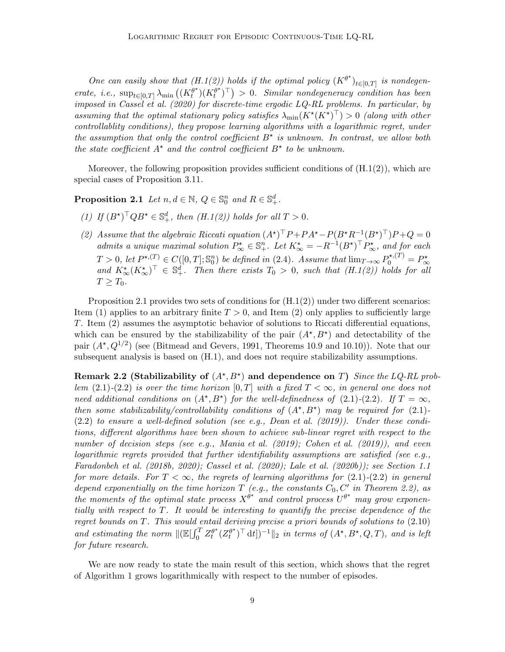One can easily show that  $(H.1(2))$  $(H.1(2))$  $(H.1(2))$  holds if the optimal policy  $(K^{\theta^*})_{t\in[0,T]}$  is nondegenerate, i.e.,  $\sup_{t\in[0,T]}\lambda_{\min}\left(\left(K_t^{\theta^*}\right)\right)$  $\binom{\theta^{\star}}{t}(K_t^{\theta^{\star}})$  $\binom{\theta^{\star}}{t}$ <sup>T</sup> $) > 0$ . Similar nondegeneracy condition has been imposed in [Cassel et al. \(2020](#page-30-7)) for discrete-time ergodic LQ-RL problems. In particular, by assuming that the optimal stationary policy satisfies  $\lambda_{\min}(K^{\star}(K^{\star})^{\top}) > 0$  (along with other controllablity conditions), they propose learning algorithms with a logarithmic regret, under the assumption that only the control coefficient  $B^*$  is unknown. In contrast, we allow both the state coefficient  $A^*$  and the control coefficient  $B^*$  to be unknown.

<span id="page-8-0"></span>Moreover, the following proposition provides sufficient conditions of  $(H.1(2))$  $(H.1(2))$  $(H.1(2))$ , which are special cases of Proposition [3.11.](#page-24-0)

<span id="page-8-2"></span>**Proposition 2.1** Let  $n, d \in \mathbb{N}$ ,  $Q \in \mathbb{S}_0^n$  and  $R \in \mathbb{S}_+^d$ .

- <span id="page-8-3"></span>(1) If  $(B^{\star})^{\top} Q B^{\star} \in \mathbb{S}_{+}^{d}$ , then  $(H.1(2))$  $(H.1(2))$  $(H.1(2))$  holds for all  $T > 0$ .
- (2) Assume that the algebraic Riccati equation  $(A^{\star})^{\top}P + PA^{\star} P(B^{\star}R^{-1}(B^{\star})^{\top})P + Q = 0$ admits a unique maximal solution  $P^{\star}_{\infty} \in \mathbb{S}^n_+$ . Let  $K^{\star}_{\infty} = -R^{-1}(B^{\star})^{\top} P^{\star}_{\infty}$ , and for each  $T > 0$ , let  $P^{\star,(T)} \in C([0,T]; \mathbb{S}_0^n)$  be defined in [\(2.4\)](#page-5-1). Assume that  $\lim_{T \to \infty} P_0^{\star,(T)} = P_{\infty}^{\star}$ and  $K_{\infty}^{*}(K_{\infty}^{*})^{\top} \in \mathbb{S}_{+}^{d}$ . Then there exists  $T_0 > 0$ , such that  $(H.1(2))$  $(H.1(2))$  $(H.1(2))$  holds for all  $T > T_0$ .

Proposition [2.1](#page-8-0) provides two sets of conditions for  $(H.1(2))$  $(H.1(2))$  $(H.1(2))$  under two different scenarios: Item [\(1\)](#page-8-2) applies to an arbitrary finite  $T > 0$ , and Item [\(2\)](#page-8-3) only applies to sufficiently large T. Item [\(2\)](#page-8-3) assumes the asymptotic behavior of solutions to Riccati differential equations, which can be ensured by the stabilizability of the pair  $(A^{\star}, B^{\star})$  and detectability of the pair  $(A^*, Q^{1/2})$  (see [\(Bitmead and Gevers](#page-30-11), [1991](#page-30-11), Theorems 10.9 and 10.10)). Note that our subsequent analysis is based on (H[.1\)](#page-7-2), and does not require stabilizability assumptions.

Remark 2.2 (Stabilizability of  $(A^*, B^*)$  and dependence on T) Since the LQ-RL problem  $(2.1)-(2.2)$  $(2.1)-(2.2)$  $(2.1)-(2.2)$  is over the time horizon  $[0,T]$  with a fixed  $T < \infty$ , in general one does not need additional conditions on  $(A^*, B^*)$  for the well-definedness of  $(2.1)-(2.2)$  $(2.1)-(2.2)$  $(2.1)-(2.2)$ . If  $T = \infty$ , then some stabilizability/controllability conditions of  $(A^{\star}, B^{\star})$  may be required for [\(2.1\)](#page-4-0)- $(2.2)$  to ensure a well-defined solution (see e.g., Dean et al.  $(2019)$ ). Under these conditions, different algorithms have been shown to achieve sub-linear regret with respect to the number of decision steps (see e.g., [Mania et al. \(2019](#page-32-3)); [Cohen](#page-30-5) et al. [\(2019](#page-30-5))), and even logarithmic regrets provided that further identifiability assumptions are satisfied (see e.g., [Faradonbeh et al. \(2018b,](#page-31-7) [2020](#page-31-8)); [Cassel et al. \(2020\)](#page-30-7); [Lale et](#page-32-6) al. [\(2020b](#page-32-6))); see Section [1.1](#page-0-0) for more details. For  $T < \infty$ , the regrets of learning algorithms for  $(2.1)-(2.2)$  $(2.1)-(2.2)$  $(2.1)-(2.2)$  in general depend exponentially on the time horizon  $T$  (e.g., the constants  $C_0$ ,  $C'$  in Theorem [2.2\)](#page-8-1), as the moments of the optimal state process  $X^{\hat{\theta}^*}$  and control process  $U^{\theta^*}$  may grow exponentially with respect to T. It would be interesting to quantify the precise dependence of the regret bounds on T. This would entail deriving precise a priori bounds of solutions to [\(2.10\)](#page-6-4) and estimating the norm  $\Vert (\mathbb{E}[\int_0^T Z_t^{\theta^{\star}})]$  $\int_t^{\theta^{\star}} (Z^{\theta^{\star}}_t)$  $(t^{(t)})^{\top}$  dt])<sup>-1</sup> $||_2$  in terms of  $(A^{\star}, B^{\star}, Q, T)$ , and is left for future research.

<span id="page-8-1"></span>We are now ready to state the main result of this section, which shows that the regret of Algorithm [1](#page-7-1) grows logarithmically with respect to the number of episodes.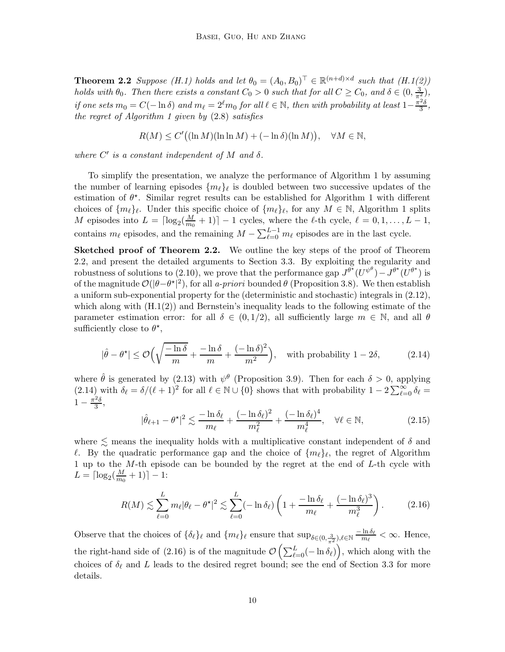**Theorem 2.2** Suppose  $(H.1)$  $(H.1)$  holds and let  $\theta_0 = (A_0, B_0)^{\top} \in \mathbb{R}^{(n+d)\times d}$  such that  $(H.1(2))$  $(H.1(2))$  $(H.1(2))$ holds with  $\theta_0$ . Then there exists a constant  $C_0 > 0$  such that for all  $C \ge C_0$ , and  $\delta \in (0, \frac{3}{\pi^2})$ , if one sets  $m_0 = C(-\ln \delta)$  and  $m_\ell = 2^\ell m_0$  for all  $\ell \in \mathbb{N}$ , then with probability at least  $1-\frac{\pi^2\delta}{3}$  $\frac{z_{\delta}}{3}$ the regret of Algorithm [1](#page-7-1) given by  $(2.8)$  satisfies

$$
R(M) \le C'((\ln M)(\ln \ln M) + (-\ln \delta)(\ln M)), \quad \forall M \in \mathbb{N},
$$

where  $C'$  is a constant independent of M and  $\delta$ .

To simplify the presentation, we analyze the performance of Algorithm [1](#page-7-1) by assuming the number of learning episodes  $\{m_{\ell}\}_{\ell}$  is doubled between two successive updates of the estimation of  $\theta^*$ . Similar regret results can be established for Algorithm [1](#page-7-1) with different choices of  $\{m_\ell\}_\ell$ . Under this specific choice of  $\{m_\ell\}_\ell$ , for any  $M \in \mathbb{N}$ , Algorithm [1](#page-7-1) splits *M* episodes into  $L = \lceil \log_2(\frac{M}{m_0}) \rceil$  $\left[\frac{M}{m_0}+1\right]$  – 1 cycles, where the  $\ell$ -th cycle,  $\ell = 0, 1, \ldots, L-1$ , contains  $m_{\ell}$  episodes, and the remaining  $M - \sum_{\ell=0}^{L-1} m_{\ell}$  episodes are in the last cycle.

Sketched proof of Theorem [2.2.](#page-8-1) We outline the key steps of the proof of Theorem [2.2,](#page-8-1) and present the detailed arguments to Section [3.3.](#page-19-0) By exploiting the regularity and robustness of solutions to [\(2.10\)](#page-6-4), we prove that the performance gap  $J^{\theta^*}(U^{\psi^{\theta}}) - J^{\theta^*}(U^{\theta^*})$  is of the magnitude  $\mathcal{O}(|\theta - \theta^*|^2)$ , for all a-priori bounded  $\theta$  (Proposition [3.8\)](#page-20-0). We then establish a uniform sub-exponential property for the (deterministic and stochastic) integrals in [\(2.12\)](#page-6-1), which along with  $(H.1(2))$  $(H.1(2))$  $(H.1(2))$  and Bernstein's inequality leads to the following estimate of the parameter estimation error: for all  $\delta \in (0,1/2)$ , all sufficiently large  $m \in \mathbb{N}$ , and all  $\theta$ sufficiently close to  $\theta^*$ ,

<span id="page-9-0"></span>
$$
|\hat{\theta} - \theta^{\star}| \le \mathcal{O}\left(\sqrt{\frac{-\ln \delta}{m}} + \frac{-\ln \delta}{m} + \frac{(-\ln \delta)^2}{m^2}\right), \quad \text{with probability } 1 - 2\delta,
$$
 (2.14)

where  $\hat{\theta}$  is generated by [\(2.13\)](#page-6-2) with  $\psi^{\theta}$  (Proposition [3.9\)](#page-21-0). Then for each  $\delta > 0$ , applying  $(2.14)$  with  $\delta_{\ell} = \delta/(\ell+1)^2$  for all  $\ell \in \mathbb{N} \cup \{0\}$  shows that with probability  $1 - 2 \sum_{\ell=0}^{\infty} \delta_{\ell} =$  $1-\frac{\pi^2\delta}{3}$  $\frac{2\delta}{3}$ ,

<span id="page-9-1"></span>
$$
|\hat{\theta}_{\ell+1} - \theta^{\star}|^2 \lesssim \frac{-\ln \delta_{\ell}}{m_{\ell}} + \frac{(-\ln \delta_{\ell})^2}{m_{\ell}^2} + \frac{(-\ln \delta_{\ell})^4}{m_{\ell}^4}, \quad \forall \ell \in \mathbb{N},
$$
\n(2.15)

where  $\lesssim$  means the inequality holds with a multiplicative constant independent of  $\delta$  and l. By the quadratic performance gap and the choice of  $\{m_{\ell}\}_{\ell}$ , the regret of Algorithm [1](#page-7-1) up to the M-th episode can be bounded by the regret at the end of L-th cycle with  $L = \lceil \log_2(\frac{M}{m_0}) \rceil$  $\frac{M}{m_0} + 1)$ ] - 1:

$$
R(M) \lesssim \sum_{\ell=0}^{L} m_{\ell} |\theta_{\ell} - \theta^{\star}|^2 \lesssim \sum_{\ell=0}^{L} (-\ln \delta_{\ell}) \left( 1 + \frac{-\ln \delta_{\ell}}{m_{\ell}} + \frac{(-\ln \delta_{\ell})^3}{m_{\ell}^3} \right). \tag{2.16}
$$

Observe that the choices of  $\{\delta_\ell\}_\ell$  and  $\{m_\ell\}_\ell$  ensure that  $\sup_{\delta \in (0, \frac{3}{\pi^2}), \ell \in \mathbb{N}} \frac{-\ln \delta_\ell}{m_\ell} < \infty$ . Hence, the right-hand side of [\(2.16\)](#page-9-1) is of the magnitude  $\mathcal{O}\left(\sum_{\ell=0}^{L}(-\ln \delta_{\ell})\right)$ , which along with the choices of  $\delta_{\ell}$  and L leads to the desired regret bound; see the end of Section [3.3](#page-19-0) for more details.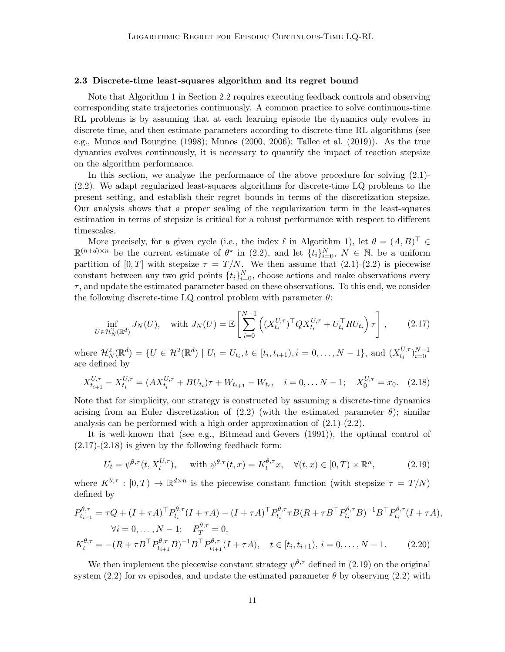#### 2.3 Discrete-time least-squares algorithm and its regret bound

Note that Algorithm [1](#page-7-1) in Section [2.2](#page-6-5) requires executing feedback controls and observing corresponding state trajectories continuously. A common practice to solve continuous-time RL problems is by assuming that at each learning episode the dynamics only evolves in discrete time, and then estimate parameters according to discrete-time RL algorithms (see e.g., [Munos and Bourgine \(1998](#page-32-8)); [Munos \(2000](#page-32-9), [2006](#page-32-7)); [Tallec](#page-32-12) et al. [\(2019](#page-32-12))). As the true dynamics evolves continuously, it is necessary to quantify the impact of reaction stepsize on the algorithm performance.

In this section, we analyze the performance of the above procedure for solving [\(2.1\)](#page-4-0)- [\(2.2\)](#page-5-0). We adapt regularized least-squares algorithms for discrete-time LQ problems to the present setting, and establish their regret bounds in terms of the discretization stepsize. Our analysis shows that a proper scaling of the regularization term in the least-squares estimation in terms of stepsize is critical for a robust performance with respect to different timescales.

More precisely, for a given cycle (i.e., the index  $\ell$  in Algorithm [1\)](#page-7-1), let  $\theta = (A, B)^{\top} \in$  $\mathbb{R}^{(n+d)\times n}$  be the current estimate of  $\theta^*$  in [\(2.2\)](#page-5-0), and let  $\{t_i\}_{i=0}^N$ ,  $N \in \mathbb{N}$ , be a uniform partition of  $[0, T]$  with stepsize  $\tau = T/N$ . We then assume that  $(2.1)-(2.2)$  $(2.1)-(2.2)$  is piecewise constant between any two grid points  $\{t_i\}_{i=0}^N$ , choose actions and make observations every  $\tau$ , and update the estimated parameter based on these observations. To this end, we consider the following discrete-time LQ control problem with parameter  $\theta$ :

<span id="page-10-0"></span>
$$
\inf_{U \in \mathcal{H}_N^2(\mathbb{R}^d)} J_N(U), \quad \text{with } J_N(U) = \mathbb{E} \left[ \sum_{i=0}^{N-1} \left( (X_{t_i}^{U,\tau})^\top Q X_{t_i}^{U,\tau} + U_{t_i}^\top R U_{t_i} \right) \tau \right], \tag{2.17}
$$

where  $\mathcal{H}_N^2(\mathbb{R}^d) = \{U \in \mathcal{H}^2(\mathbb{R}^d) \mid U_t = U_{t_i}, t \in [t_i, t_{i+1}), i = 0, \ldots, N-1\}$ , and  $(X_{t_i}^{U, \tau})$  $_{t_i}^{U,\tau}$ <sub>i=0</sub><sup> $_{i=0}^{N-1}$ </sup> are defined by

<span id="page-10-1"></span>
$$
X_{t_{i+1}}^{U,\tau} - X_{t_i}^{U,\tau} = (AX_{t_i}^{U,\tau} + BU_{t_i})\tau + W_{t_{i+1}} - W_{t_i}, \quad i = 0, \dots N - 1; \quad X_0^{U,\tau} = x_0. \tag{2.18}
$$

Note that for simplicity, our strategy is constructed by assuming a discrete-time dynamics arising from an Euler discretization of  $(2.2)$  (with the estimated parameter  $\theta$ ); similar analysis can be performed with a high-order approximation of  $(2.1)-(2.2)$  $(2.1)-(2.2)$ .

It is well-known that (see e.g., [Bitmead and Gevers \(1991](#page-30-11))), the optimal control of  $(2.17)-(2.18)$  $(2.17)-(2.18)$  $(2.17)-(2.18)$  is given by the following feedback form:

<span id="page-10-3"></span><span id="page-10-2"></span>
$$
U_t = \psi^{\theta,\tau}(t, X_t^{U,\tau}), \quad \text{ with } \psi^{\theta,\tau}(t,x) = K_t^{\theta,\tau}x, \quad \forall (t,x) \in [0,T) \times \mathbb{R}^n,
$$
 (2.19)

where  $K^{\theta,\tau} : [0,T) \to \mathbb{R}^{d \times n}$  is the piecewise constant function (with stepsize  $\tau = T/N$ ) defined by

$$
P_{t_{i-1}}^{\theta,\tau} = \tau Q + (I + \tau A)^{\top} P_{t_i}^{\theta,\tau} (I + \tau A) - (I + \tau A)^{\top} P_{t_i}^{\theta,\tau} \tau B (R + \tau B^{\top} P_{t_i}^{\theta,\tau} B)^{-1} B^{\top} P_{t_i}^{\theta,\tau} (I + \tau A),
$$
  
\n
$$
\forall i = 0, ..., N - 1; \quad P_T^{\theta,\tau} = 0,
$$
  
\n
$$
K_t^{\theta,\tau} = -(R + \tau B^{\top} P_{t_{i+1}}^{\theta,\tau} B)^{-1} B^{\top} P_{t_{i+1}}^{\theta,\tau} (I + \tau A), \quad t \in [t_i, t_{i+1}), i = 0, ..., N - 1.
$$
 (2.20)

We then implement the piecewise constant strategy  $\psi^{\theta,\tau}$  defined in [\(2.19\)](#page-10-2) on the original system [\(2.2\)](#page-5-0) for m episodes, and update the estimated parameter  $\theta$  by observing (2.2) with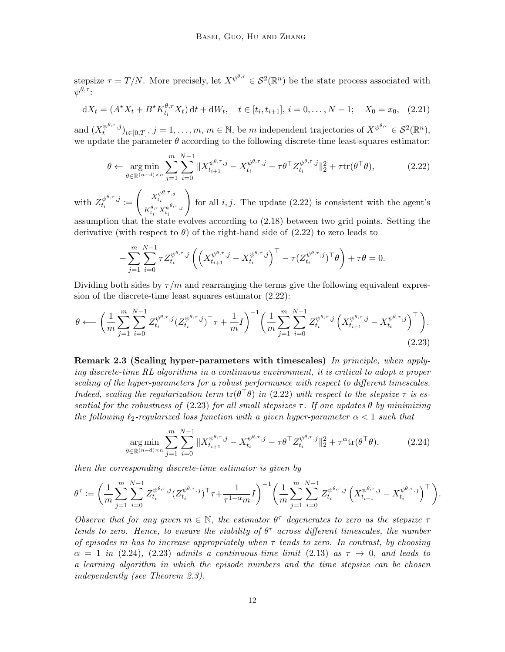stepsize  $\tau = T/N$ . More precisely, let  $X^{\psi^{\theta,\tau}} \in \mathcal{S}^2(\mathbb{R}^n)$  be the state process associated with  $\psi^{\theta,\tau}$  :

<span id="page-11-4"></span>
$$
dX_t = (A^*X_t + B^*K_{t_i}^{\theta, \tau} X_t) dt + dW_t, \quad t \in [t_i, t_{i+1}], i = 0, \dots, N-1; \quad X_0 = x_0, \tag{2.21}
$$

and  $(X_t^{\psi^{\theta,\tau},j})$  $\psi^{\theta,\tau},j}_{t}(t_{\tau},\mathbf{y})_{t\in[0,T]},\ j=1,\ldots,m,\ m\in\mathbb{N},\ \text{be}\ m\ \text{independent trajectories of}\ X^{\psi^{\theta,\tau}}\in\mathcal{S}^2(\mathbb{R}^n),$ we update the parameter  $\theta$  according to the following discrete-time least-squares estimator:

<span id="page-11-1"></span>
$$
\theta \leftarrow \underset{\theta \in \mathbb{R}^{(n+d)\times n}}{\arg \min} \sum_{j=1}^{m} \sum_{i=0}^{N-1} \|X_{t_{i+1}}^{\psi^{\theta,\tau},j} - X_{t_i}^{\psi^{\theta,\tau},j} - \tau \theta^{\top} Z_{t_i}^{\psi^{\theta,\tau},j} \|_{2}^{2} + \tau \text{tr}(\theta^{\top}\theta), \tag{2.22}
$$

with  $Z_{t_i}^{\psi^{\theta,\tau},j}$  $\frac{w}{t_i}^{y \rightarrow y} \coloneqq$  $\left( X_t^{\psi^{\theta,\tau},j} \right)$  $t_i$  $K^{\theta,\tau}_{t_i} X^{\psi^{\theta,\tau},j}_{t_i}$  $t_i$  $\setminus$ for all  $i, j$ . The update  $(2.22)$  is consistent with the agent's

assumption that the state evolves according to [\(2.18\)](#page-10-1) between two grid points. Setting the derivative (with respect to  $\theta$ ) of the right-hand side of [\(2.22\)](#page-11-1) to zero leads to

<span id="page-11-2"></span>
$$
-\sum_{j=1}^m \sum_{i=0}^{N-1} \tau Z_{t_i}^{\psi^{\theta,\tau},j} \left( \left( X_{t_{i+1}}^{\psi^{\theta,\tau},j} - X_{t_i}^{\psi^{\theta,\tau},j} \right)^\top - \tau (Z_{t_i}^{\psi^{\theta,\tau},j})^\top \theta \right) + \tau \theta = 0.
$$

Dividing both sides by  $\tau/m$  and rearranging the terms give the following equivalent expression of the discrete-time least squares estimator [\(2.22\)](#page-11-1):

$$
\theta \longleftarrow \left(\frac{1}{m} \sum_{j=1}^{m} \sum_{i=0}^{N-1} Z_{t_i}^{\psi^{\theta,\tau},j} (Z_{t_i}^{\psi^{\theta,\tau},j})^\top \tau + \frac{1}{m} I\right)^{-1} \left(\frac{1}{m} \sum_{j=1}^{m} \sum_{i=0}^{N-1} Z_{t_i}^{\psi^{\theta,\tau},j} \left(X_{t_{i+1}}^{\psi^{\theta,\tau},j} - X_{t_i}^{\psi^{\theta,\tau},j}\right)^\top\right). \tag{2.23}
$$

<span id="page-11-0"></span>Remark 2.3 (Scaling hyper-parameters with timescales) In principle, when applying discrete-time RL algorithms in a continuous environment, it is critical to adopt a proper scaling of the hyper-parameters for a robust performance with respect to different timescales. Indeed, scaling the regularization term  $\text{tr}(\theta^{\top}\theta)$  in [\(2.22\)](#page-11-1) with respect to the stepsize  $\tau$  is es-sential for the robustness of [\(2.23\)](#page-11-2) for all small stepsizes  $\tau$ . If one updates  $\theta$  by minimizing the following  $\ell_2$ -regularized loss function with a given hyper-parameter  $\alpha < 1$  such that

<span id="page-11-3"></span>
$$
\underset{\theta \in \mathbb{R}^{(n+d)\times n}}{\arg \min} \sum_{j=1}^{m} \sum_{i=0}^{N-1} \|X_{t_{i+1}}^{\psi^{\theta,\tau},j} - X_{t_i}^{\psi^{\theta,\tau},j} - \tau \theta^{\top} Z_{t_i}^{\psi^{\theta,\tau},j} \|_{2}^{2} + \tau^{\alpha} \text{tr}(\theta^{\top}\theta), \tag{2.24}
$$

then the corresponding discrete-time estimator is given by

$$
\theta^{\tau} := \left(\frac{1}{m} \sum_{j=1}^{m} \sum_{i=0}^{N-1} Z_{t_i}^{\psi^{\theta,\tau},j} (Z_{t_i}^{\psi^{\theta,\tau},j})^{\top} \tau + \frac{1}{\tau^{1-\alpha}m} I\right)^{-1} \left(\frac{1}{m} \sum_{j=1}^{m} \sum_{i=0}^{N-1} Z_{t_i}^{\psi^{\theta,\tau},j} \left(X_{t_{i+1}}^{\psi^{\theta,\tau},j} - X_{t_i}^{\psi^{\theta,\tau},j}\right)^{\top}\right).
$$

Observe that for any given  $m \in \mathbb{N}$ , the estimator  $\theta^{\tau}$  degenerates to zero as the stepsize  $\tau$ tends to zero. Hence, to ensure the viability of  $\theta^{\tau}$  across different timescales, the number of episodes m has to increase appropriately when  $\tau$  tends to zero. In contrast, by choosing  $\alpha = 1$  in [\(2.24\)](#page-11-3), [\(2.23\)](#page-11-2) admits a continuous-time limit [\(2.13\)](#page-6-2) as  $\tau \to 0$ , and leads to a learning algorithm in which the episode numbers and the time stepsize can be chosen independently (see Theorem [2.3\)](#page-12-0).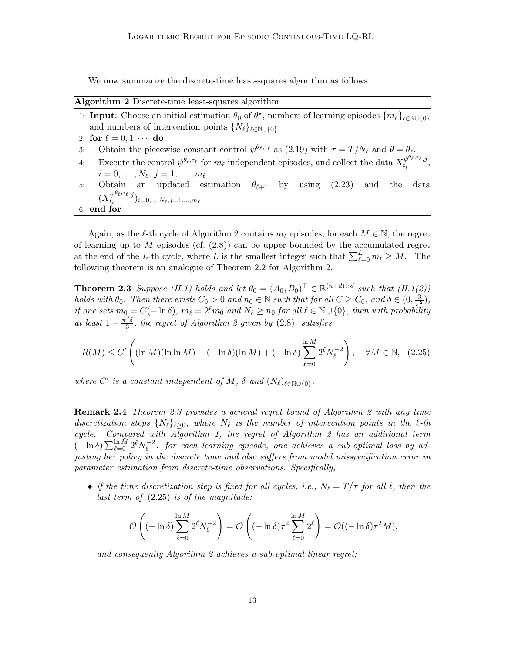<span id="page-12-1"></span>We now summarize the discrete-time least-squares algorithm as follows.

#### Algorithm 2 Discrete-time least-squares algorithm

- 1: **Input:** Choose an initial estimation  $\theta_0$  of  $\theta^*$ , numbers of learning episodes  $\{m_\ell\}_{\ell \in \mathbb{N} \cup \{0\}}$ and numbers of intervention points  $\{N_{\ell}\}_{{\ell \in \mathbb{N}} \cup \{0\}}$ . 2: for  $\ell = 0, 1, \cdots$  do<br>3: Obtain the piece 3: Obtain the piecewise constant control  $\psi^{\theta_{\ell}, \tau_{\ell}}$  as [\(2.19\)](#page-10-2) with  $\tau = T/N_{\ell}$  and  $\theta = \theta_{\ell}$ . 4: Execute the control  $\psi^{\theta_{\ell},\tau_{\ell}}$  for  $m_{\ell}$  independent episodes, and collect the data  $X_{t_i}^{\psi^{\theta_{\ell},\tau_{\ell}},j}$  $\frac{\psi}{t_i}^{\epsilon,\epsilon,\epsilon},j$ ,
- $i=0,\ldots,N_\ell, j=1,\ldots,m_\ell.$ 5: Obtain an updated estimation  $\theta_{\ell+1}$  by using [\(2.23\)](#page-11-2) and the data  $(X_{t_i}^{\psi^{\theta_\ell, \tau_\ell}, j}$  $\binom{w}{t_i}^{i}i=0,\ldots,N_\ell,j=1,\ldots,m_\ell$ .

6: end for

Again, as the  $\ell$ -th cycle of Algorithm [2](#page-12-1) contains  $m_\ell$  episodes, for each  $M \in \mathbb{N}$ , the regret of learning up to M episodes (cf.  $(2.8)$ ) can be upper bounded by the accumulated regret at the end of the L-th cycle, where L is the smallest integer such that  $\sum_{\ell=0}^{L} m_{\ell} \geq M$ . The following theorem is an analogue of Theorem [2.2](#page-8-1) for Algorithm [2.](#page-12-1)

<span id="page-12-0"></span>**Theorem 2.3** Suppose  $(H.1)$  $(H.1)$  holds and let  $\theta_0 = (A_0, B_0)^{\top} \in \mathbb{R}^{(n+d)\times d}$  such that  $(H.1(2))$  $(H.1(2))$  $(H.1(2))$ holds with  $\theta_0$ . Then there exists  $C_0 > 0$  and  $n_0 \in \mathbb{N}$  such that for all  $C \geq C_0$ , and  $\delta \in (0, \frac{3}{\pi^2})$ , if one sets  $m_0 = C(-\ln \delta)$ ,  $m_\ell = 2^\ell m_0$  and  $N_\ell \ge n_0$  for all  $\ell \in \mathbb{N} \cup \{0\}$ , then with probability at least  $1 - \frac{\pi^2 \delta}{3}$  $\frac{2}{3}$ , the regret of Algorithm [2](#page-12-1) given by  $(2.8)$  satisfies

$$
R(M) \le C' \left( (\ln M)(\ln \ln M) + (-\ln \delta)(\ln M) + (-\ln \delta) \sum_{\ell=0}^{\ln M} 2^{\ell} N_{\ell}^{-2} \right), \quad \forall M \in \mathbb{N}, \ (2.25)
$$

where  $C'$  is a constant independent of M,  $\delta$  and  $(N_{\ell})_{\ell \in \mathbb{N} \cup \{0\}}$ .

Remark 2.4 Theorem [2.3](#page-12-0) provides a general regret bound of Algorithm [2](#page-12-1) with any time discretization steps  $\{N_{\ell}\}_{{\ell} \geq 0}$ , where  $N_{\ell}$  is the number of intervention points in the  $\ell$ -th cycle. Compared with Algorithm [1,](#page-7-1) the regret of Algorithm [2](#page-12-1) has an additional term  $(-\ln \delta) \sum_{\ell=0}^{\ln M} 2^{\ell} N_{\ell}^{-2}$ : for each learning episode, one achieves a sub-optimal loss by adjusting her policy in the discrete time and also suffers from model misspecification error in parameter estimation from discrete-time observations. Specifically,

• if the time discretization step is fixed for all cycles, i.e.,  $N_{\ell} = T/\tau$  for all  $\ell$ , then the last term of  $(2.25)$  is of the magnitude:

<span id="page-12-2"></span>
$$
\mathcal{O}\left((-\ln \delta)\sum_{\ell=0}^{\ln M} 2^{\ell} N_{\ell}^{-2}\right) = \mathcal{O}\left((-\ln \delta)\tau^{2}\sum_{\ell=0}^{\ln M} 2^{\ell}\right) = \mathcal{O}((-\ln \delta)\tau^{2} M),
$$

and consequently Algorithm [2](#page-12-1) achieves a sub-optimal linear regret;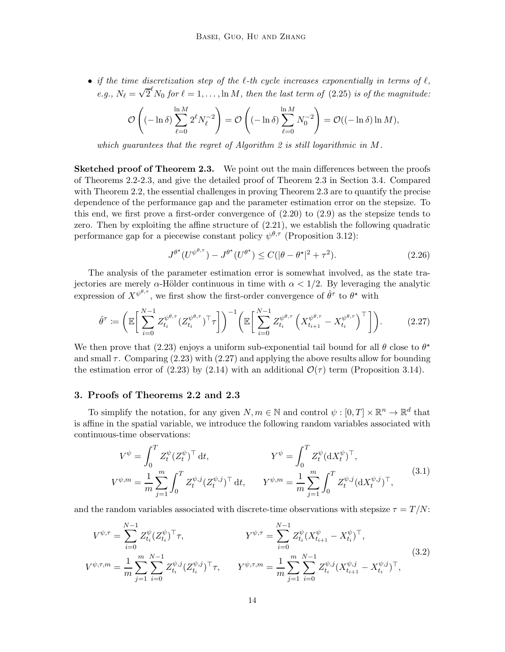• if the time discretization step of the  $\ell$ -th cycle increases exponentially in terms of  $\ell$ , e.g.,  $N_{\ell} = \sqrt{2}^{\ell} N_0$  for  $\ell = 1, \ldots, \ln M$ , then the last term of [\(2.25\)](#page-12-2) is of the magnitude:

$$
\mathcal{O}\left((-\ln \delta)\sum_{\ell=0}^{\ln M} 2^{\ell} N_{\ell}^{-2}\right) = \mathcal{O}\left((-\ln \delta)\sum_{\ell=0}^{\ln M} N_{0}^{-2}\right) = \mathcal{O}((-\ln \delta)\ln M),
$$

which guarantees that the regret of Algorithm [2](#page-12-1) is still logarithmic in M.

**Sketched proof of Theorem [2.3.](#page-12-0)** We point out the main differences between the proofs of Theorems [2.2-](#page-8-1)[2.3,](#page-12-0) and give the detailed proof of Theorem [2.3](#page-12-0) in Section [3.4.](#page-26-0) Compared with Theorem [2.2,](#page-8-1) the essential challenges in proving Theorem [2.3](#page-12-0) are to quantify the precise dependence of the performance gap and the parameter estimation error on the stepsize. To this end, we first prove a first-order convergence of  $(2.20)$  to  $(2.9)$  as the stepsize tends to zero. Then by exploiting the affine structure of [\(2.21\)](#page-11-4), we establish the following quadratic performance gap for a piecewise constant policy  $\psi^{\theta,\tau}$  (Proposition [3.12\)](#page-26-1):

<span id="page-13-0"></span>
$$
J^{\theta^{\star}}(U^{\psi^{\theta,\tau}}) - J^{\theta^{\star}}(U^{\theta^{\star}}) \le C(|\theta - \theta^{\star}|^2 + \tau^2). \tag{2.26}
$$

The analysis of the parameter estimation error is somewhat involved, as the state trajectories are merely  $\alpha$ -Hölder continuous in time with  $\alpha < 1/2$ . By leveraging the analytic expression of  $X^{\psi^{\theta,\tau}}$ , we first show the first-order convergence of  $\hat{\theta}^{\tau}$  to  $\theta^{\star}$  with

$$
\hat{\theta}^{\tau} := \left(\mathbb{E}\bigg[\sum_{i=0}^{N-1} Z_{t_i}^{\psi^{\theta,\tau}} (Z_{t_i}^{\psi^{\theta,\tau}})^{\top} \tau\bigg]\right)^{-1} \left(\mathbb{E}\bigg[\sum_{i=0}^{N-1} Z_{t_i}^{\psi^{\theta,\tau}} \left(X_{t_{i+1}}^{\psi^{\theta,\tau}} - X_{t_i}^{\psi^{\theta,\tau}}\right)^{\top}\bigg]\right). \tag{2.27}
$$

We then prove that [\(2.23\)](#page-11-2) enjoys a uniform sub-exponential tail bound for all  $\theta$  close to  $\theta^*$ and small  $\tau$ . Comparing [\(2.23\)](#page-11-2) with [\(2.27\)](#page-13-0) and applying the above results allow for bounding the estimation error of [\(2.23\)](#page-11-2) by [\(2.14\)](#page-9-0) with an additional  $\mathcal{O}(\tau)$  term (Proposition [3.14\)](#page-28-0).

#### 3. Proofs of Theorems [2.2](#page-8-1) and [2.3](#page-12-0)

To simplify the notation, for any given  $N, m \in \mathbb{N}$  and control  $\psi : [0, T] \times \mathbb{R}^n \to \mathbb{R}^d$  that is affine in the spatial variable, we introduce the following random variables associated with continuous-time observations:

<span id="page-13-2"></span><span id="page-13-1"></span>
$$
V^{\psi} = \int_0^T Z_t^{\psi} (Z_t^{\psi})^{\top} dt, \qquad Y^{\psi} = \int_0^T Z_t^{\psi} (dX_t^{\psi})^{\top},
$$
  

$$
V^{\psi,m} = \frac{1}{m} \sum_{j=1}^m \int_0^T Z_t^{\psi,j} (Z_t^{\psi,j})^{\top} dt, \qquad Y^{\psi,m} = \frac{1}{m} \sum_{j=1}^m \int_0^T Z_t^{\psi,j} (dX_t^{\psi,j})^{\top},
$$
 (3.1)

and the random variables associated with discrete-time observations with stepsize  $\tau = T/N$ :

$$
V^{\psi,\tau} = \sum_{i=0}^{N-1} Z_{t_i}^{\psi} (Z_{t_i}^{\psi})^{\top} \tau, \qquad \qquad Y^{\psi,\tau} = \sum_{i=0}^{N-1} Z_{t_i}^{\psi} (X_{t_{i+1}}^{\psi} - X_{t_i}^{\psi})^{\top},
$$
  
\n
$$
V^{\psi,\tau,m} = \frac{1}{m} \sum_{j=1}^{m} \sum_{i=0}^{N-1} Z_{t_i}^{\psi,j} (Z_{t_i}^{\psi,j})^{\top} \tau, \qquad Y^{\psi,\tau,m} = \frac{1}{m} \sum_{j=1}^{m} \sum_{i=0}^{N-1} Z_{t_i}^{\psi,j} (X_{t_{i+1}}^{\psi,j} - X_{t_i}^{\psi,j})^{\top},
$$
\n
$$
(3.2)
$$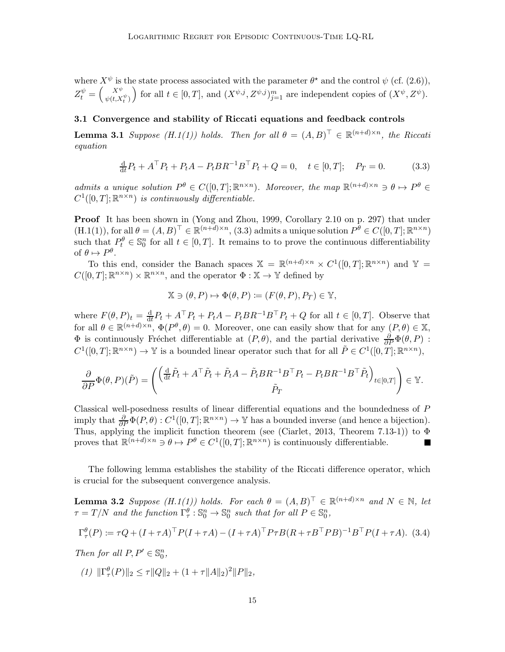where  $X^{\psi}$  is the state process associated with the parameter  $\theta^*$  and the control  $\psi$  (cf. [\(2.6\)](#page-5-2)),  $Z_t^{\psi} = \left(\frac{X^{\psi}}{\psi(t,X)}\right)$  $\begin{pmatrix} X^{\psi} \\ \psi(t, X_t^{\psi}) \end{pmatrix}$  for all  $t \in [0, T]$ , and  $(X^{\psi, j}, Z^{\psi, j})_{j=1}^m$  are independent copies of  $(X^{\psi}, Z^{\psi})$ .

## <span id="page-14-3"></span>3.1 Convergence and stability of Riccati equations and feedback controls

**Lemma 3[.1](#page-7-2)** Suppose  $(H.1(1))$  $(H.1(1))$  holds. Then for all  $\theta = (A, B)^{\top} \in \mathbb{R}^{(n+d)\times n}$ , the Riccation equation

<span id="page-14-0"></span>
$$
\frac{d}{dt}P_t + A^{\top} P_t + P_t A - P_t B R^{-1} B^{\top} P_t + Q = 0, \quad t \in [0, T]; \quad P_T = 0.
$$
 (3.3)

admits a unique solution  $P^{\theta} \in C([0,T]; \mathbb{R}^{n \times n})$ . Moreover, the map  $\mathbb{R}^{(n+d)\times n} \ni \theta \mapsto P^{\theta} \in$  $C^1([0,T];\mathbb{R}^{n\times n})$  is continuously differentiable.

Proof It has been shown in [\(Yong and Zhou, 1999](#page-33-1), Corollary 2.10 on p. 297) that under  $(H.1(1)),$  $(H.1(1)),$  $(H.1(1)),$  $(H.1(1)),$  for all  $\theta = (A, B)^{\top} \in \mathbb{R}^{(n+d)\times n}$ , [\(3.3\)](#page-14-0) admits a unique solution  $P^{\theta} \in C([0, T]; \mathbb{R}^{n\times n})$ such that  $P_t^{\theta} \in \mathbb{S}_0^n$  for all  $t \in [0, T]$ . It remains to to prove the continuous differentiability of  $\theta \mapsto P^{\theta}$ .

To this end, consider the Banach spaces  $\mathbb{X} = \mathbb{R}^{(n+d)\times n} \times C^1([0,T]; \mathbb{R}^{n\times n})$  and  $\mathbb{Y} =$  $C([0,T];\mathbb{R}^{n\times n})\times\mathbb{R}^{n\times n}$ , and the operator  $\Phi:\mathbb{X}\to\mathbb{Y}$  defined by

$$
\mathbb{X}\ni(\theta,P)\mapsto \Phi(\theta,P)\coloneqq (F(\theta,P),P_T)\in\mathbb{Y},
$$

where  $F(\theta, P)_t = \frac{d}{dt}$  $\frac{d}{dt}P_t + A^\top P_t + P_t A - P_t B R^{-1} B^\top P_t + Q$  for all  $t \in [0, T]$ . Observe that for all  $\theta \in \mathbb{R}^{(n+d)\times n}$ ,  $\Phi(P^{\theta}, \theta) = 0$ . Moreover, one can easily show that for any  $(P, \theta) \in \mathbb{X}$ ,  $\Phi$  is continuously Fréchet differentiable at  $(P, θ)$ , and the partial derivative  $\frac{\partial}{\partial P}\Phi(θ, P)$ :  $C^1([0,T];\mathbb{R}^{n\times n})\to\mathbb{Y}$  is a bounded linear operator such that for all  $\tilde{P}\in C^1([0,T];\mathbb{R}^{n\times n})$ ,

$$
\frac{\partial}{\partial P}\Phi(\theta, P)(\tilde{P}) = \begin{pmatrix} \left(\frac{\mathrm{d}}{\mathrm{d}t}\tilde{P}_t + A^\top \tilde{P}_t + \tilde{P}_t A - \tilde{P}_t B R^{-1} B^\top P_t - P_t B R^{-1} B^\top \tilde{P}_t\right)_{t \in [0, T]} \\ \tilde{P}_T \end{pmatrix} \in \mathbb{Y}.
$$

Classical well-posedness results of linear differential equations and the boundedness of P imply that  $\frac{\partial}{\partial P} \Phi(P, \theta) : C^1([0, T]; \mathbb{R}^{n \times n}) \to \mathbb{Y}$  has a bounded inverse (and hence a bijection). Thus, applying the implicit function theorem (see [\(Ciarlet](#page-30-12), [2013,](#page-30-12) Theorem 7.13-1)) to Φ proves that  $\mathbb{R}^{(n+d)\times n} \ni \theta \mapsto P^{\theta} \in C^1([0,T]; \mathbb{R}^{n\times n})$  is continuously differentiable.

<span id="page-14-4"></span>The following lemma establishes the stability of the Riccati difference operator, which is crucial for the subsequent convergence analysis.

**Lemma 3.2** Suppose  $(H.1(1))$  $(H.1(1))$  $(H.1(1))$  holds. For each  $\theta = (A, B)^{\top} \in \mathbb{R}^{(n+d)\times n}$  and  $N \in \mathbb{N}$ , let  $\tau = T/N$  and the function  $\Gamma_{\tau}^{\theta} : \mathbb{S}_0^n \to \mathbb{S}_0^n$  such that for all  $P \in \mathbb{S}_0^n$ ,

<span id="page-14-2"></span>
$$
\Gamma_{\tau}^{\theta}(P) := \tau Q + (I + \tau A)^{\top} P (I + \tau A) - (I + \tau A)^{\top} P \tau B (R + \tau B^{\top} P B)^{-1} B^{\top} P (I + \tau A). \tag{3.4}
$$

<span id="page-14-1"></span> $Then for all P, P' \in \mathbb{S}^n_0,$ 

(1)  $\|\Gamma_{\tau}^{\theta}(P)\|_2 \leq \tau \|Q\|_2 + (1 + \tau \|A\|_2)^2 \|P\|_2$ ,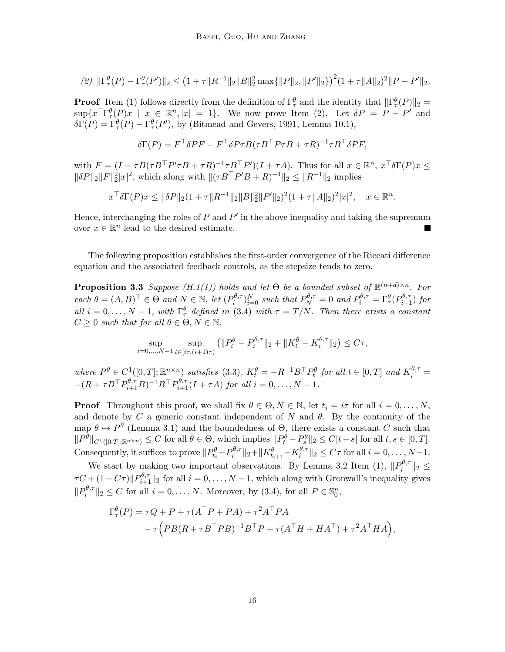<span id="page-15-0"></span>
$$
(2) \ \|\Gamma^{\theta}_{\tau}(P) - \Gamma^{\theta}_{\tau}(P')\|_{2} \leq (1 + \tau \|R^{-1}\|_{2} \|B\|_{2}^{2} \max\{\|P\|_{2}, \|P'\|_{2}\}\)^{2} (1 + \tau \|A\|_{2})^{2} \|P - P'\|_{2}.
$$

**Proof** Item [\(1\)](#page-14-1) follows directly from the definition of  $\Gamma_\tau^\theta$  and the identity that  $\|\Gamma_\tau^\theta(P)\|_2 =$  $\sup\{x^{\top}\Gamma^{\theta}_{\tau}(P)x \mid x \in \mathbb{R}^n, |x| = 1\}.$  We now prove Item [\(2\).](#page-15-0) Let  $\delta P = P - P'$  and  $\delta\Gamma(P) = \Gamma^{\theta}_{\tau}(P) - \Gamma^{\theta}_{\tau}(P'),$  by [\(Bitmead and Gevers](#page-30-11), [1991,](#page-30-11) Lemma 10.1),

$$
\delta \Gamma(P) = F^{\top} \delta P F - F^{\top} \delta P \tau B (\tau B^{\top} P \tau B + \tau R)^{-1} \tau B^{\top} \delta P F,
$$

with  $F = (I - \tau B(\tau B^{\top} P' \tau B + \tau R)^{-1} \tau B^{\top} P')(I + \tau A)$ . Thus for all  $x \in \mathbb{R}^n$ ,  $x^{\top} \delta \Gamma(P) x \le$  $\|\delta P\|_2 \|F\|_2^2 |x|^2$ , which along with  $\|(\tau B^\top P'B + R)^{-1}\|_2 \le \|R^{-1}\|_2$  implies

$$
x^{\top} \delta \Gamma(P) x \le \|\delta P\|_2 (1 + \tau \|R^{-1}\|_2 \|B\|_2^2 \|P'\|_2)^2 (1 + \tau \|A\|_2)^2 |x|^2, \quad x \in \mathbb{R}^n.
$$

Hence, interchanging the roles of  $P$  and  $P'$  in the above inequality and taking the supremum over  $x \in \mathbb{R}^n$  lead to the desired estimate.

<span id="page-15-1"></span>The following proposition establishes the first-order convergence of the Riccati difference equation and the associated feedback controls, as the stepsize tends to zero.

**Proposition 3.3** Suppose  $(H.1(1))$  $(H.1(1))$  $(H.1(1))$  holds and let  $\Theta$  be a bounded subset of  $\mathbb{R}^{(n+d)\times n}$ . For  $\operatorname{each} \theta = (A, B)^{\top} \in \Theta \text{ and } N \in \mathbb{N}, \operatorname{let}(P_i^{\theta, \tau})$  $\sum_{i=0}^{\theta,\tau} \sum_{i=0}^{N}$  such that  $P_N^{\theta,\tau} = 0$  and  $P_i^{\theta,\tau} = \Gamma_\tau^\theta(P_{i+1}^{\theta,\tau})$  for all  $i = 0, \ldots, N-1$ , with  $\Gamma^{\theta}_{\tau}$  defined in [\(3.4\)](#page-14-2) with  $\tau = T/N$ . Then there exists a constant  $C \geq 0$  such that for all  $\theta \in \Theta, N \in \mathbb{N}$ ,

$$
\sup_{i=0,\dots,N-1} \sup_{t \in [i\tau,(i+1)\tau)} \left( \|P_t^{\theta} - P_i^{\theta,\tau} \|_2 + \|K_t^{\theta} - K_i^{\theta,\tau} \|_2 \right) \le C\tau,
$$

where  $P^{\theta} \in C^1([0,T]; \mathbb{R}^{n \times n})$  satisfies [\(3.3\)](#page-14-0),  $K_t^{\theta} = -R^{-1}B^{\top}P_t^{\theta}$  for all  $t \in [0,T]$  and  $K_i^{\theta,\tau} =$  $-(R + \tau B^{\top} P_{i+1}^{\theta,\tau} B)^{-1} B^{\top} P_{i+1}^{\theta,\tau} (I + \tau A)$  for all  $i = 0, ..., N - 1$ .

**Proof** Throughout this proof, we shall fix  $\theta \in \Theta, N \in \mathbb{N}$ , let  $t_i = i\tau$  for all  $i = 0, \ldots, N$ , and denote by  $C$  a generic constant independent of  $N$  and  $\theta$ . By the continuity of the map  $\theta \mapsto P^{\theta}$  (Lemma [3.1\)](#page-14-3) and the boundedness of  $\Theta$ , there exists a constant C such that  $||P^{\theta}||_{C^{1}([0,T];\mathbb{R}^{n\times n})} \leq C$  for all  $\theta \in \Theta$ , which implies  $||P^{\theta}_{t} - P^{\theta}_{s}||_{2} \leq C|t-s|$  for all  $t, s \in [0,T]$ . Consequently, it suffices to prove  $||P_{t_i}^{\theta} - P_i^{\theta,\tau}$  $\|p^{\theta,\tau}\|_2 + \|K^{\theta}_{t_{i+1}}-K^{\theta,\tau}_i\|_2$  $\|v_i^{\sigma,\tau}\|_2 \leq C\tau$  for all  $i = 0, \ldots, N-1$ .

We start by making two important observations. By Lemma [3.2](#page-14-4) Item [\(1\),](#page-14-1)  $||P_i^{\theta,\tau}$  $i$   $||2 \le$  $\tau C + (1 + C\tau) \|P^{\theta,\tau}_{i+1}\|_2$  for all  $i = 0, \ldots, N-1$ , which along with Gronwall's inequality gives  $\|P_i^{\theta,\tau}$  $\|e^{i\theta,\tau}\|_2 \leq C$  for all  $i = 0, \ldots, N$ . Moreover, by [\(3.4\)](#page-14-2), for all  $P \in \mathbb{S}_0^n$ ,

$$
\Gamma_{\tau}^{\theta}(P) = \tau Q + P + \tau (A^{\top} P + P A) + \tau^2 A^{\top} P A
$$

$$
- \tau (PB(R + \tau B^{\top} P B)^{-1} B^{\top} P + \tau (A^{\top} H + H A^{\top}) + \tau^2 A^{\top} H A),
$$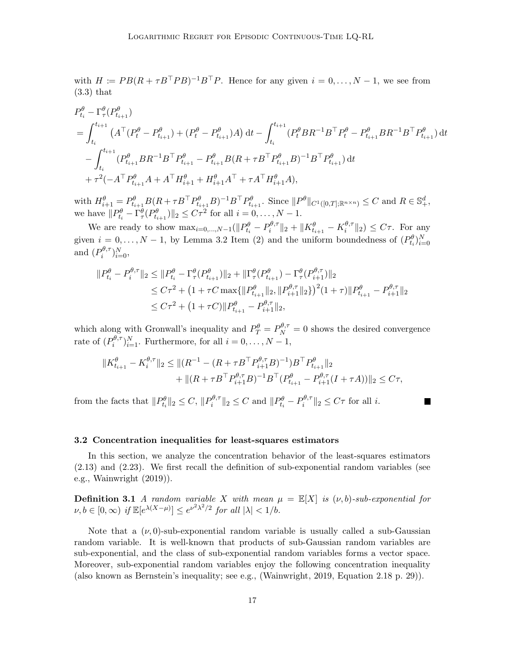with  $H := PB(R + \tau B^{\top}PB)^{-1}B^{\top}P$ . Hence for any given  $i = 0, ..., N - 1$ , we see from [\(3.3\)](#page-14-0) that

$$
P_{t_i}^{\theta} - \Gamma_{\tau}^{\theta} (P_{t_{i+1}}^{\theta})
$$
  
=  $\int_{t_i}^{t_{i+1}} (A^{\top} (P_t^{\theta} - P_{t_{i+1}}^{\theta}) + (P_t^{\theta} - P_{t_{i+1}}^{\theta})A) dt - \int_{t_i}^{t_{i+1}} (P_t^{\theta} BR^{-1} B^{\top} P_t^{\theta} - P_{t_{i+1}}^{\theta} BR^{-1} B^{\top} P_{t_{i+1}}^{\theta}) dt$   
 $- \int_{t_i}^{t_{i+1}} (P_{t_{i+1}}^{\theta} BR^{-1} B^{\top} P_{t_{i+1}}^{\theta} - P_{t_{i+1}}^{\theta} B (R + \tau B^{\top} P_{t_{i+1}}^{\theta} B)^{-1} B^{\top} P_{t_{i+1}}^{\theta}) dt$   
 $+ \tau^2 (-A^{\top} P_{t_{i+1}}^{\theta} A + A^{\top} H_{i+1}^{\theta} + H_{i+1}^{\theta} A^{\top} + \tau A^{\top} H_{i+1}^{\theta} A),$ 

with  $H_{i+1}^{\theta} = P_{t_{i+1}}^{\theta} B(R + \tau B^{\top} P_{t_{i+1}}^{\theta} B)^{-1} B^{\top} P_{t_{i+1}}^{\theta}$ . Since  $||P^{\theta}||_{C^{1}([0,T];\mathbb{R}^{n\times n})} \leq C$  and  $R \in \mathbb{S}_{+}^{d}$ , we have  $||P_{t_i}^{\theta} - \Gamma_{\tau}^{\theta}(P_{t_{i+1}}^{\theta})||_2 \leq C\tau^2$  for all  $i = 0, \ldots, N - 1$ .

We are ready to show  $\max_{i=0,\dots,N-1} (\|P^{\theta}_{t_i} - P^{\theta,\tau}_i\|)$  $\| \theta^{ \theta, \tau}_i \|_2 + \| K^{\theta}_{t_{i+1}} - K^{\theta, \tau}_i \|_2$  $\|u_i^{\sigma,\tau}\|_2 \leq C\tau$ . For any given  $i = 0, \ldots, N-1$ , by Lemma [3.2](#page-14-4) Item [\(2\)](#page-15-0) and the uniform boundedness of  $(P_{t_i}^{\theta})_{i=0}^N$ and  $(P_i^{\theta,\tau})$  $\binom{\theta,\tau}{i}$ <sub>i=0</sub>,

$$
\begin{aligned} ||P_{t_i}^{\theta} - P_i^{\theta,\tau}||_2 &\leq ||P_{t_i}^{\theta} - \Gamma_{\tau}^{\theta}(P_{t_{i+1}}^{\theta})||_2 + ||\Gamma_{\tau}^{\theta}(P_{t_{i+1}}^{\theta}) - \Gamma_{\tau}^{\theta}(P_{i+1}^{\theta,\tau})||_2 \\ &\leq C\tau^2 + \left(1 + \tau C \max\{||P_{t_{i+1}}^{\theta}||_2, ||P_{i+1}^{\theta,\tau}||_2\}\right)^2 (1+\tau) ||P_{t_{i+1}}^{\theta} - P_{i+1}^{\theta,\tau}||_2 \\ &\leq C\tau^2 + \left(1 + \tau C\right) ||P_{t_{i+1}}^{\theta} - P_{i+1}^{\theta,\tau}||_2, \end{aligned}
$$

which along with Gronwall's inequality and  $P_T^{\theta} = P_N^{\theta,\tau} = 0$  shows the desired convergence rate of  $(P_i^{\theta,\tau})$  $i^{\theta,\tau}i^{\pi}$ <sub>i</sub> Furthermore, for all  $i = 0, \ldots, N - 1$ ,

$$
||K_{t_{i+1}}^{\theta} - K_i^{\theta,\tau}||_2 \le ||(R^{-1} - (R + \tau B^{\top} P_{i+1}^{\theta,\tau} B)^{-1})B^{\top} P_{t_{i+1}}^{\theta}||_2
$$
  
+  $||(R + \tau B^{\top} P_{i+1}^{\theta,\tau} B)^{-1} B^{\top} (P_{t_{i+1}}^{\theta} - P_{i+1}^{\theta,\tau} (I + \tau A))||_2 \le C\tau,$ 

from the facts that  $||P^{\theta}_{t_i}||_2 \leq C, ||P^{\theta,\tau}_i$  $||p^{\theta,\tau}||_2 \leq C$  and  $||P^{\theta}_{t_i} - P^{\theta,\tau}_i||_2$  $\|e^{i\theta,\tau}\|_2 \leq C\tau$  for all *i*.

#### 3.2 Concentration inequalities for least-squares estimators

In this section, we analyze the concentration behavior of the least-squares estimators [\(2.13\)](#page-6-2) and [\(2.23\)](#page-11-2). We first recall the definition of sub-exponential random variables (see e.g., [Wainwright \(2019\)](#page-32-13)).

**Definition 3.1** A random variable X with mean  $\mu = \mathbb{E}[X]$  is  $(\nu, b)$ -sub-exponential for  $\nu, b \in [0, \infty)$  if  $\mathbb{E}[e^{\lambda(X-\mu)}] \leq e^{\nu^2 \lambda^2/2}$  for all  $|\lambda| < 1/b$ .

<span id="page-16-0"></span>Note that a  $(\nu, 0)$ -sub-exponential random variable is usually called a sub-Gaussian random variable. It is well-known that products of sub-Gaussian random variables are sub-exponential, and the class of sub-exponential random variables forms a vector space. Moreover, sub-exponential random variables enjoy the following concentration inequality (also known as Bernstein's inequality; see e.g., [\(Wainwright](#page-32-13), [2019](#page-32-13), Equation 2.18 p. 29)).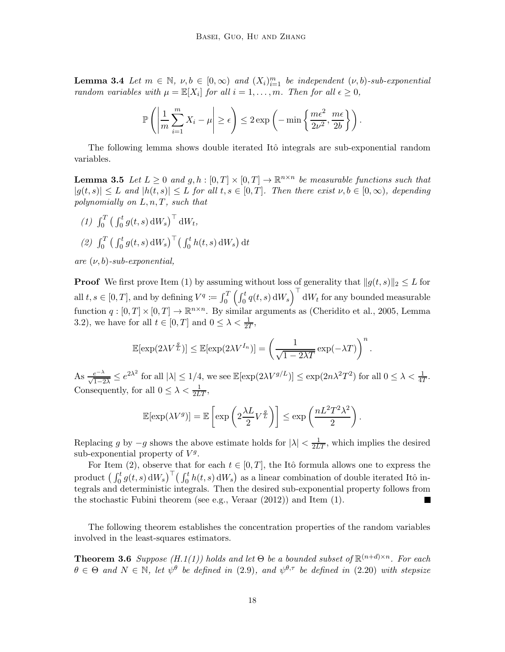**Lemma 3.4** Let  $m \in \mathbb{N}$ ,  $\nu, b \in [0, \infty)$  and  $(X_i)_{i=1}^m$  be independent  $(\nu, b)$ -sub-exponential random variables with  $\mu = \mathbb{E}[X_i]$  for all  $i = 1, ..., m$ . Then for all  $\epsilon \geq 0$ ,

$$
\mathbb{P}\left(\left|\frac{1}{m}\sum_{i=1}^{m}X_i-\mu\right|\geq\epsilon\right)\leq 2\exp\left(-\min\left\{\frac{m\epsilon^2}{2\nu^2},\frac{m\epsilon}{2b}\right\}\right).
$$

<span id="page-17-2"></span>The following lemma shows double iterated Itô integrals are sub-exponential random variables.

**Lemma 3.5** Let  $L \geq 0$  and  $g, h : [0, T] \times [0, T] \rightarrow \mathbb{R}^{n \times n}$  be measurable functions such that  $|g(t, s)| \leq L$  and  $|h(t, s)| \leq L$  for all  $t, s \in [0, T]$ . Then there exist  $\nu, b \in [0, \infty)$ , depending polynomially on  $L, n, T$ , such that

<span id="page-17-1"></span><span id="page-17-0"></span>(1)  $\int_0^T \left( \int_0^t g(t, s) dW_s \right)^{\top} dW_t$ , (2)  $\int_0^T \left( \int_0^t g(t, s) dW_s \right)^{\top} \left( \int_0^t h(t, s) dW_s \right) dt$ 

are  $(\nu, b)$ -sub-exponential,

**Proof** We first prove Item [\(1\)](#page-17-0) by assuming without loss of generality that  $||g(t, s)||_2 \leq L$  for all  $t, s \in [0, T]$ , and by defining  $V^q \coloneqq \int_0^T \left( \int_0^t q(t, s) dW_s \right)^+ dW_t$  for any bounded measurable function  $q: [0, T] \times [0, T] \to \mathbb{R}^{n \times n}$ . By similar arguments as [\(Cheridito et al.](#page-30-13), [2005](#page-30-13), Lemma 3.2), we have for all  $t \in [0, T]$  and  $0 \leq \lambda < \frac{1}{2T}$ ,

$$
\mathbb{E}[\exp(2\lambda V^{\frac{q}{L}})] \leq \mathbb{E}[\exp(2\lambda V^{I_n})] = \left(\frac{1}{\sqrt{1-2\lambda T}}\exp(-\lambda T)\right)^n.
$$

As  $\frac{e^{-\lambda}}{\sqrt{1-2\lambda}} \leq e^{2\lambda^2}$  for all  $|\lambda| \leq 1/4$ , we see  $\mathbb{E}[\exp(2\lambda V^{g/L})] \leq \exp(2n\lambda^2 T^2)$  for all  $0 \leq \lambda < \frac{1}{4T}$ . Consequently, for all  $0 \leq \lambda < \frac{1}{2LT}$ ,

$$
\mathbb{E}[\exp(\lambda V^g)] = \mathbb{E}\left[\exp\left(2\frac{\lambda L}{2}V^{\frac{g}{L}}\right)\right] \le \exp\left(\frac{nL^2T^2\lambda^2}{2}\right).
$$

Replacing g by  $-g$  shows the above estimate holds for  $|\lambda| < \frac{1}{2LT}$ , which implies the desired sub-exponential property of  $V<sup>g</sup>$ .

For Item [\(2\),](#page-17-1) observe that for each  $t \in [0, T]$ , the Itô formula allows one to express the product  $\left(\int_0^t g(t,s)\,dW_s\right)^\top \left(\int_0^t h(t,s)\,dW_s\right)$  as a linear combination of double iterated Itô integrals and deterministic integrals. Then the desired sub-exponential property follows from the stochastic Fubini theorem (see e.g., [Veraar \(2012\)](#page-32-14)) and Item [\(1\).](#page-17-0) П

<span id="page-17-3"></span>The following theorem establishes the concentration properties of the random variables involved in the least-squares estimators.

**Theorem 3.6** Suppose  $(H.1(1))$  $(H.1(1))$  $(H.1(1))$  holds and let  $\Theta$  be a bounded subset of  $\mathbb{R}^{(n+d)\times n}$ . For each  $\theta \in \Theta$  and  $N \in \mathbb{N}$ , let  $\psi^{\theta}$  be defined in [\(2.9\)](#page-6-3), and  $\psi^{\theta,\tau}$  be defined in [\(2.20\)](#page-10-3) with stepsize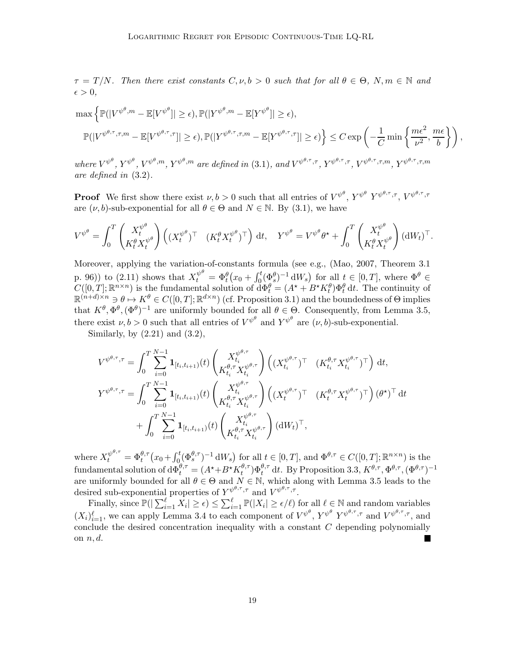$\tau = T/N$ . Then there exist constants  $C, \nu, b > 0$  such that for all  $\theta \in \Theta$ ,  $N, m \in \mathbb{N}$  and  $\epsilon > 0$ ,

$$
\max \left\{ \mathbb{P}(|V^{\psi^{\theta},m} - \mathbb{E}[V^{\psi^{\theta}}]| \geq \epsilon), \mathbb{P}(|Y^{\psi^{\theta},m} - \mathbb{E}[Y^{\psi^{\theta}}]| \geq \epsilon), \right\}
$$
  

$$
\mathbb{P}(|V^{\psi^{\theta},\tau},\tau,m - \mathbb{E}[V^{\psi^{\theta},\tau},\tau]| \geq \epsilon), \mathbb{P}(|Y^{\psi^{\theta},\tau},\tau,m - \mathbb{E}[Y^{\psi^{\theta},\tau},\tau]| \geq \epsilon) \right\} \leq C \exp\left(-\frac{1}{C} \min\left\{\frac{m\epsilon^2}{\nu^2},\frac{m\epsilon}{b}\right\}\right),
$$

where  $V^{\psi^{\theta}}, Y^{\psi^{\theta}}, W^{\psi^{\theta},m}, Y^{\psi^{\theta},m}$  are defined in [\(3.1\)](#page-13-1), and  $V^{\psi^{\theta},\tau,\tau}$ ,  $Y^{\psi^{\theta},\tau,\tau}$ ,  $V^{\psi^{\theta},\tau,\tau,m}, Y^{\psi^{\theta},\tau,\tau,m}$ are defined in [\(3.2\)](#page-13-2).

**Proof** We first show there exist  $\nu, b > 0$  such that all entries of  $V^{\psi^{\theta}}, Y^{\psi^{\theta}, \tau}, \nabla \psi^{\theta, \tau}, \tau, V^{\psi^{\theta, \tau}, \tau}$ are  $(\nu, b)$ -sub-exponential for all  $\theta \in \Theta$  and  $N \in \mathbb{N}$ . By [\(3.1\)](#page-13-1), we have

$$
V^{\psi^{\theta}} = \int_0^T \begin{pmatrix} X_t^{\psi^{\theta}} \\ K_t^{\theta} X_t^{\psi^{\theta}} \end{pmatrix} \left( (X_t^{\psi^{\theta}})^{\top} \quad (K_t^{\theta} X_t^{\psi^{\theta}})^{\top} \right) dt, \quad Y^{\psi^{\theta}} = V^{\psi^{\theta}} \theta^{\star} + \int_0^T \begin{pmatrix} X_t^{\psi^{\theta}} \\ K_t^{\theta} X_t^{\psi^{\theta}} \end{pmatrix} (dW_t)^{\top}.
$$

Moreover, applying the variation-of-constants formula (see e.g., [\(Mao](#page-32-15), [2007](#page-32-15), Theorem 3.1 p. 96)) to [\(2.11\)](#page-6-0) shows that  $X_t^{\psi^\theta} = \Phi_t^\theta(x_0 + \int_0^t (\Phi_s^\theta)^{-1} dW_s)$  for all  $t \in [0, T]$ , where  $\Phi^\theta \in$  $C([0,T];\mathbb{R}^{n\times n})$  is the fundamental solution of  $\tilde{d}\Phi_t^{\theta} = (A^{\star} + B^{\star}K_t^{\theta})\Phi_t^{\theta} dt$ . The continuity of  $\mathbb{R}^{(n+d)\times n} \ni \theta \mapsto K^{\theta} \in C([0,T]; \mathbb{R}^{d\times n})$  (cf. Proposition [3.1\)](#page-14-3) and the boundedness of  $\Theta$  implies that  $K^{\theta}, \Phi^{\theta}, (\Phi^{\theta})^{-1}$  are uniformly bounded for all  $\theta \in \Theta$ . Consequently, from Lemma [3.5,](#page-17-2) there exist  $\nu, b > 0$  such that all entries of  $V^{\psi^{\theta}}$  and  $Y^{\psi^{\theta}}$  are  $(\nu, b)$ -sub-exponential.

Similarly, by  $(2.21)$  and  $(3.2)$ ,

$$
V^{\psi^{\theta,\tau},\tau} = \int_0^T \sum_{i=0}^{N-1} \mathbf{1}_{[t_i,t_{i+1})}(t) \begin{pmatrix} X_{t_i}^{\psi^{\theta,\tau}} \\ K_{t_i}^{\theta,\tau} X_{t_i}^{\psi^{\theta,\tau}} \end{pmatrix} \left( (X_{t_i}^{\psi^{\theta,\tau}})^{\top} \begin{pmatrix} K_{t_i}^{\theta,\tau} X_{t_i}^{\psi^{\theta,\tau}} \end{pmatrix}^{\top} \right) dt,
$$
  
\n
$$
Y^{\psi^{\theta,\tau},\tau} = \int_0^T \sum_{i=0}^{N-1} \mathbf{1}_{[t_i,t_{i+1})}(t) \begin{pmatrix} X_{t_i}^{\psi^{\theta,\tau}} \\ K_{t_i}^{\theta,\tau} X_{t_i}^{\psi^{\theta,\tau}} \end{pmatrix} \left( (X_t^{\psi^{\theta,\tau}})^{\top} \begin{pmatrix} K_t^{\theta,\tau} X_t^{\psi^{\theta,\tau}} \end{pmatrix}^{\top} \right) (\theta^{\star})^{\top} dt
$$
  
\n
$$
+ \int_0^T \sum_{i=0}^{N-1} \mathbf{1}_{[t_i,t_{i+1})}(t) \begin{pmatrix} X_{t_i}^{\psi^{\theta,\tau}} \\ K_{t_i}^{\theta,\tau} X_{t_i}^{\psi^{\theta,\tau}} \end{pmatrix} (dW_t)^{\top},
$$

where  $X_t^{\psi^{\theta,\tau}} = \Phi_t^{\theta,\tau}(x_0 + \int_0^t (\Phi_s^{\theta,\tau})^{-1} dW_s)$  for all  $t \in [0,T]$ , and  $\Phi^{\theta,\tau} \in C([0,T]; \mathbb{R}^{n \times n})$  is the fundamental solution of  $\mathrm{d}\Phi_t^{\theta,\tau} = (A^\star + B^\star K_t^{\theta,\tau})$  $(t_t^{\theta,\tau})\Phi_t^{\theta,\tau}$  dt. By Proposition [3.3,](#page-15-1)  $K^{\theta,\tau}, \Phi^{\theta,\tau}, (\Phi^{\theta,\tau})^{-1}$ are uniformly bounded for all  $\theta \in \Theta$  and  $N \in \mathbb{N}$ , which along with Lemma [3.5](#page-17-2) leads to the desired sub-exponential properties of  $Y^{\psi^{\theta,\tau},\tau}$  and  $V^{\psi^{\theta,\tau},\tau}$ .

Finally, since  $\mathbb{P}(|\sum_{i=1}^{\ell} X_i| \geq \epsilon) \leq \sum_{i=1}^{\ell} \mathbb{P}(|X_i| \geq \epsilon/\ell)$  for all  $\ell \in \mathbb{N}$  and random variables  $(X_i)_{i=1}^{\ell}$ , we can apply Lemma [3.4](#page-16-0) to each component of  $V^{\psi^{\theta}}, Y^{\psi^{\theta}}, Y^{\psi^{\theta}, \tau}, \tau$  and  $V^{\psi^{\theta}, \tau}, \tau$ , and conclude the desired concentration inequality with a constant C depending polynomially on  $n, d$ .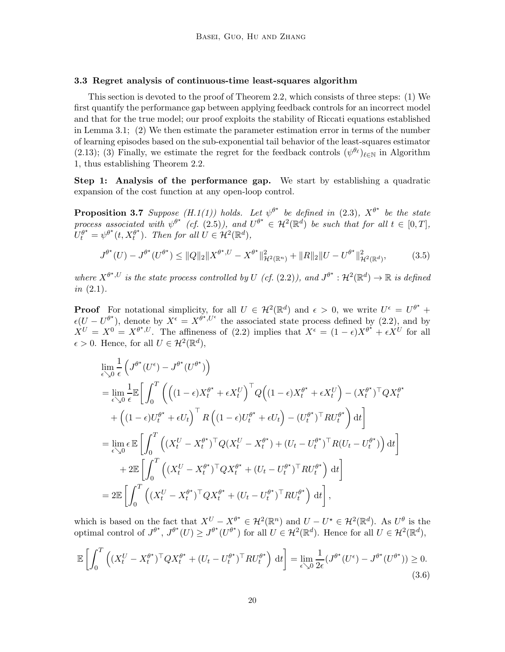# <span id="page-19-0"></span>3.3 Regret analysis of continuous-time least-squares algorithm

This section is devoted to the proof of Theorem [2.2,](#page-8-1) which consists of three steps: (1) We first quantify the performance gap between applying feedback controls for an incorrect model and that for the true model; our proof exploits the stability of Riccati equations established in Lemma [3.1;](#page-14-3) (2) We then estimate the parameter estimation error in terms of the number of learning episodes based on the sub-exponential tail behavior of the least-squares estimator [\(2.13\)](#page-6-2); (3) Finally, we estimate the regret for the feedback controls  $(\psi^{\theta_{\ell}})_{\ell \in \mathbb{N}}$  in Algorithm [1,](#page-7-1) thus establishing Theorem [2.2.](#page-8-1)

<span id="page-19-3"></span>Step 1: Analysis of the performance gap. We start by establishing a quadratic expansion of the cost function at any open-loop control.

**Proposition 3.7** Suppose (H[.1](#page-7-2)[\(1\)\)](#page-7-3) holds. Let  $\psi^{\theta^*}$  be defined in [\(2.3\)](#page-5-4),  $X^{\theta^*}$  be the state process associated with  $\psi^{\theta^*}$  (cf. [\(2.5\)](#page-5-5)), and  $U^{\theta^*} \in \mathcal{H}^2(\mathbb{R}^d)$  be such that for all  $t \in [0, T]$ ,  $U_t^{\theta^\star} = \psi^{\theta^\star}(t, X_t^{\theta^\star})$  $t^{\theta^*}$ ). Then for all  $U \in \mathcal{H}^2(\mathbb{R}^d)$ ,

<span id="page-19-2"></span>
$$
J^{\theta^*}(U) - J^{\theta^*}(U^{\theta^*}) \le ||Q||_2 ||X^{\theta^*,U} - X^{\theta^*}||_{\mathcal{H}^2(\mathbb{R}^n)}^2 + ||R||_2 ||U - U^{\theta^*}||_{\mathcal{H}^2(\mathbb{R}^d)}^2,
$$
(3.5)

where  $X^{\theta^*,U}$  is the state process controlled by U (cf. [\(2.2\)](#page-5-0)), and  $J^{\theta^*}: \mathcal{H}^2(\mathbb{R}^d) \to \mathbb{R}$  is defined  $in (2.1).$  $in (2.1).$  $in (2.1).$ 

**Proof** For notational simplicity, for all  $U \in \mathcal{H}^2(\mathbb{R}^d)$  and  $\epsilon > 0$ , we write  $U^{\epsilon} = U^{\theta^{\star}} +$  $\epsilon(U - U^{\theta^*})$ , denote by  $X^{\epsilon} = X^{\theta^*, U^{\epsilon}}$  the associated state process defined by [\(2.2\)](#page-5-0), and by  $X^U = X^0 = X^{\theta^*, U}$ . The affineness of [\(2.2\)](#page-5-0) implies that  $X^{\epsilon} = (1 - \epsilon)X^{\theta^*} + \epsilon X^U$  for all  $\epsilon > 0$ . Hence, for all  $U \in \mathcal{H}^2(\mathbb{R}^d)$ ,

$$
\lim_{\epsilon \searrow 0} \frac{1}{\epsilon} \left( J^{\theta^{\star}}(U^{\epsilon}) - J^{\theta^{\star}}(U^{\theta^{\star}}) \right)
$$
\n
$$
= \lim_{\epsilon \searrow 0} \frac{1}{\epsilon} \mathbb{E} \left[ \int_0^T \left( \left( (1 - \epsilon) X_t^{\theta^{\star}} + \epsilon X_t^U \right)^{\top} Q \left( (1 - \epsilon) X_t^{\theta^{\star}} + \epsilon X_t^U \right) - (X_t^{\theta^{\star}})^{\top} Q X_t^{\theta^{\star}} \right) \right]
$$
\n
$$
+ \left( (1 - \epsilon) U_t^{\theta^{\star}} + \epsilon U_t \right)^{\top} R \left( (1 - \epsilon) U_t^{\theta^{\star}} + \epsilon U_t \right) - (U_t^{\theta^{\star}})^{\top} R U_t^{\theta^{\star}} \right) dt
$$
\n
$$
= \lim_{\epsilon \searrow 0} \epsilon \mathbb{E} \left[ \int_0^T \left( (X_t^U - X_t^{\theta^{\star}})^{\top} Q (X_t^U - X_t^{\theta^{\star}}) + (U_t - U_t^{\theta^{\star}})^{\top} R (U_t - U_t^{\theta^{\star}}) \right) dt \right]
$$
\n
$$
+ 2 \mathbb{E} \left[ \int_0^T \left( (X_t^U - X_t^{\theta^{\star}})^{\top} Q X_t^{\theta^{\star}} + (U_t - U_t^{\theta^{\star}})^{\top} R U_t^{\theta^{\star}} \right) dt \right]
$$
\n
$$
= 2 \mathbb{E} \left[ \int_0^T \left( (X_t^U - X_t^{\theta^{\star}})^{\top} Q X_t^{\theta^{\star}} + (U_t - U_t^{\theta^{\star}})^{\top} R U_t^{\theta^{\star}} \right) dt \right],
$$

which is based on the fact that  $X^U - X^{\theta^*} \in \mathcal{H}^2(\mathbb{R}^n)$  and  $U - U^* \in \mathcal{H}^2(\mathbb{R}^d)$ . As  $U^{\theta}$  is the optimal control of  $J^{\theta^*}$ ,  $J^{\theta^*}(U) \geq J^{\theta^*}(U^{\theta^*})$  for all  $U \in \mathcal{H}^2(\mathbb{R}^d)$ . Hence for all  $U \in \mathcal{H}^2(\mathbb{R}^d)$ ,

<span id="page-19-1"></span>
$$
\mathbb{E}\left[\int_0^T \left( (X_t^U - X_t^{\theta^*})^\top Q X_t^{\theta^*} + (U_t - U_t^{\theta^*})^\top R U_t^{\theta^*} \right) dt\right] = \lim_{\epsilon \searrow 0} \frac{1}{2\epsilon} (J^{\theta^*}(U^{\epsilon}) - J^{\theta^*}(U^{\theta^*})) \ge 0. \tag{3.6}
$$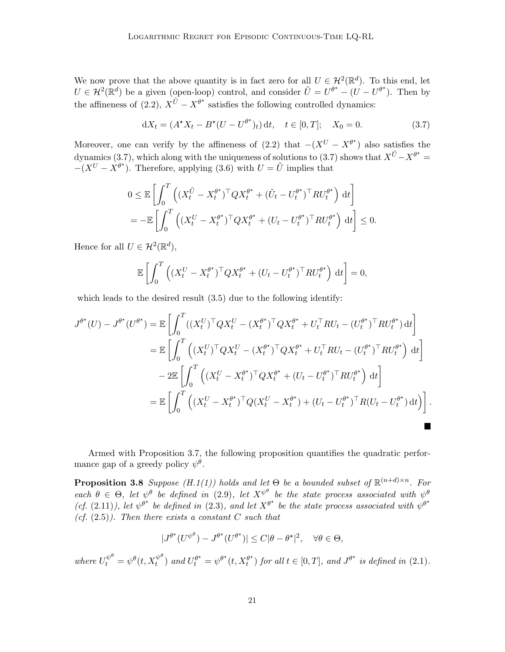We now prove that the above quantity is in fact zero for all  $U \in \mathcal{H}^2(\mathbb{R}^d)$ . To this end, let  $U \in \mathcal{H}^2(\mathbb{R}^d)$  be a given (open-loop) control, and consider  $\tilde{U} = U^{\theta^*} - (U - U^{\theta^*})$ . Then by the affineness of [\(2.2\)](#page-5-0),  $X^{\tilde{U}} - X^{\theta^*}$  satisfies the following controlled dynamics:

<span id="page-20-1"></span>
$$
dX_t = (A^*X_t - B^*(U - U^{\theta^*})_t) dt, \quad t \in [0, T]; \quad X_0 = 0.
$$
 (3.7)

Moreover, one can verify by the affineness of  $(2.2)$  that  $-(X^U - X^{\theta^*})$  also satisfies the dynamics [\(3.7\)](#page-20-1), which along with the uniqueness of solutions to (3.7) shows that  $X^{\tilde{U}} - X^{\theta^*} =$  $-(X^U - X^{\theta^*})$ . Therefore, applying [\(3.6\)](#page-19-1) with  $U = \tilde{U}$  implies that

$$
0 \leq \mathbb{E}\left[\int_0^T \left( (X_t^{\tilde{U}} - X_t^{\theta^*})^\top Q X_t^{\theta^*} + (\tilde{U}_t - U_t^{\theta^*})^\top R U_t^{\theta^*} \right) dt \right]
$$
  
= 
$$
-\mathbb{E}\left[\int_0^T \left( (X_t^U - X_t^{\theta^*})^\top Q X_t^{\theta^*} + (U_t - U_t^{\theta^*})^\top R U_t^{\theta^*} \right) dt \right] \leq 0.
$$

Hence for all  $U \in \mathcal{H}^2(\mathbb{R}^d)$ ,

$$
\mathbb{E}\left[\int_0^T \left( (X_t^U - X_t^{\theta^*})^\top Q X_t^{\theta^*} + (U_t - U_t^{\theta^*})^\top R U_t^{\theta^*}\right) dt\right] = 0,
$$

which leads to the desired result  $(3.5)$  due to the following identify:

$$
J^{\theta^*}(U) - J^{\theta^*}(U^{\theta^*}) = \mathbb{E}\left[\int_0^T ((X_t^U)^\top Q X_t^U - (X_t^{\theta^*})^\top Q X_t^{\theta^*} + U_t^\top R U_t - (U_t^{\theta^*})^\top R U_t^{\theta^*}) dt\right]
$$
  
\n
$$
= \mathbb{E}\left[\int_0^T \left((X_t^U)^\top Q X_t^U - (X_t^{\theta^*})^\top Q X_t^{\theta^*} + U_t^\top R U_t - (U_t^{\theta^*})^\top R U_t^{\theta^*}\right) dt\right]
$$
  
\n
$$
- 2\mathbb{E}\left[\int_0^T \left((X_t^U - X_t^{\theta^*})^\top Q X_t^{\theta^*} + (U_t - U_t^{\theta^*})^\top R U_t^{\theta^*}\right) dt\right]
$$
  
\n
$$
= \mathbb{E}\left[\int_0^T \left((X_t^U - X_t^{\theta^*})^\top Q (X_t^U - X_t^{\theta^*}) + (U_t - U_t^{\theta^*})^\top R (U_t - U_t^{\theta^*}) dt\right)\right].
$$

Armed with Proposition [3.7,](#page-19-3) the following proposition quantifies the quadratic performance gap of a greedy policy  $\psi^{\theta}$ .

**Proposition 3.8** Suppose  $(H.1(1))$  $(H.1(1))$  $(H.1(1))$  holds and let  $\Theta$  be a bounded subset of  $\mathbb{R}^{(n+d)\times n}$ . For each  $\theta \in \Theta$ , let  $\psi^{\theta}$  be defined in [\(2.9\)](#page-6-3), let  $X^{\psi^{\theta}}$  be the state process associated with  $\psi^{\theta}$ (cf. [\(2.11\)](#page-6-0)), let  $\psi^{\theta^*}$  be defined in [\(2.3\)](#page-5-4), and let  $X^{\theta^*}$  be the state process associated with  $\psi^{\theta^*}$ (cf.  $(2.5)$ ). Then there exists a constant C such that

<span id="page-20-0"></span>
$$
|J^{\theta^*}(U^{\psi^\theta}) - J^{\theta^*}(U^{\theta^*})| \le C|\theta - \theta^*|^2, \quad \forall \theta \in \Theta,
$$

where  $U_t^{\psi^\theta} = \psi^\theta(t, X_t^{\psi^\theta})$  and  $U_t^{\theta^\star} = \psi^{\theta^\star}(t, X_t^{\theta^\star})$  $t^{\theta^{\star}}$  for all  $t \in [0, T]$ , and  $J^{\theta^{\star}}$  is defined in [\(2.1\)](#page-4-0).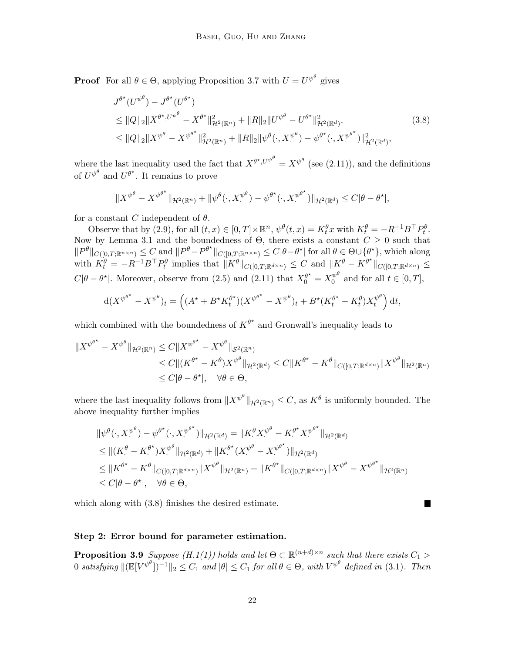**Proof** For all  $\theta \in \Theta$ , applying Proposition [3.7](#page-19-3) with  $U = U^{\psi^{\theta}}$  gives

<span id="page-21-1"></span>
$$
J^{\theta^*}(U^{\psi^{\theta}}) - J^{\theta^*}(U^{\theta^*})
$$
  
\n
$$
\leq ||Q||_2||X^{\theta^*,U^{\psi^{\theta}}} - X^{\theta^*}||_{\mathcal{H}^2(\mathbb{R}^n)}^2 + ||R||_2||U^{\psi^{\theta}} - U^{\theta^*}||_{\mathcal{H}^2(\mathbb{R}^d)}^2,
$$
  
\n
$$
\leq ||Q||_2||X^{\psi^{\theta}} - X^{\psi^{\theta^*}}||_{\mathcal{H}^2(\mathbb{R}^n)}^2 + ||R||_2||\psi^{\theta}(\cdot, X^{\psi^{\theta}}) - \psi^{\theta^*}(\cdot, X^{\psi^{\theta^*}})||_{\mathcal{H}^2(\mathbb{R}^d)}^2,
$$
\n(3.8)

where the last inequality used the fact that  $X^{\theta^*, U^{\psi^\theta}} = X^{\psi^\theta}$  (see [\(2.11\)](#page-6-0)), and the definitions of  $U^{\psi^{\theta}}$  and  $U^{\theta^*}$ . It remains to prove

$$
||X^{\psi^{\theta}} - X^{\psi^{\theta^{\star}}}||_{\mathcal{H}^2(\mathbb{R}^n)} + ||\psi^{\theta}(\cdot, X^{\psi^{\theta}}) - \psi^{\theta^{\star}}(\cdot, X^{\psi^{\theta^{\star}}})||_{\mathcal{H}^2(\mathbb{R}^d)} \leq C|\theta - \theta^{\star}|,
$$

for a constant C independent of  $\theta$ .

Observe that by [\(2.9\)](#page-6-3), for all  $(t, x) \in [0, T] \times \mathbb{R}^n$ ,  $\psi^{\theta}(t, x) = K_t^{\theta} x$  with  $K_t^{\theta} = -R^{-1}B^{\top}P_t^{\theta}$ . Now by Lemma [3.1](#page-14-3) and the boundedness of  $\Theta$ , there exists a constant  $C \geq 0$  such that  $||P^{\theta}||_{C([0,T;\mathbb{R}^{n\times n})}\leq C$  and  $||P^{\theta}-P^{\theta^{\star}}||_{C([0,T;\mathbb{R}^{n\times n})}\leq C|\theta-\theta^{\star}|$  for all  $\theta\in\Theta\cup\{\theta^{\star}\}\$ , which along with  $K_t^{\theta} = -R^{-1}B^{\top}P_t^{\theta}$  implies that  $\|K^{\theta}\|_{C([0,T;\mathbb{R}^{d\times n})} \leq C$  and  $\|K^{\theta} - K^{\theta^*}\|_{C([0,T;\mathbb{R}^{d\times n})} \leq C$  $C|\theta - \theta^*|$ . Moreover, observe from [\(2.5\)](#page-5-5) and [\(2.11\)](#page-6-0) that  $X_0^{\theta^*} = X_0^{\psi^{\theta}}$  $\begin{bmatrix} w \\ 0 \end{bmatrix}$  and for all  $t \in [0, T],$ 

$$
d(X^{\psi^{\theta^{\star}}} - X^{\psi^{\theta}})_t = \left( (A^{\star} + B^{\star} K_t^{\theta^{\star}})(X^{\psi^{\theta^{\star}}} - X^{\psi^{\theta}})_t + B^{\star}(K_t^{\theta^{\star}} - K_t^{\theta})X_t^{\psi^{\theta}} \right) dt,
$$

which combined with the boundedness of  $K^{\theta^*}$  and Gronwall's inequality leads to

$$
\begin{aligned} \|X^{\psi^{\theta^{\star}}}-X^{\psi^{\theta}}\|_{\mathcal{H}^{2}(\mathbb{R}^{n})} &\leq C\|X^{\psi^{\theta^{\star}}}-X^{\psi^{\theta}}\|_{\mathcal{S}^{2}(\mathbb{R}^{n})} \\ &\leq C\|(K^{\theta^{\star}}-K^{\theta})X^{\psi^{\theta}}\|_{\mathcal{H}^{2}(\mathbb{R}^{d})} \leq C\|K^{\theta^{\star}}-K^{\theta}\|_{C([0,T;\mathbb{R}^{d\times n})}\|X^{\psi^{\theta}}\|_{\mathcal{H}^{2}(\mathbb{R}^{n})} \\ &\leq C|\theta-\theta^{\star}|, \quad \forall \theta \in \Theta, \end{aligned}
$$

where the last inequality follows from  $||X^{\psi^{\theta}}||_{\mathcal{H}^2(\mathbb{R}^n)} \leq C$ , as  $K^{\theta}$  is uniformly bounded. The above inequality further implies

$$
\begin{split} &\|\psi^{\theta}(\cdot,X^{\psi^{\theta}}) - \psi^{\theta^{\star}}(\cdot,X^{\psi^{\theta^{\star}}})\|_{\mathcal{H}^{2}(\mathbb{R}^{d})} = \|K^{\theta}_{\cdot}X^{\psi^{\theta}} - K^{\theta^{\star}}X^{\psi^{\theta^{\star}}}\|_{\mathcal{H}^{2}(\mathbb{R}^{d})} \\ &\leq \|(K^{\theta}_{\cdot} - K^{\theta^{\star}})X^{\psi^{\theta}}\|_{\mathcal{H}^{2}(\mathbb{R}^{d})} + \|K^{\theta^{\star}}(X^{\psi^{\theta}} - X^{\psi^{\theta^{\star}}})\|_{\mathcal{H}^{2}(\mathbb{R}^{d})} \\ &\leq \|K^{\theta^{\star}} - K^{\theta}\|_{C([0,T;\mathbb{R}^{d\times n})}\|X^{\psi^{\theta}}\|_{\mathcal{H}^{2}(\mathbb{R}^{n})} + \|K^{\theta^{\star}}\|_{C([0,T;\mathbb{R}^{d\times n})}\|X^{\psi^{\theta}} - X^{\psi^{\theta^{\star}}}\|_{\mathcal{H}^{2}(\mathbb{R}^{n})} \\ &\leq C|\theta - \theta^{\star}|, \quad \forall \theta \in \Theta, \end{split}
$$

 $\blacksquare$ 

which along with [\(3.8\)](#page-21-1) finishes the desired estimate.

# <span id="page-21-0"></span>Step 2: Error bound for parameter estimation.

**Proposition 3.9** Suppose  $(H.1(1))$  $(H.1(1))$  $(H.1(1))$  holds and let  $\Theta \subset \mathbb{R}^{(n+d)\times n}$  such that there exists  $C_1 >$  $0$  satisfying  $\|(\mathbb{E}[V^{\psi^{\theta}}])^{-1}\|_2 \leq C_1$  and  $|\theta| \leq C_1$  for all  $\theta \in \Theta$ , with  $V^{\psi^{\theta}}$  defined in [\(3.1\)](#page-13-1). Then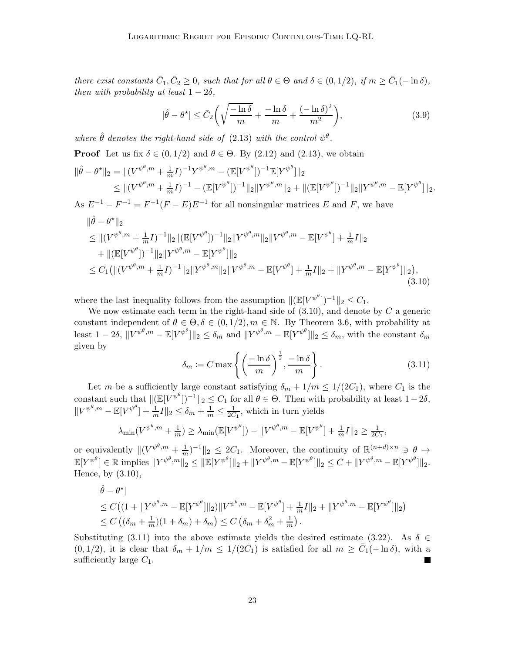there exist constants  $\bar{C}_1, \bar{C}_2 \ge 0$ , such that for all  $\theta \in \Theta$  and  $\delta \in (0, 1/2)$ , if  $m \ge \bar{C}_1(-\ln \delta)$ , then with probability at least  $1-2\delta$ ,

<span id="page-22-0"></span>
$$
|\hat{\theta} - \theta^{\star}| \leq \bar{C}_2 \left( \sqrt{\frac{-\ln \delta}{m}} + \frac{-\ln \delta}{m} + \frac{(-\ln \delta)^2}{m^2} \right),\tag{3.9}
$$

where  $\hat{\theta}$  denotes the right-hand side of [\(2.13\)](#page-6-2) with the control  $\psi^{\theta}$ .

**Proof** Let us fix  $\delta \in (0, 1/2)$  and  $\theta \in \Theta$ . By [\(2.12\)](#page-6-1) and [\(2.13\)](#page-6-2), we obtain

$$
\|\hat{\theta} - \theta^{\star}\|_{2} = \|(\mathbf{V}^{\psi^{\theta},m} + \frac{1}{m}\mathbf{I})^{-1}\mathbf{Y}^{\psi^{\theta},m} - (\mathbb{E}[\mathbf{V}^{\psi^{\theta}}])^{-1}\mathbb{E}[\mathbf{Y}^{\psi^{\theta}}]\|_{2} \leq \|(\mathbf{V}^{\psi^{\theta},m} + \frac{1}{m}\mathbf{I})^{-1} - (\mathbb{E}[\mathbf{V}^{\psi^{\theta}}])^{-1}\|_{2}\|\mathbf{Y}^{\psi^{\theta},m}\|_{2} + \|(\mathbb{E}[\mathbf{V}^{\psi^{\theta}}])^{-1}\|_{2}\|\mathbf{Y}^{\psi^{\theta},m} - \mathbb{E}[\mathbf{Y}^{\psi^{\theta}}]\|_{2}.
$$

As  $E^{-1} - F^{-1} = F^{-1}(F - E)E^{-1}$  for all nonsingular matrices E and F, we have

$$
\|\hat{\theta} - \theta^{\star}\|_{2} \leq \|(V^{\psi^{\theta},m} + \frac{1}{m}I)^{-1}\|_{2} \|(\mathbb{E}[V^{\psi^{\theta}}])^{-1}\|_{2} \|Y^{\psi^{\theta},m}\|_{2} \|V^{\psi^{\theta},m} - \mathbb{E}[V^{\psi^{\theta}}] + \frac{1}{m}I\|_{2} + \|(\mathbb{E}[V^{\psi^{\theta}}])^{-1}\|_{2} \|Y^{\psi^{\theta},m} - \mathbb{E}[Y^{\psi^{\theta}}]\|_{2} \leq C_{1} (\|(V^{\psi^{\theta},m} + \frac{1}{m}I)^{-1}\|_{2} \|Y^{\psi^{\theta},m}\|_{2} \|V^{\psi^{\theta},m} - \mathbb{E}[V^{\psi^{\theta}}] + \frac{1}{m}I\|_{2} + \|Y^{\psi^{\theta},m} - \mathbb{E}[Y^{\psi^{\theta}}]\|_{2}),
$$
\n(3.10)

where the last inequality follows from the assumption  $\|(\mathbb{E}[V^{\psi^{\theta}}])^{-1}\|_2 \leq C_1$ .

<span id="page-22-1"></span>We now estimate each term in the right-hand side of  $(3.10)$ , and denote by C a generic constant independent of  $\theta \in \Theta$ ,  $\delta \in (0, 1/2)$ ,  $m \in \mathbb{N}$ . By Theorem [3.6,](#page-17-3) with probability at least  $1 - 2\delta$ ,  $||V^{\psi^{\theta},m} - \mathbb{E}[V^{\psi^{\theta}}]||_2 \leq \delta_m$  and  $||Y^{\psi^{\theta},m} - \mathbb{E}[Y^{\psi^{\theta}}]||_2 \leq \delta_m$ , with the constant  $\delta_m$ given by

$$
\delta_m := C \max \left\{ \left( \frac{-\ln \delta}{m} \right)^{\frac{1}{2}}, \frac{-\ln \delta}{m} \right\}.
$$
\n(3.11)

Let m be a sufficiently large constant satisfying  $\delta_m + 1/m \leq 1/(2C_1)$ , where  $C_1$  is the constant such that  $\|[\mathbb{E}[V^{\psi^{\theta}}]^{-1}\|_2 \leq C_1$  for all  $\theta \in \Theta$ . Then with probability at least  $1-2\delta$ ,  $||V^{\psi^{\theta},m} - \mathbb{E}[V^{\psi^{\theta}}] + \frac{1}{m}I||_2 \leq \delta_m + \frac{1}{m} \leq \frac{1}{2C_1}$ , which in turn yields

$$
\lambda_{\min}(V^{\psi^{\theta},m}+\tfrac{1}{m})\geq \lambda_{\min}(\mathbb{E}[V^{\psi^{\theta}}])-\|V^{\psi^{\theta},m}-\mathbb{E}[V^{\psi^{\theta}}]+\tfrac{1}{m}I\|_2\geq \tfrac{1}{2C_1},
$$

or equivalently  $\|(V^{\psi^{\theta},m}+\frac{1}{m})^{-1}\|_2 \leq 2C_1$ . Moreover, the continuity of  $\mathbb{R}^{(n+d)\times n} \ni \theta \mapsto$  $\mathbb{E}[Y^{\psi^{\theta}}] \in \mathbb{R} \text{ implies } ||Y^{\psi^{\theta},m}||_2 \leq ||\mathbb{E}[Y^{\psi^{\theta}}]||_2 + ||Y^{\psi^{\theta},m} - \mathbb{E}[Y^{\psi^{\theta}}]||_2 \leq C + ||Y^{\psi^{\theta},m} - \mathbb{E}[Y^{\psi^{\theta}}]||_2.$ Hence, by [\(3.10\)](#page-22-0),

$$
\|\hat{\theta} - \theta^{\star}\|
$$
  
\n
$$
\leq C \left( (1 + \|Y^{\psi^{\theta}, m} - \mathbb{E}[Y^{\psi^{\theta}}] \|_{2}) \|V^{\psi^{\theta}, m} - \mathbb{E}[V^{\psi^{\theta}}] + \frac{1}{m} I \|_{2} + \|Y^{\psi^{\theta}, m} - \mathbb{E}[Y^{\psi^{\theta}}] \|_{2} \right)
$$
  
\n
$$
\leq C \left( (\delta_{m} + \frac{1}{m})(1 + \delta_{m}) + \delta_{m} \right) \leq C \left( \delta_{m} + \delta_{m}^{2} + \frac{1}{m} \right).
$$

Substituting [\(3.11\)](#page-22-1) into the above estimate yields the desired estimate [\(3.22\)](#page-28-1). As  $\delta \in$  $(0, 1/2)$ , it is clear that  $\delta_m + 1/m \leq 1/(2C_1)$  is satisfied for all  $m \geq \bar{C}_1(-\ln \delta)$ , with a sufficiently large  $C_1$ .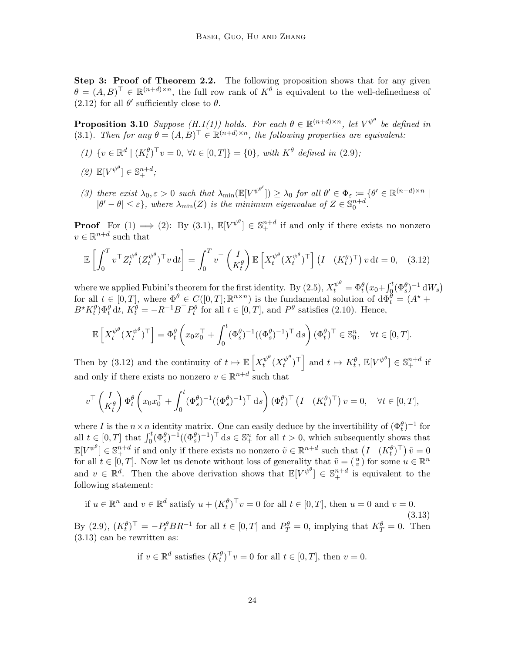Step 3: Proof of Theorem [2.2.](#page-8-1) The following proposition shows that for any given  $\theta = (A, B)^{\top} \in \mathbb{R}^{(n+d)\times n}$ , the full row rank of  $K^{\theta}$  is equivalent to the well-definedness of  $(2.12)$  for all  $\theta'$  sufficiently close to  $\theta$ .

<span id="page-23-0"></span>**Proposition 3[.1](#page-7-2)0** Suppose  $(H.1(1))$  $(H.1(1))$  holds. For each  $\theta \in \mathbb{R}^{(n+d)\times n}$ , let  $V^{\psi^{\theta}}$  be defined in [\(3.1\)](#page-13-1). Then for any  $\theta = (A, B)^{\top} \in \mathbb{R}^{(n+d)\times n}$ , the following properties are equivalent:

- <span id="page-23-2"></span><span id="page-23-1"></span>(1)  $\{v \in \mathbb{R}^d \mid (K_t^{\theta})^{\top} v = 0, \forall t \in [0, T] \} = \{0\}, \text{ with } K^{\theta} \text{ defined in (2.9)};$  $\{v \in \mathbb{R}^d \mid (K_t^{\theta})^{\top} v = 0, \forall t \in [0, T] \} = \{0\}, \text{ with } K^{\theta} \text{ defined in (2.9)};$  $\{v \in \mathbb{R}^d \mid (K_t^{\theta})^{\top} v = 0, \forall t \in [0, T] \} = \{0\}, \text{ with } K^{\theta} \text{ defined in (2.9)};$
- <span id="page-23-5"></span>(2)  $\mathbb{E}[V^{\psi^{\theta}}] \in \mathbb{S}^{n+d}_+;$
- (3) there exist  $\lambda_0, \varepsilon > 0$  such that  $\lambda_{\min}(\mathbb{E}[V^{\psi^{\theta'}}]) \geq \lambda_0$  for all  $\theta' \in \Phi_{\varepsilon} := \{\theta' \in \mathbb{R}^{(n+d)\times n} \mid \theta' \in \mathbb{R}^{(n+d)\times n}$  $|\theta'-\theta| \leq \varepsilon$ , where  $\lambda_{\min}(Z)$  is the minimum eigenvalue of  $Z \in \mathbb{S}_{0}^{n+d}$ .

**Proof** For  $(1) \implies (2)$ : By  $(3.1)$ ,  $\mathbb{E}[V^{\psi^{\theta}}] \in \mathbb{S}^{n+d}_+$  if and only if there exists no nonzero  $v \in \mathbb{R}^{n+d}$  such that

<span id="page-23-3"></span>
$$
\mathbb{E}\left[\int_0^T v^\top Z_t^{\psi^\theta} (Z_t^{\psi^\theta})^\top v \, \mathrm{d}t\right] = \int_0^T v^\top \begin{pmatrix} I \\ K_t^\theta \end{pmatrix} \mathbb{E}\left[X_t^{\psi^\theta} (X_t^{\psi^\theta})^\top\right] \begin{pmatrix} I & (K_t^\theta)^\top \end{pmatrix} v \, \mathrm{d}t = 0, \quad (3.12)
$$

where we applied Fubini's theorem for the first identity. By [\(2.5\)](#page-5-5),  $X_t^{\psi^\theta} = \Phi_t^\theta (x_0 + \int_0^t (\Phi_s^\theta)^{-1} dW_s)$ for all  $t \in [0,T]$ , where  $\Phi^{\theta} \in C([0,T]; \mathbb{R}^{n \times n})$  is the fundamental solution of  $d\Phi_t^{\theta} = (A^* +$  $B^*K_t^{\theta}$ ) $\Phi_t^{\theta}$  dt,  $K_t^{\theta} = -R^{-1}B^{\top}P_t^{\theta}$  for all  $t \in [0, T]$ , and  $P^{\theta}$  satisfies [\(2.10\)](#page-6-4). Hence,

$$
\mathbb{E}\left[X_t^{\psi^\theta}(X_t^{\psi^\theta})^\top\right] = \Phi_t^\theta\left(x_0x_0^\top + \int_0^t (\Phi_s^\theta)^{-1}((\Phi_s^\theta)^{-1})^\top ds\right)(\Phi_t^\theta)^\top \in \mathbb{S}_0^n, \quad \forall t \in [0, T].
$$

Then by [\(3.12\)](#page-23-3) and the continuity of  $t \mapsto \mathbb{E}\left[X_t^{\psi^\theta}\right]$  $\int_t^{\psi^\theta} (X_t^{\psi^\theta}$  $\left[\begin{array}{c} \psi^{\theta} \\ t \end{array}\right]$  and  $t \mapsto K_t^{\theta}$ ,  $\mathbb{E}[V^{\psi^{\theta}}] \in \mathbb{S}_{+}^{n+d}$  if and only if there exists no nonzero  $v \in \mathbb{R}^{n+d}$  such that

$$
v^{\top} \begin{pmatrix} I \\ K_t^{\theta} \end{pmatrix} \Phi_t^{\theta} \left( x_0 x_0^{\top} + \int_0^t (\Phi_s^{\theta})^{-1} ((\Phi_s^{\theta})^{-1})^{\top} ds \right) (\Phi_t^{\theta})^{\top} \left( I \quad (K_t^{\theta})^{\top} \right) v = 0, \quad \forall t \in [0, T],
$$

where I is the  $n \times n$  identity matrix. One can easily deduce by the invertibility of  $(\Phi_t^{\theta})^{-1}$  for all  $t \in [0,T]$  that  $\int_0^t (\Phi_s^{\theta})^{-1} ((\Phi_s^{\theta})^{-1})^{\top} ds \in \mathbb{S}_{+}^n$  for all  $t > 0$ , which subsequently shows that  $\mathbb{E}[V^{\psi^{\theta}}] \in \mathbb{S}^{n+d}_+$  if and only if there exists no nonzero  $\tilde{v} \in \mathbb{R}^{n+d}$  such that  $(I (K_t^{\theta})^{\top}) \tilde{v} = 0$ for all  $t \in [0, T]$ . Now let us denote without loss of generality that  $\tilde{v} = \begin{pmatrix} u \\ v \end{pmatrix}$  for some  $u \in \mathbb{R}^n$ and  $v \in \mathbb{R}^d$ . Then the above derivation shows that  $\mathbb{E}[V^{\psi^{\theta}}] \in \mathbb{S}^{n+d}_+$  is equivalent to the following statement:

if 
$$
u \in \mathbb{R}^n
$$
 and  $v \in \mathbb{R}^d$  satisfy  $u + (K_t^{\theta})^\top v = 0$  for all  $t \in [0, T]$ , then  $u = 0$  and  $v = 0$ .  
\nBy (2.9),  $(K_t^{\theta})^\top = -P_t^{\theta} BR^{-1}$  for all  $t \in [0, T]$  and  $P_T^{\theta} = 0$ , implying that  $K_T^{\theta} = 0$ . Then (3.13) can be rewritten as:

<span id="page-23-4"></span>if 
$$
v \in \mathbb{R}^d
$$
 satisfies  $(K_t^{\theta})^{\top} v = 0$  for all  $t \in [0, T]$ , then  $v = 0$ .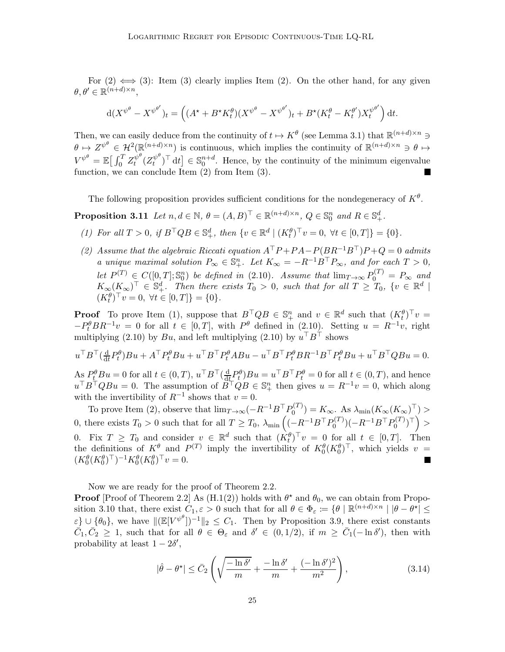For  $(2) \iff (3)$  $(2) \iff (3)$ : Item  $(3)$  clearly implies Item  $(2)$ . On the other hand, for any given  $\theta, \theta' \in \mathbb{R}^{(n+d)\times n},$ 

<span id="page-24-0"></span>
$$
\mathrm{d}(X^{\psi^{\theta}} - X^{\psi^{\theta'}})_{t} = \left( (A^{\star} + B^{\star} K_{t}^{\theta})(X^{\psi^{\theta}} - X^{\psi^{\theta'}})_{t} + B^{\star}(K_{t}^{\theta} - K_{t}^{\theta'})X_{t}^{\psi^{\theta'}} \right) \mathrm{d}t.
$$

Then, we can easily deduce from the continuity of  $t \mapsto K^{\theta}$  (see Lemma [3.1\)](#page-14-3) that  $\mathbb{R}^{(n+d)\times n} \ni$  $\theta \mapsto Z^{\psi^{\theta}} \in \mathcal{H}^{2}(\mathbb{R}^{(n+d)\times n})$  is continuous, which implies the continuity of  $\mathbb{R}^{(n+d)\times n} \ni \theta \mapsto$  $V^{\psi^\theta} = \mathbb{E}\big[\int_0^T Z_t^{\psi^\theta}$  $t^{\psi^\theta}(Z_t^{\psi^\theta})$  $\{u^{w^b}\}_{t}^{\top}$  dt  $\} \in \mathbb{S}_0^{n+d}$ . Hence, by the continuity of the minimum eigenvalue function, we can conclude Item [\(2\)](#page-23-2) from Item [\(3\).](#page-23-5) П

The following proposition provides sufficient conditions for the nondegeneracy of  $K^{\theta}$ .

<span id="page-24-1"></span>**Proposition 3.11** Let  $n, d \in \mathbb{N}$ ,  $\theta = (A, B)^{\top} \in \mathbb{R}^{(n+d)\times n}$ ,  $Q \in \mathbb{S}_0^n$  and  $R \in \mathbb{S}_+^d$ .

- <span id="page-24-2"></span>(1) For all  $T > 0$ , if  $B^{\top}QB \in \mathbb{S}_{+}^{d}$ , then  $\{v \in \mathbb{R}^{d} \mid (K_{t}^{\theta})^{\top}v = 0, \forall t \in [0, T]\} = \{0\}.$
- (2) Assume that the algebraic Riccati equation  $A^{\top}P + PA P(BR^{-1}B^{\top})P + Q = 0$  admits a unique maximal solution  $P_{\infty} \in \mathbb{S}^n_+$ . Let  $K_{\infty} = -R^{-1}B^{\top}P_{\infty}$ , and for each  $T > 0$ , let  $P^{(T)} \in C([0,T]; \mathbb{S}_0^n)$  be defined in [\(2.10\)](#page-6-4). Assume that  $\lim_{T \to \infty} P_0^{(T)} = P_{\infty}$  and  $K_{\infty}(K_{\infty})^{\top} \in \mathbb{S}_{+}^{d}$ . Then there exists  $T_0 > 0$ , such that for all  $T \geq T_0$ ,  $\{v \in \mathbb{R}^d \mid$  $(K_t^{\theta})^{\top} v = 0, \ \forall t \in [0, T] \} = \{0\}.$

**Proof** To prove Item [\(1\),](#page-24-1) suppose that  $B^{\top}QB \in \mathbb{S}_{+}^{n}$  and  $v \in \mathbb{R}^{d}$  such that  $(K_{t}^{\theta})^{\top}v =$  $-P_t^{\theta} BR^{-1}v = 0$  for all  $t \in [0,T]$ , with  $P^{\theta}$  defined in  $(2.10)$ . Setting  $u = R^{-1}v$ , right multiplying [\(2.10\)](#page-6-4) by  $Bu$ , and left multiplying (2.10) by  $u<sup>+</sup>B<sup>+</sup>$  shows

 $u^\top B^\top(\frac{\mathrm{d}}{\mathrm{d}t}$  $\frac{d}{dt}P_t^{\theta}Bu + A^{\top}P_t^{\theta}Bu + u^{\top}B^{\top}P_t^{\theta}ABu - u^{\top}B^{\top}P_t^{\theta}BR^{-1}B^{\top}P_t^{\theta}Bu + u^{\top}B^{\top}QBu = 0.$ 

 $\mathop{\rm As}\limits_{{\cal T}}{\cal P}^\theta_L{\cal B} u=0$  for all  $t\in(0,T),$   $u^\top{\cal B}^\top(\frac{\rm d}{\rm d t})$  $\frac{d}{dt}P_t^{\theta}$ ) $Bu = u^{\top}B^{\top}P_t^{\theta} = 0$  for all  $t \in (0, T)$ , and hence  $u^\top B^\top Q B u = 0$ . The assumption of  $B^\top Q B \in \mathbb{S}^n_+$  then gives  $u = R^{-1}v = 0$ , which along with the invertibility of  $R^{-1}$  shows that  $v = 0$ .

To prove Item [\(2\),](#page-24-2) observe that  $\lim_{T \to \infty} (-R^{-1}B^{\top}P_0^{(T)}$  $\lambda_0^{(1)}$ ) =  $K_\infty$ . As  $\lambda_{\min}(K_\infty(K_\infty)^+)$  > 0, there exists  $T_0 > 0$  such that for all  $T \ge T_0$ ,  $\lambda_{\min} \left( (-R^{-1}B^{\top}P_0^{(T)} \right)$  $P_0^{(T)}) (-R^{-1}B^{\top}P_0^{(T)}$  $\left( \begin{smallmatrix} 0(T) \ 0 \end{smallmatrix} \right)^\top \bigg) >$ 0. Fix  $T \geq T_0$  and consider  $v \in \mathbb{R}^d$  such that  $(K_t^{\theta})^{\top} v = 0$  for all  $t \in [0, T]$ . Then the definitions of  $K^{\theta}_{\text{I}}$  and  $P^{(T)}$  imply the invertibility of  $K^{\theta}_{0}(K^{\theta}_{0})^{\top}$ , which yields  $v =$  $(K_0^{\theta}(K_0^{\theta})^{\top})^{-1}K_0^{\theta}(K_0^{\theta})^{\top}v = 0.$ 

Now we are ready for the proof of Theorem [2.2.](#page-8-1)

**Proof** [Proof of Theorem [2.2\]](#page-8-1) As  $(H.1(2))$  $(H.1(2))$  $(H.1(2))$  holds with  $\theta^*$  and  $\theta_0$ , we can obtain from Propo-sition [3.10](#page-23-0) that, there exist  $C_1, \varepsilon > 0$  such that for all  $\theta \in \Phi_{\varepsilon} := \{\theta \mid \mathbb{R}^{(n+d)\times n} \mid |\theta - \theta^{\star}| \leq \theta\}$  $\varepsilon$   $\cup$   $\{\theta_0\}$ , we have  $\|(\mathbb{E}[V^{\psi^\theta}])^{-1}\|_2 \leq C_1$ . Then by Proposition [3.9,](#page-21-0) there exist constants  $\overline{C}_1, \overline{C}_2 \geq 1$ , such that for all  $\theta \in \Theta_{\varepsilon}$  and  $\delta' \in (0, 1/2)$ , if  $m \geq \overline{C}_1(-\ln \delta')$ , then with probability at least  $1 - 2\delta'$ ,

<span id="page-24-3"></span>
$$
|\hat{\theta} - \theta^{\star}| \leq \bar{C}_2 \left( \sqrt{\frac{-\ln \delta'}{m}} + \frac{-\ln \delta'}{m} + \frac{(-\ln \delta')^2}{m^2} \right),\tag{3.14}
$$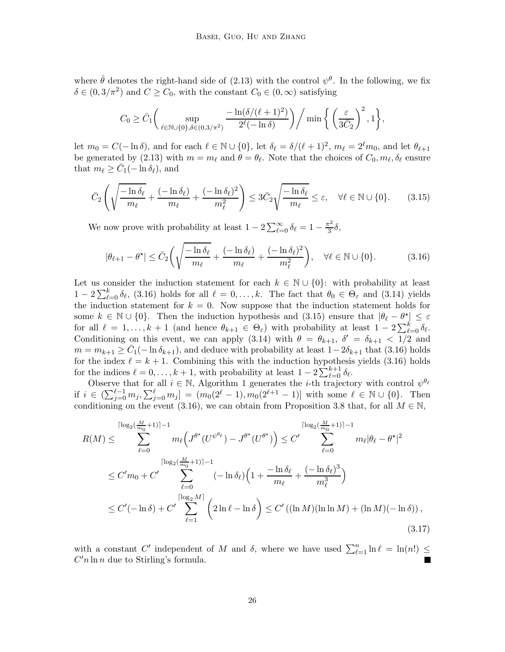where  $\hat{\theta}$  denotes the right-hand side of [\(2.13\)](#page-6-2) with the control  $\psi^{\theta}$ . In the following, we fix  $\delta \in (0, 3/\pi^2)$  and  $C \ge C_0$ , with the constant  $C_0 \in (0, \infty)$  satisfying

<span id="page-25-1"></span>
$$
C_0 \ge \bar{C}_1 \bigg( \sup_{\ell \in \mathbb{N} \cup \{0\}, \delta \in (0, 3/\pi^2)} \frac{-\ln(\delta/(\ell+1)^2)}{2^{\ell}(-\ln \delta)} \bigg) \bigg/ \min \bigg\{ \bigg( \frac{\varepsilon}{3\bar{C}_2} \bigg)^2, 1 \bigg\},\,
$$

let  $m_0 = C(-\ln \delta)$ , and for each  $\ell \in \mathbb{N} \cup \{0\}$ , let  $\delta_{\ell} = \delta/(\ell+1)^2$ ,  $m_{\ell} = 2^{\ell}m_0$ , and let  $\theta_{\ell+1}$ be generated by [\(2.13\)](#page-6-2) with  $m = m_{\ell}$  and  $\theta = \theta_{\ell}$ . Note that the choices of  $C_0, m_{\ell}, \delta_{\ell}$  ensure that  $m_{\ell} \geq \bar{C}_1(-\ln \delta_{\ell}),$  and

$$
\bar{C}_2 \left( \sqrt{\frac{-\ln \delta_\ell}{m_\ell}} + \frac{(-\ln \delta_\ell)}{m_\ell} + \frac{(-\ln \delta_\ell)^2}{m_\ell^2} \right) \le 3\bar{C}_2 \sqrt{\frac{-\ln \delta_\ell}{m_\ell}} \le \varepsilon, \quad \forall \ell \in \mathbb{N} \cup \{0\}. \tag{3.15}
$$

We now prove with probability at least  $1 - 2 \sum_{\ell=0}^{\infty} \delta_{\ell} = 1 - \frac{\pi^2}{3}$  $rac{1}{3}\delta,$ 

<span id="page-25-0"></span>
$$
|\theta_{\ell+1} - \theta^{\star}| \leq \bar{C}_2 \left( \sqrt{\frac{-\ln \delta_{\ell}}{m_{\ell}}} + \frac{(-\ln \delta_{\ell})}{m_{\ell}} + \frac{(-\ln \delta_{\ell})^2}{m_{\ell}^2} \right), \quad \forall \ell \in \mathbb{N} \cup \{0\}.
$$
 (3.16)

Let us consider the induction statement for each  $k \in \mathbb{N} \cup \{0\}$ : with probability at least  $1-2\sum_{\ell=0}^k \delta_\ell$ , [\(3.16\)](#page-25-0) holds for all  $\ell=0,\ldots,k$ . The fact that  $\theta_0 \in \Theta_\varepsilon$  and [\(3.14\)](#page-24-3) yields the induction statement for  $k = 0$ . Now suppose that the induction statement holds for some  $k \in \mathbb{N} \cup \{0\}$ . Then the induction hypothesis and [\(3.15\)](#page-25-1) ensure that  $|\theta_{\ell} - \theta_{\ell}^{\star}| \leq \varepsilon$ for all  $\ell = 1, ..., k + 1$  (and hence  $\theta_{k+1} \in \Theta_{\varepsilon}$ ) with probability at least  $1 - 2 \sum_{\ell=0}^{k} \delta_{\ell}$ . Conditioning on this event, we can apply [\(3.14\)](#page-24-3) with  $\theta = \theta_{k+1}$ ,  $\delta' = \delta_{k+1} < 1/2$  and  $m = m_{k+1} \ge \bar{C}_1(-\ln \delta_{k+1})$ , and deduce with probability at least  $1-2\delta_{k+1}$  that [\(3.16\)](#page-25-0) holds for the index  $\ell = k + 1$ . Combining this with the induction hypothesis yields [\(3.16\)](#page-25-0) holds for the indices  $\ell = 0, \ldots, k + 1$ , with probability at least  $1 - 2 \sum_{\ell=0}^{k+1} \delta_{\ell}$ .

Observe that for all  $i \in \mathbb{N}$ , Algorithm [1](#page-7-1) generates the *i*-th trajectory with control  $\psi^{\theta_{\ell}}$ if  $i \in \left( \sum_{j=0}^{\ell-1} m_j, \sum_{j=0}^{\ell} m_j \right] = (m_0(2^{\ell}-1), m_0(2^{\ell+1}-1)]$  with some  $\ell \in \mathbb{N} \cup \{0\}$ . Then conditioning on the event [\(3.16\)](#page-25-0), we can obtain from Proposition [3.8](#page-20-0) that, for all  $M \in \mathbb{N}$ ,

$$
R(M) \leq \sum_{\ell=0}^{\lceil \log_2(\frac{M}{m_0}+1) \rceil - 1} m_{\ell} \Big( J^{\theta^{\star}} (U^{\psi^{\theta_{\ell}}}) - J^{\theta^{\star}} (U^{\theta^{\star}}) \Big) \leq C' \sum_{\ell=0}^{\lceil \log_2(\frac{M}{m_0}+1) \rceil - 1} m_{\ell} |\theta_{\ell} - \theta^{\star}|^2
$$
  

$$
\leq C' m_0 + C' \sum_{\ell=0}^{\lceil \log_2(\frac{M}{m_0}+1) \rceil - 1} (-\ln \delta_{\ell}) \Big( 1 + \frac{-\ln \delta_{\ell}}{m_{\ell}} + \frac{(-\ln \delta_{\ell})^3}{m_{\ell}^3} \Big)
$$
  

$$
\leq C'(-\ln \delta) + C' \sum_{\ell=1}^{\lceil \log_2 M \rceil} \Big( 2\ln \ell - \ln \delta \Big) \leq C' ((\ln M)(\ln \ln M) + (\ln M)(-\ln \delta)),
$$
  
(3.17)

<span id="page-25-2"></span>with a constant C' independent of M and  $\delta$ , where we have used  $\sum_{\ell=1}^n \ln \ell = \ln(n!) \le$  $C'n \ln n$  due to Stirling's formula.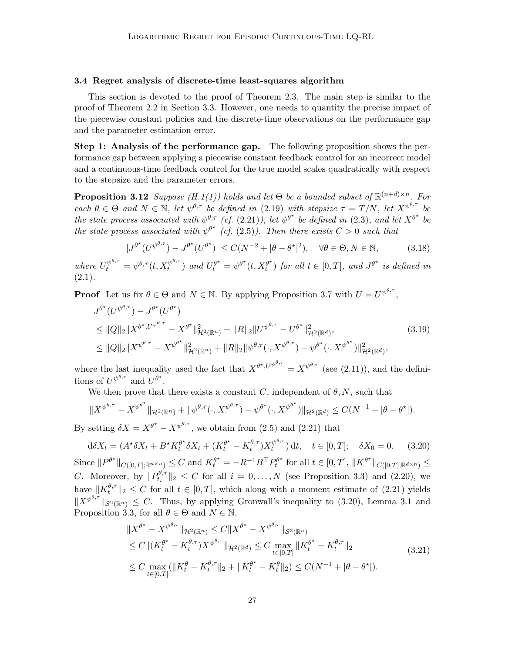# <span id="page-26-0"></span>3.4 Regret analysis of discrete-time least-squares algorithm

This section is devoted to the proof of Theorem [2.3.](#page-12-0) The main step is similar to the proof of Theorem [2.2](#page-8-1) in Section [3.3.](#page-19-0) However, one needs to quantity the precise impact of the piecewise constant policies and the discrete-time observations on the performance gap and the parameter estimation error.

Step 1: Analysis of the performance gap. The following proposition shows the performance gap between applying a piecewise constant feedback control for an incorrect model and a continuous-time feedback control for the true model scales quadratically with respect to the stepsize and the parameter errors.

<span id="page-26-1"></span>**Proposition 3[.1](#page-7-2)2** Suppose (H.1[\(1\)\)](#page-7-3) holds and let  $\Theta$  be a bounded subset of  $\mathbb{R}^{(n+d)\times n}$ . For each  $\theta \in \Theta$  and  $N \in \mathbb{N}$ , let  $\psi^{\theta,\tau}$  be defined in [\(2.19\)](#page-10-2) with stepsize  $\tau = T/N$ , let  $X^{\psi^{\theta,\tau}}$  be the state process associated with  $\psi^{\theta,\tau}$  (cf. [\(2.21\)](#page-11-4)), let  $\psi^{\theta^{\star}}$  be defined in [\(2.3\)](#page-5-4), and let  $X^{\theta^{\star}}$  be the state process associated with  $\psi^{\theta^*}$  (cf. [\(2.5\)](#page-5-5)). Then there exists  $C > 0$  such that

<span id="page-26-4"></span><span id="page-26-3"></span>
$$
|J^{\theta^*}(U^{\psi^{\theta,\tau}}) - J^{\theta^*}(U^{\theta^*})| \le C(N^{-2} + |\theta - \theta^*|^2), \quad \forall \theta \in \Theta, N \in \mathbb{N},\tag{3.18}
$$

where  $U_t^{\psi^{\theta,\tau}} = \psi^{\theta,\tau}(t, X_t^{\psi^{\theta,\tau}})$  $(t_t^{\psi^{\theta,\tau}})$  and  $U_t^{\theta^\star} = \psi^{\theta^\star}(t, X_t^{\theta^\star})$  $t^{\theta^{\star}}$ ) for all  $t \in [0, T]$ , and  $J^{\theta^{\star}}$  is defined in  $(2.1).$  $(2.1).$ 

**Proof** Let us fix  $\theta \in \Theta$  and  $N \in \mathbb{N}$ . By applying Proposition [3.7](#page-19-3) with  $U = U^{\psi^{\theta, \tau}}$ ,

$$
J^{\theta^*}(U^{\psi^{\theta,\tau}}) - J^{\theta^*}(U^{\theta^*})
$$
  
\n
$$
\leq ||Q||_2 ||X^{\theta^*,U^{\psi^{\theta,\tau}}} - X^{\theta^*}||_{\mathcal{H}^2(\mathbb{R}^n)}^2 + ||R||_2 ||U^{\psi^{\theta,\tau}} - U^{\theta^*}||_{\mathcal{H}^2(\mathbb{R}^d)}^2,
$$
  
\n
$$
\leq ||Q||_2 ||X^{\psi^{\theta,\tau}} - X^{\psi^{\theta^*}}||_{\mathcal{H}^2(\mathbb{R}^n)}^2 + ||R||_2 ||\psi^{\theta,\tau}(\cdot, X^{\psi^{\theta,\tau}}) - \psi^{\theta^*}(\cdot, X^{\psi^{\theta^*}})||_{\mathcal{H}^2(\mathbb{R}^d)}^2,
$$
\n(3.19)

where the last inequality used the fact that  $X^{\theta^*, U^{\psi^{\theta,\tau}}} = X^{\psi^{\theta,\tau}}$  (see [\(2.11\)](#page-6-0)), and the definitions of  $U^{\psi^{\theta,\tau}}$  and  $U^{\theta^*}$ .

We then prove that there exists a constant C, independent of  $\theta$ , N, such that

$$
||X^{\psi^{\theta,\tau}} - X^{\psi^{\theta^\star}}||_{\mathcal{H}^2(\mathbb{R}^n)} + ||\psi^{\theta,\tau}(\cdot, X^{\psi^{\theta,\tau}}) - \psi^{\theta^\star}(\cdot, X^{\psi^{\theta^\star}})||_{\mathcal{H}^2(\mathbb{R}^d)} \leq C(N^{-1} + |\theta - \theta^\star|).
$$

By setting  $\delta X = X^{\theta^*} - X^{\psi^{\theta,\tau}}$ , we obtain from [\(2.5\)](#page-5-5) and [\(2.21\)](#page-11-4) that

$$
d\delta X_t = (A^{\star} \delta X_t + B^{\star} K_t^{\theta^{\star}} \delta X_t + (K_t^{\theta^{\star}} - K_t^{\theta, \tau}) X_t^{\psi^{\theta, \tau}}) dt, \quad t \in [0, T]; \quad \delta X_0 = 0. \tag{3.20}
$$

Since  $||P^{\theta^{\star}}||_{C([0,T];\mathbb{R}^{n\times n})} \leq C$  and  $K_t^{\theta^{\star}} = -R^{-1}B^{\top}P_t^{\theta^{\star}}$  $t^{\theta^{\star}}$  for all  $t \in [0,T],$   $||K^{\theta^{\star}}||_{C([0,T]; \mathbb{R}^{d \times n})} \le$ *C*. Moreover, by  $||P_{t_i}^{\theta,\tau}||$  $\mathbb{E}_{t_i}^{\nu,\tau} \|_2 \leq C$  for all  $i = 0, \ldots, N$  (see Proposition [3.3\)](#page-15-1) and [\(2.20\)](#page-10-3), we have  $||K_t^{\theta,\tau}$  $\|t^{\sigma,\tau}\|_2 \leq C$  for all  $t \in [0,T]$ , which along with a moment estimate of  $(2.21)$  yields  $||X^{\psi^{\theta,\tau}}||_{\mathcal{S}^2(\mathbb{R}^n)} \leq C$ . Thus, by applying Gronwall's inequality to [\(3.20\)](#page-26-2), Lemma [3.1](#page-14-3) and Proposition [3.3,](#page-15-1) for all  $\theta \in \Theta$  and  $N \in \mathbb{N}$ ,

<span id="page-26-2"></span>
$$
\|X^{\theta^*} - X^{\psi^{\theta,\tau}}\|_{\mathcal{H}^2(\mathbb{R}^n)} \le C \|X^{\theta^*} - X^{\psi^{\theta,\tau}}\|_{\mathcal{S}^2(\mathbb{R}^n)} \n\le C \|(K_t^{\theta^*} - K_t^{\theta,\tau}) X^{\psi^{\theta,\tau}}\|_{\mathcal{H}^2(\mathbb{R}^d)} \le C \max_{t \in [0,T]} \|K_t^{\theta^*} - K_t^{\theta,\tau}\|_2 \n\le C \max_{t \in [0,T]} (\|K_t^{\theta} - K_t^{\theta,\tau}\|_2 + \|K_t^{\theta^*} - K_t^{\theta}\|_2) \le C(N^{-1} + |\theta - \theta^*|).
$$
\n(3.21)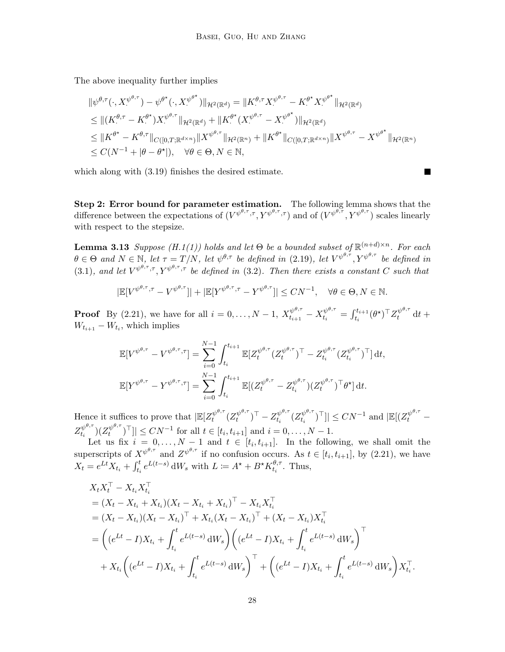The above inequality further implies

$$
\begin{split} &\|\psi^{\theta,\tau}(\cdot,X^{\psi^{\theta,\tau}})-\psi^{\theta^\star}(\cdot,X^{\psi^{\theta^\star}})\|_{\mathcal{H}^2(\mathbb{R}^d)}=\|K^{\theta,\tau}_{\cdot}X^{\psi^{\theta,\tau}}-K^{\theta^\star}_{\cdot}X^{\psi^{\theta^\star}}\|_{\mathcal{H}^2(\mathbb{R}^d)}\\ &\leq \|(K^{\theta,\tau}-K^{\theta^\star}_{\cdot})X^{\psi^{\theta,\tau}}\|_{\mathcal{H}^2(\mathbb{R}^d)}+\|K^{\theta^\star}_{\cdot}(X^{\psi^{\theta,\tau}}-X^{\psi^{\theta^\star}}_{\cdot})\|_{\mathcal{H}^2(\mathbb{R}^d)}\\ &\leq \|K^{\theta^\star}-K^{\theta,\tau}\|_{C([0,T;\mathbb{R}^{d\times n})}\|X^{\psi^{\theta,\tau}}\|_{\mathcal{H}^2(\mathbb{R}^n)}+\|K^{\theta^\star}\|_{C([0,T;\mathbb{R}^{d\times n})}\|X^{\psi^{\theta,\tau}}-X^{\psi^{\theta^\star}}\|_{\mathcal{H}^2(\mathbb{R}^n)}\\ &\leq C(N^{-1}+|\theta-\theta^\star|),\quad \forall \theta\in\Theta,N\in\mathbb{N}, \end{split}
$$

П

which along with [\(3.19\)](#page-26-3) finishes the desired estimate.

Step 2: Error bound for parameter estimation. The following lemma shows that the difference between the expectations of  $(V^{\psi^{\theta,\tau},\tau}, Y^{\psi^{\theta,\tau},\tau})$  and of  $(V^{\psi^{\theta,\tau}}, Y^{\psi^{\theta,\tau}})$  scales linearly with respect to the stepsize.

<span id="page-27-0"></span>**Lemma 3[.1](#page-7-2)3** Suppose (H.1[\(1\)\)](#page-7-3) holds and let  $\Theta$  be a bounded subset of  $\mathbb{R}^{(n+d)\times n}$ . For each  $\theta \in \Theta$  and  $N \in \mathbb{N}$ , let  $\tau = T/N$ , let  $\psi^{\theta,\tau}$  be defined in [\(2.19\)](#page-10-2), let  $V^{\psi^{\theta,\tau}}, V^{\psi^{\theta,\tau}}$  be defined in [\(3.1\)](#page-13-1), and let  $V^{\psi^{\theta,\tau},\tau}$ ,  $Y^{\psi^{\theta,\tau},\tau}$  be defined in [\(3.2\)](#page-13-2). Then there exists a constant C such that

$$
|\mathbb{E}[V^{\psi^{\theta,\tau},\tau} - V^{\psi^{\theta,\tau}}]| + |\mathbb{E}[Y^{\psi^{\theta,\tau},\tau} - Y^{\psi^{\theta,\tau}}]| \le CN^{-1}, \quad \forall \theta \in \Theta, N \in \mathbb{N}.
$$

**Proof** By [\(2.21\)](#page-11-4), we have for all  $i = 0, ..., N - 1$ ,  $X_{t_{i+1}}^{\psi^{\theta,\tau}} - X_{t_i}^{\psi^{\theta,\tau}} = \int_{t_i}^{t_{i+1}} (\theta^{\star})^{\top} Z_t^{\psi^{\theta,\tau}} dt +$  $W_{t_{i+1}} - W_{t_i}$ , which implies

$$
\mathbb{E}[V^{\psi^{\theta,\tau}} - V^{\psi^{\theta,\tau},\tau}] = \sum_{i=0}^{N-1} \int_{t_i}^{t_{i+1}} \mathbb{E}[Z_t^{\psi^{\theta,\tau}} (Z_t^{\psi^{\theta,\tau}})^{\top} - Z_{t_i}^{\psi^{\theta,\tau}} (Z_t^{\psi^{\theta,\tau}})^{\top}] dt,
$$
  

$$
\mathbb{E}[Y^{\psi^{\theta,\tau}} - Y^{\psi^{\theta,\tau},\tau}] = \sum_{i=0}^{N-1} \int_{t_i}^{t_{i+1}} \mathbb{E}[(Z_t^{\psi^{\theta,\tau}} - Z_{t_i}^{\psi^{\theta,\tau}})(Z_t^{\psi^{\theta,\tau}})^{\top} \theta^{\star}] dt.
$$

Hence it suffices to prove that  $\mathbb{E}[Z_t^{\psi^{\theta,\tau}}]$  $t^{\psi^{\theta, \tau}}(Z^{\psi^{\theta, \tau}}_t$  $(t^{\theta,\tau})^{\top} - Z_{t_i}^{\psi^{\theta,\tau}}$  $t^{\psi^{\theta, \tau}}_t (Z^{\psi^{\theta, \tau}}_{t_i})$  $\vert t_i^{\psi^{\theta,\tau}} \rangle^{\top}$ ]|  $\leq CN^{-1}$  and  $\vert \mathbb{E}[(Z_t^{\psi^{\theta,\tau}})]$  $\frac{1}{t}$  –  $Z_{t_i}^{\psi^{\theta,\tau}}$  $(t_i^{\psi^{\theta, \tau}})(Z_t^{\psi^{\theta, \tau}})$  $\|v^{(p^{e,r})}\| \le CN^{-1}$  for all  $t \in [t_i, t_{i+1}]$  and  $i = 0, ..., N - 1$ .

Let us fix  $i = 0, \ldots, N-1$  and  $t \in [t_i, t_{i+1}]$ . In the following, we shall omit the superscripts of  $X^{\psi^{\theta,\tau}}$  and  $Z^{\psi^{\theta,\tau}}$  if no confusion occurs. As  $t \in [t_i, t_{i+1}]$ , by [\(2.21\)](#page-11-4), we have  $X_t = e^{Lt} X_{t_i} + \int_{t_i}^t e^{L(t-s)} dW_s$  with  $L \coloneqq A^* + B^* K_{t_i}^{\theta, \tau}$  $t_i^{\sigma,\tau}$ . Thus,

$$
X_{t}X_{t}^{T} - X_{t_{i}}X_{t_{i}}^{T}
$$
  
=  $(X_{t} - X_{t_{i}} + X_{t_{i}})(X_{t} - X_{t_{i}} + X_{t_{i}})^{T} - X_{t_{i}}X_{t_{i}}^{T}$   
=  $(X_{t} - X_{t_{i}})(X_{t} - X_{t_{i}})^{T} + X_{t_{i}}(X_{t} - X_{t_{i}})^{T} + (X_{t} - X_{t_{i}})X_{t_{i}}^{T}$   
=  $\left((e^{Lt} - I)X_{t_{i}} + \int_{t_{i}}^{t} e^{L(t-s)} dW_{s}\right) \left((e^{Lt} - I)X_{t_{i}} + \int_{t_{i}}^{t} e^{L(t-s)} dW_{s}\right)^{T}$   
+  $X_{t_{i}}\left((e^{Lt} - I)X_{t_{i}} + \int_{t_{i}}^{t} e^{L(t-s)} dW_{s}\right)^{T} + \left((e^{Lt} - I)X_{t_{i}} + \int_{t_{i}}^{t} e^{L(t-s)} dW_{s}\right)X_{t_{i}}^{T}$ .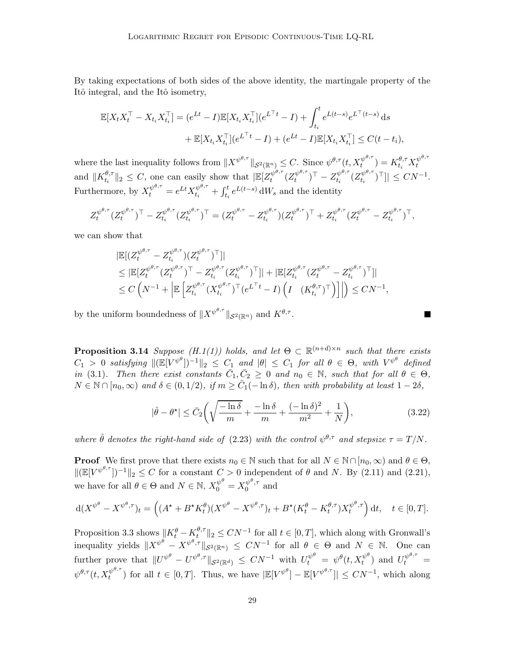By taking expectations of both sides of the above identity, the martingale property of the Itô integral, and the Itô isometry,

$$
\mathbb{E}[X_t X_t^{\top} - X_{t_i} X_{t_i}^{\top}] = (e^{Lt} - I)\mathbb{E}[X_{t_i} X_{t_i}^{\top}] (e^{L^{\top}t} - I) + \int_{t_i}^t e^{L(t-s)} e^{L^{\top}(t-s)} ds \n+ \mathbb{E}[X_{t_i} X_{t_i}^{\top}] (e^{L^{\top}t} - I) + (e^{Lt} - I)\mathbb{E}[X_{t_i} X_{t_i}^{\top}] \le C(t - t_i),
$$

where the last inequality follows from  $||X^{\psi^{\theta,\tau}}||_{\mathcal{S}^2(\mathbb{R}^n)} \leq C$ . Since  $\psi^{\theta,\tau}(t, X_t^{\psi^{\theta,\tau}})$  $\mathcal{H}^{\theta,\tau}_t$  ) =  $K^{\theta,\tau}_{t_i}X^{\psi^{\theta,\tau}}_t$ t and  $\|K_{t_i}^{\theta,\tau}$  $\| \theta_{t_i}^{\theta, \tau} \|_2 \leq C$ , one can easily show that  $\| \mathbb{E}[Z_t^{\psi^{\theta, \tau}}]$  $t^{\psi^{\theta, \tau}}(Z^{\psi^{\theta, \tau}}_t$  $(x_t^{\psi^{\theta, \tau}})^\top - Z_{t_i}^{\psi^{\theta, \tau}}$  $t^{\psi^{\theta, \tau}}_t (Z^{\psi^{\theta, \tau}}_{t_i})$  $\|v^{v,\tau}_{t_i}\|^{\top}$ ]|  $\leq CN^{-1}$ . Furthermore, by  $X_t^{\psi^{\theta,\tau}} = e^{Lt} X_{t_i}^{\psi^{\theta,\tau}} + \int_{t_i}^t e^{L(t-s)} dW_s$  and the identity

$$
Z_t^{\psi^{\theta,\tau}}(Z_t^{\psi^{\theta,\tau}})^{\top} - Z_{t_i}^{\psi^{\theta,\tau}}(Z_{t_i}^{\psi^{\theta,\tau}})^{\top} = (Z_t^{\psi^{\theta,\tau}} - Z_{t_i}^{\psi^{\theta,\tau}})(Z_t^{\psi^{\theta,\tau}})^{\top} + Z_{t_i}^{\psi^{\theta,\tau}}(Z_t^{\psi^{\theta,\tau}} - Z_{t_i}^{\psi^{\theta,\tau}})^{\top},
$$

we can show that

$$
\begin{split} & \left| \mathbb{E}[(Z^{\psi^{\theta,\tau}}_t - Z^{\psi^{\theta,\tau}}_{t_i})(Z^{\psi^{\theta,\tau}}_t)^{\top}] \right| \\ &\leq \left| \mathbb{E}[Z^{\psi^{\theta,\tau}}_t (Z^{\psi^{\theta,\tau}}_t)^{\top} - Z^{\psi^{\theta,\tau}}_{t_i}(Z^{\psi^{\theta,\tau}}_{t_i})^{\top}] \right| + \left| \mathbb{E}[Z^{\psi^{\theta,\tau}}_{t_i}(Z^{\psi^{\theta,\tau}}_t - Z^{\psi^{\theta,\tau}}_{t_i})^{\top}] \right| \\ &\leq C\left(N^{-1} + \left| \mathbb{E}\left[Z^{\psi^{\theta,\tau}}_{t_i}(X^{\psi^{\theta,\tau}}_{t_i})^{\top}(e^{L^{\top}t} - I)\left(I\left(K^{\theta,\tau}_{t_i})^{\top}\right)\right] \right| \right) \leq CN^{-1}, \end{split}
$$

<span id="page-28-0"></span>by the uniform boundedness of  $||X^{\psi^{\theta,\tau}}||_{\mathcal{S}^2(\mathbb{R}^n)}$  and  $K^{\theta,\tau}$ .

**Proposition 3[.1](#page-7-2)4** Suppose  $(H.1(1))$  $(H.1(1))$  holds, and let  $\Theta \subset \mathbb{R}^{(n+d)\times n}$  such that there exists  $C_1 > 0$  satisfying  $\|(\mathbb{E}[V^{\psi^{\theta}}])^{-1}\|_2 \leq C_1$  and  $|\theta| \leq C_1$  for all  $\theta \in \Theta$ , with  $V^{\psi^{\theta}}$  defined in [\(3.1\)](#page-13-1). Then there exist constants  $\bar{C}_1, \bar{C}_2 \geq 0$  and  $n_0 \in \mathbb{N}$ , such that for all  $\theta \in \Theta$ ,  $N \in \mathbb{N} \cap [n_0, \infty)$  and  $\delta \in (0, 1/2)$ , if  $m \geq \overline{C}_1(-\ln \delta)$ , then with probability at least  $1 - 2\delta$ ,

<span id="page-28-1"></span>
$$
|\hat{\theta} - \theta^{\star}| \leq \bar{C}_2 \left( \sqrt{\frac{-\ln \delta}{m}} + \frac{-\ln \delta}{m} + \frac{(-\ln \delta)^2}{m^2} + \frac{1}{N} \right),\tag{3.22}
$$

where  $\hat{\theta}$  denotes the right-hand side of [\(2.23\)](#page-11-2) with the control  $\psi^{\theta,\tau}$  and stepsize  $\tau = T/N$ .

**Proof** We first prove that there exists  $n_0 \in \mathbb{N}$  such that for all  $N \in \mathbb{N} \cap [n_0, \infty)$  and  $\theta \in \Theta$ ,  $||(\mathbb{E}[V^{\psi^{\theta,\tau}}])^{-1}||_2 \leq C$  for a constant  $C > 0$  independent of  $\theta$  and N. By [\(2.11\)](#page-6-0) and [\(2.21\)](#page-11-4), we have for all  $\theta \in \Theta$  and  $N \in \mathbb{N}$ ,  $X_0^{\psi^{\theta}} = X_0^{\psi^{\theta}, \tau}$  $\int_0^{\psi^*,\tau}$  and

$$
d(X^{\psi^{\theta}} - X^{\psi^{\theta}, \tau})_t = \left( (A^{\star} + B^{\star} K_t^{\theta})(X^{\psi^{\theta}} - X^{\psi^{\theta}, \tau})_t + B^{\star} (K_t^{\theta} - K_t^{\theta, \tau}) X_t^{\psi^{\theta}, \tau} \right) dt, \quad t \in [0, T].
$$

Proposition [3.3](#page-15-1) shows  $\Vert K_t^{\theta} - K_t^{\theta,\tau} \Vert$  $t^{\theta,\tau}$  ||2  $\leq CN^{-1}$  for all  $t \in [0,T]$ , which along with Gronwall's inequality yields  $||X^{\psi^{\theta}} - X^{\psi^{\theta}, \tau}||_{\mathcal{S}^2(\mathbb{R}^n)} \leq CN^{-1}$  for all  $\theta \in \Theta$  and  $N \in \mathbb{N}$ . One can further prove that  $||U^{\psi^\theta} - U^{\psi^\theta, \tau}||_{\mathcal{S}^2(\mathbb{R}^d)} \leq CN^{-1}$  with  $U_t^{\psi^\theta} = \psi^\theta(t, X_t^{\psi^\theta})$  and  $U_t^{\psi^{\theta, \tau}} =$  $\psi^{\theta,\tau}(t,X_t^{\psi^{\theta,\tau}}$  $\mathcal{L}^{\psi^{\theta,\tau}}_t$  for all  $t \in [0,T]$ . Thus, we have  $|\mathbb{E}[V^{\psi^{\theta}}] - \mathbb{E}[V^{\psi^{\theta,\tau}}]| \leq CN^{-1}$ , which along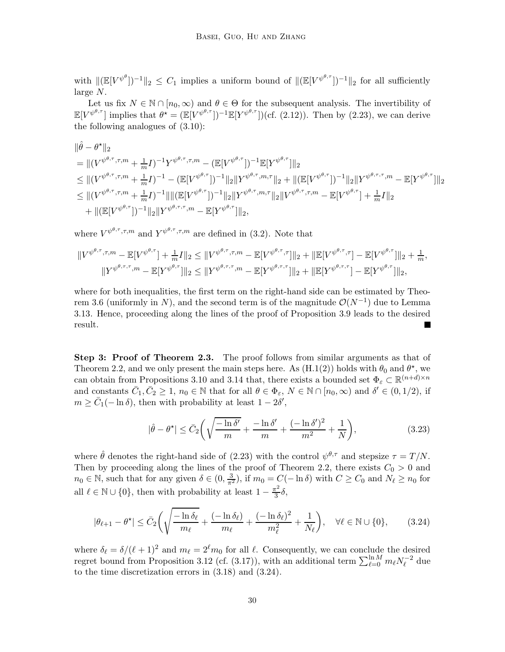with  $\|(\mathbb{E}[V^{\psi^{\theta}}])^{-1}\|_2 \leq C_1$  implies a uniform bound of  $\|(\mathbb{E}[V^{\psi^{\theta,\tau}}])^{-1}\|_2$  for all sufficiently large N.

Let us fix  $N \in \mathbb{N} \cap [n_0,\infty)$  and  $\theta \in \Theta$  for the subsequent analysis. The invertibility of  $\mathbb{E}[V^{\psi^{\theta,\tau}}]$  implies that  $\theta^* = (\mathbb{E}[V^{\psi^{\theta,\tau}}])^{-1}\mathbb{E}[Y^{\psi^{\theta,\tau}}])$  (cf. [\(2.12\)](#page-6-1)). Then by [\(2.23\)](#page-11-2), we can derive the following analogues of [\(3.10\)](#page-22-0):

$$
\|\hat{\theta} - \theta^{\star}\|_{2}
$$
\n
$$
= \|(V^{\psi^{\theta,\tau},\tau,m} + \frac{1}{m}I)^{-1}Y^{\psi^{\theta,\tau},\tau,m} - (\mathbb{E}[V^{\psi^{\theta,\tau}}])^{-1}\mathbb{E}[Y^{\psi^{\theta,\tau}}]\|_{2}
$$
\n
$$
\leq \|(V^{\psi^{\theta,\tau},\tau,m} + \frac{1}{m}I)^{-1} - (\mathbb{E}[V^{\psi^{\theta,\tau}}])^{-1}\|_{2}\|Y^{\psi^{\theta,\tau},m,\tau}\|_{2} + \|(\mathbb{E}[V^{\psi^{\theta,\tau}}])^{-1}\|_{2}\|Y^{\psi^{\theta,\tau},\tau,m} - \mathbb{E}[Y^{\psi^{\theta,\tau}}]\|_{2}
$$
\n
$$
\leq \|(V^{\psi^{\theta,\tau},\tau,m} + \frac{1}{m}I)^{-1}\|\|(\mathbb{E}[V^{\psi^{\theta,\tau}}])^{-1}\|_{2}\|Y^{\psi^{\theta,\tau},m,\tau}\|_{2}\|V^{\psi^{\theta,\tau},\tau,m} - \mathbb{E}[V^{\psi^{\theta,\tau}}] + \frac{1}{m}I\|_{2}
$$
\n
$$
+ \|(\mathbb{E}[V^{\psi^{\theta,\tau}}])^{-1}\|_{2}\|Y^{\psi^{\theta,\tau,\tau},m} - \mathbb{E}[Y^{\psi^{\theta,\tau}}]\|_{2},
$$

where  $V^{\psi^{\theta,\tau},\tau,m}$  and  $Y^{\psi^{\theta,\tau},\tau,m}$  are defined in [\(3.2\)](#page-13-2). Note that

$$
||V^{\psi^{\theta,\tau},\tau,m}-\mathbb{E}[V^{\psi^{\theta,\tau}}] + \frac{1}{m}I||_2 \leq ||V^{\psi^{\theta,\tau},\tau,m}-\mathbb{E}[V^{\psi^{\theta,\tau},\tau}]||_2 + ||\mathbb{E}[V^{\psi^{\theta,\tau},\tau}] - \mathbb{E}[V^{\psi^{\theta,\tau}}]||_2 + \frac{1}{m},
$$
  

$$
||Y^{\psi^{\theta,\tau,\tau},m}-\mathbb{E}[Y^{\psi^{\theta,\tau}}]||_2 \leq ||Y^{\psi^{\theta,\tau,\tau},m}-\mathbb{E}[Y^{\psi^{\theta,\tau,\tau}}]||_2 + ||\mathbb{E}[Y^{\psi^{\theta,\tau,\tau}}] - \mathbb{E}[Y^{\psi^{\theta,\tau}}]||_2,
$$

where for both inequalities, the first term on the right-hand side can be estimated by Theo-rem [3.6](#page-17-3) (uniformly in N), and the second term is of the magnitude  $\mathcal{O}(N^{-1})$  due to Lemma [3.13.](#page-27-0) Hence, proceeding along the lines of the proof of Proposition [3.9](#page-21-0) leads to the desired result. ш

Step 3: Proof of Theorem [2.3.](#page-12-0) The proof follows from similar arguments as that of Theorem [2.2,](#page-8-1) and we only present the main steps here. As  $(H.1(2))$  $(H.1(2))$  $(H.1(2))$  holds with  $\theta_0$  and  $\theta^*$ , we can obtain from Propositions [3.10](#page-23-0) and [3.14](#page-28-0) that, there exists a bounded set  $\Phi_{\varepsilon} \subset \mathbb{R}^{(n+d)\times n}$ and constants  $\bar{C}_1, \bar{C}_2 \geq 1$ ,  $n_0 \in \mathbb{N}$  that for all  $\theta \in \Phi_{\varepsilon}$ ,  $N \in \mathbb{N} \cap [n_0, \infty)$  and  $\delta' \in (0, 1/2)$ , if  $m \geq \bar{C}_1(-\ln \delta)$ , then with probability at least  $1 - 2\delta'$ ,

<span id="page-29-0"></span>
$$
|\hat{\theta} - \theta^{\star}| \leq \bar{C}_2 \left( \sqrt{\frac{-\ln \delta'}{m}} + \frac{-\ln \delta'}{m} + \frac{(-\ln \delta')^2}{m^2} + \frac{1}{N} \right),\tag{3.23}
$$

where  $\hat{\theta}$  denotes the right-hand side of [\(2.23\)](#page-11-2) with the control  $\psi^{\theta,\tau}$  and stepsize  $\tau = T/N$ . Then by proceeding along the lines of the proof of Theorem [2.2,](#page-8-1) there exists  $C_0 > 0$  and  $n_0 \in \mathbb{N}$ , such that for any given  $\delta \in (0, \frac{3}{\pi^2})$ , if  $m_0 = C(-\ln \delta)$  with  $C \ge C_0$  and  $N_\ell \ge n_0$  for all  $\ell \in \mathbb{N} \cup \{0\}$ , then with probability at least  $1 - \frac{\pi^2}{3}$  $rac{1}{3}\delta,$ 

$$
|\theta_{\ell+1} - \theta^{\star}| \leq \bar{C}_2 \left( \sqrt{\frac{-\ln \delta_{\ell}}{m_{\ell}}} + \frac{(-\ln \delta_{\ell})}{m_{\ell}} + \frac{(-\ln \delta_{\ell})^2}{m_{\ell}^2} + \frac{1}{N_{\ell}} \right), \quad \forall \ell \in \mathbb{N} \cup \{0\},\tag{3.24}
$$

where  $\delta_{\ell} = \delta/(\ell+1)^2$  and  $m_{\ell} = 2^{\ell}m_0$  for all  $\ell$ . Consequently, we can conclude the desired regret bound from Proposition [3.12](#page-26-1) (cf. [\(3.17\)](#page-25-2)), with an additional term  $\sum_{\ell=0}^{\ln M} m_{\ell} N_{\ell}^{-2}$  due to the time discretization errors in [\(3.18\)](#page-26-4) and [\(3.24\)](#page-29-0).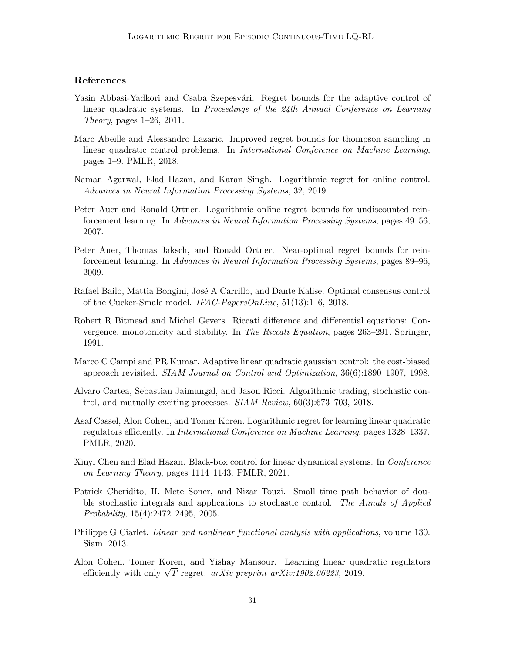# References

- <span id="page-30-3"></span>Yasin Abbasi-Yadkori and Csaba Szepesvári. Regret bounds for the adaptive control of linear quadratic systems. In Proceedings of the 24th Annual Conference on Learning Theory, pages  $1-26$ ,  $2011$ .
- <span id="page-30-4"></span>Marc Abeille and Alessandro Lazaric. Improved regret bounds for thompson sampling in linear quadratic control problems. In International Conference on Machine Learning, pages 1–9. PMLR, 2018.
- <span id="page-30-8"></span>Naman Agarwal, Elad Hazan, and Karan Singh. Logarithmic regret for online control. Advances in Neural Information Processing Systems, 32, 2019.
- <span id="page-30-1"></span>Peter Auer and Ronald Ortner. Logarithmic online regret bounds for undiscounted reinforcement learning. In Advances in Neural Information Processing Systems, pages 49–56, 2007.
- <span id="page-30-2"></span>Peter Auer, Thomas Jaksch, and Ronald Ortner. Near-optimal regret bounds for reinforcement learning. In Advances in Neural Information Processing Systems, pages 89–96, 2009.
- <span id="page-30-10"></span>Rafael Bailo, Mattia Bongini, José A Carrillo, and Dante Kalise. Optimal consensus control of the Cucker-Smale model. IFAC-PapersOnLine, 51(13):1–6, 2018.
- <span id="page-30-11"></span>Robert R Bitmead and Michel Gevers. Riccati difference and differential equations: Convergence, monotonicity and stability. In The Riccati Equation, pages 263–291. Springer, 1991.
- <span id="page-30-0"></span>Marco C Campi and PR Kumar. Adaptive linear quadratic gaussian control: the cost-biased approach revisited. SIAM Journal on Control and Optimization, 36(6):1890–1907, 1998.
- <span id="page-30-9"></span>Alvaro Cartea, Sebastian Jaimungal, and Jason Ricci. Algorithmic trading, stochastic control, and mutually exciting processes. SIAM Review, 60(3):673–703, 2018.
- <span id="page-30-7"></span>Asaf Cassel, Alon Cohen, and Tomer Koren. Logarithmic regret for learning linear quadratic regulators efficiently. In International Conference on Machine Learning, pages 1328–1337. PMLR, 2020.
- <span id="page-30-6"></span>Xinyi Chen and Elad Hazan. Black-box control for linear dynamical systems. In *Conference* on Learning Theory, pages 1114–1143. PMLR, 2021.
- <span id="page-30-13"></span>Patrick Cheridito, H. Mete Soner, and Nizar Touzi. Small time path behavior of double stochastic integrals and applications to stochastic control. The Annals of Applied Probability, 15(4):2472–2495, 2005.
- <span id="page-30-12"></span>Philippe G Ciarlet. Linear and nonlinear functional analysis with applications, volume 130. Siam, 2013.
- <span id="page-30-5"></span>Alon Cohen, Tomer Koren, and Yishay Mansour. Learning linear quadratic regulators efficiently with only  $\sqrt{T}$  regret.  $arXiv$  preprint  $arXiv:1902.06223$ , 2019.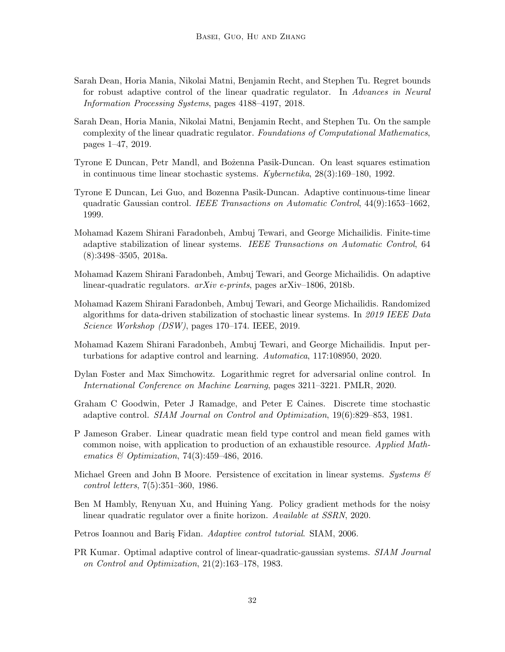- <span id="page-31-6"></span>Sarah Dean, Horia Mania, Nikolai Matni, Benjamin Recht, and Stephen Tu. Regret bounds for robust adaptive control of the linear quadratic regulator. In Advances in Neural Information Processing Systems, pages 4188–4197, 2018.
- <span id="page-31-14"></span>Sarah Dean, Horia Mania, Nikolai Matni, Benjamin Recht, and Stephen Tu. On the sample complexity of the linear quadratic regulator. Foundations of Computational Mathematics, pages 1–47, 2019.
- <span id="page-31-12"></span>Tyrone E Duncan, Petr Mandl, and Bozenna Pasik-Duncan. On least squares estimation in continuous time linear stochastic systems. Kybernetika, 28(3):169–180, 1992.
- <span id="page-31-11"></span>Tyrone E Duncan, Lei Guo, and Bozenna Pasik-Duncan. Adaptive continuous-time linear quadratic Gaussian control. IEEE Transactions on Automatic Control, 44(9):1653–1662, 1999.
- <span id="page-31-4"></span>Mohamad Kazem Shirani Faradonbeh, Ambuj Tewari, and George Michailidis. Finite-time adaptive stabilization of linear systems. IEEE Transactions on Automatic Control, 64 (8):3498–3505, 2018a.
- <span id="page-31-7"></span>Mohamad Kazem Shirani Faradonbeh, Ambuj Tewari, and George Michailidis. On adaptive linear-quadratic regulators. arXiv e-prints, pages arXiv–1806, 2018b.
- <span id="page-31-5"></span>Mohamad Kazem Shirani Faradonbeh, Ambuj Tewari, and George Michailidis. Randomized algorithms for data-driven stabilization of stochastic linear systems. In 2019 IEEE Data Science Workshop (DSW), pages 170–174. IEEE, 2019.
- <span id="page-31-8"></span>Mohamad Kazem Shirani Faradonbeh, Ambuj Tewari, and George Michailidis. Input perturbations for adaptive control and learning. Automatica, 117:108950, 2020.
- <span id="page-31-9"></span>Dylan Foster and Max Simchowitz. Logarithmic regret for adversarial online control. In International Conference on Machine Learning, pages 3211–3221. PMLR, 2020.
- <span id="page-31-2"></span>Graham C Goodwin, Peter J Ramadge, and Peter E Caines. Discrete time stochastic adaptive control. SIAM Journal on Control and Optimization, 19(6):829–853, 1981.
- <span id="page-31-10"></span>P Jameson Graber. Linear quadratic mean field type control and mean field games with common noise, with application to production of an exhaustible resource. Applied Mathematics  $\&$  Optimization, 74(3):459–486, 2016.
- <span id="page-31-1"></span>Michael Green and John B Moore. Persistence of excitation in linear systems. Systems  $\mathcal{B}$ control letters, 7(5):351–360, 1986.
- <span id="page-31-13"></span>Ben M Hambly, Renyuan Xu, and Huining Yang. Policy gradient methods for the noisy linear quadratic regulator over a finite horizon. Available at SSRN, 2020.
- <span id="page-31-0"></span>Petros Ioannou and Baris Fidan. Adaptive control tutorial. SIAM, 2006.
- <span id="page-31-3"></span>PR Kumar. Optimal adaptive control of linear-quadratic-gaussian systems. SIAM Journal on Control and Optimization, 21(2):163–178, 1983.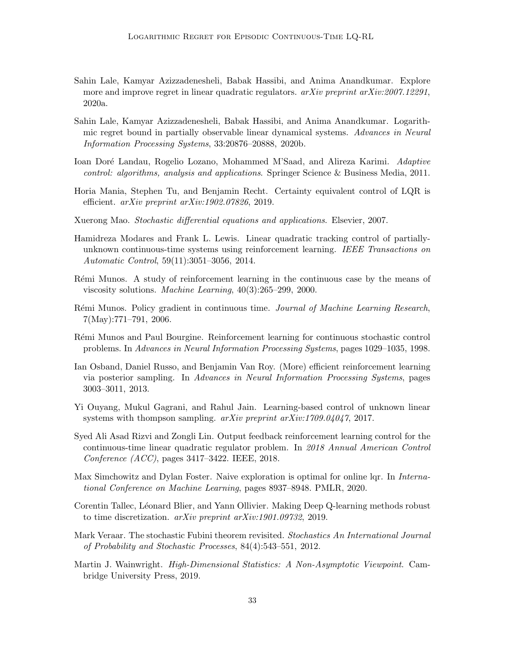- <span id="page-32-5"></span>Sahin Lale, Kamyar Azizzadenesheli, Babak Hassibi, and Anima Anandkumar. Explore more and improve regret in linear quadratic regulators.  $arXiv$  preprint  $arXiv:2007.12291$ , 2020a.
- <span id="page-32-6"></span>Sahin Lale, Kamyar Azizzadenesheli, Babak Hassibi, and Anima Anandkumar. Logarithmic regret bound in partially observable linear dynamical systems. Advances in Neural Information Processing Systems, 33:20876–20888, 2020b.
- <span id="page-32-0"></span>Ioan Doré Landau, Rogelio Lozano, Mohammed M'Saad, and Alireza Karimi. Adaptive control: algorithms, analysis and applications. Springer Science & Business Media, 2011.
- <span id="page-32-3"></span>Horia Mania, Stephen Tu, and Benjamin Recht. Certainty equivalent control of LQR is efficient. arXiv preprint arXiv:1902.07826, 2019.
- <span id="page-32-15"></span>Xuerong Mao. Stochastic differential equations and applications. Elsevier, 2007.
- <span id="page-32-10"></span>Hamidreza Modares and Frank L. Lewis. Linear quadratic tracking control of partiallyunknown continuous-time systems using reinforcement learning. IEEE Transactions on Automatic Control, 59(11):3051–3056, 2014.
- <span id="page-32-9"></span>Rémi Munos. A study of reinforcement learning in the continuous case by the means of viscosity solutions. Machine Learning, 40(3):265–299, 2000.
- <span id="page-32-7"></span>Rémi Munos. Policy gradient in continuous time. Journal of Machine Learning Research, 7(May):771–791, 2006.
- <span id="page-32-8"></span>Rémi Munos and Paul Bourgine. Reinforcement learning for continuous stochastic control problems. In Advances in Neural Information Processing Systems, pages 1029–1035, 1998.
- <span id="page-32-1"></span>Ian Osband, Daniel Russo, and Benjamin Van Roy. (More) efficient reinforcement learning via posterior sampling. In Advances in Neural Information Processing Systems, pages 3003–3011, 2013.
- <span id="page-32-2"></span>Yi Ouyang, Mukul Gagrani, and Rahul Jain. Learning-based control of unknown linear systems with thompson sampling. arXiv preprint arXiv:1709.04047, 2017.
- <span id="page-32-11"></span>Syed Ali Asad Rizvi and Zongli Lin. Output feedback reinforcement learning control for the continuous-time linear quadratic regulator problem. In 2018 Annual American Control Conference (ACC), pages 3417–3422. IEEE, 2018.
- <span id="page-32-4"></span>Max Simchowitz and Dylan Foster. Naive exploration is optimal for online lqr. In *Interna*tional Conference on Machine Learning, pages 8937–8948. PMLR, 2020.
- <span id="page-32-12"></span>Corentin Tallec, Léonard Blier, and Yann Ollivier. Making Deep Q-learning methods robust to time discretization. arXiv preprint arXiv:1901.09732, 2019.
- <span id="page-32-14"></span>Mark Veraar. The stochastic Fubini theorem revisited. Stochastics An International Journal of Probability and Stochastic Processes, 84(4):543–551, 2012.
- <span id="page-32-13"></span>Martin J. Wainwright. High-Dimensional Statistics: A Non-Asymptotic Viewpoint. Cambridge University Press, 2019.